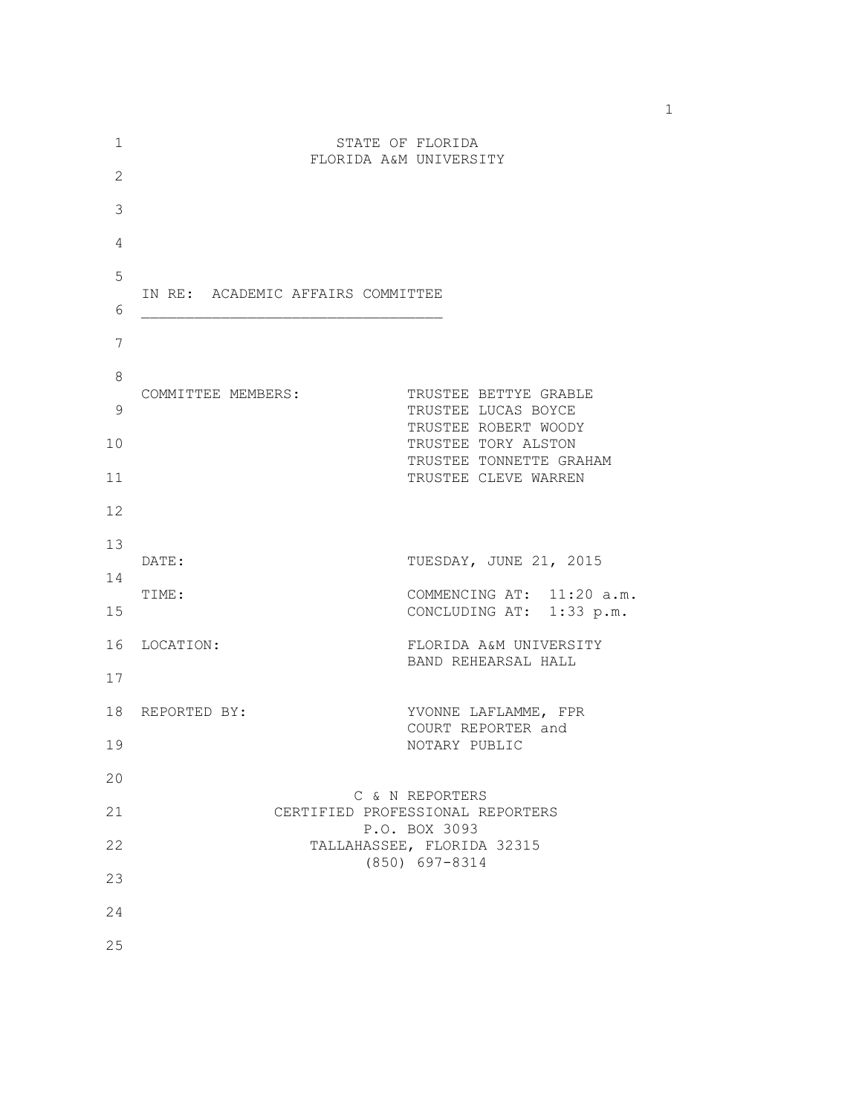| 1              |                                   | STATE OF FLORIDA                                      |
|----------------|-----------------------------------|-------------------------------------------------------|
| 2              |                                   | FLORIDA A&M UNIVERSITY                                |
| 3              |                                   |                                                       |
| $\overline{4}$ |                                   |                                                       |
| 5              |                                   |                                                       |
| 6              | IN RE: ACADEMIC AFFAIRS COMMITTEE |                                                       |
| 7              |                                   |                                                       |
| 8              |                                   |                                                       |
| 9              | COMMITTEE MEMBERS:                | TRUSTEE BETTYE GRABLE<br>TRUSTEE LUCAS BOYCE          |
| 10             |                                   | TRUSTEE ROBERT WOODY<br>TRUSTEE TORY ALSTON           |
| 11             |                                   | TRUSTEE TONNETTE GRAHAM<br>TRUSTEE CLEVE WARREN       |
| 12             |                                   |                                                       |
| 13             | DATE:                             | TUESDAY, JUNE 21, 2015                                |
| 14             |                                   |                                                       |
| 15             | TIME:                             | COMMENCING AT: 11:20 a.m.<br>CONCLUDING AT: 1:33 p.m. |
| 16             | LOCATION:                         | FLORIDA A&M UNIVERSITY<br>BAND REHEARSAL HALL         |
| 17             |                                   |                                                       |
| 18             | REPORTED BY:                      | YVONNE LAFLAMME, FPR<br>COURT REPORTER and            |
| 19             |                                   | NOTARY PUBLIC                                         |
| 20             |                                   |                                                       |
| 21             |                                   | C & N REPORTERS<br>CERTIFIED PROFESSIONAL REPORTERS   |
| 22             |                                   | P.O. BOX 3093<br>TALLAHASSEE, FLORIDA 32315           |
| 23             |                                   | $(850)$ 697-8314                                      |
| 24             |                                   |                                                       |
| 25             |                                   |                                                       |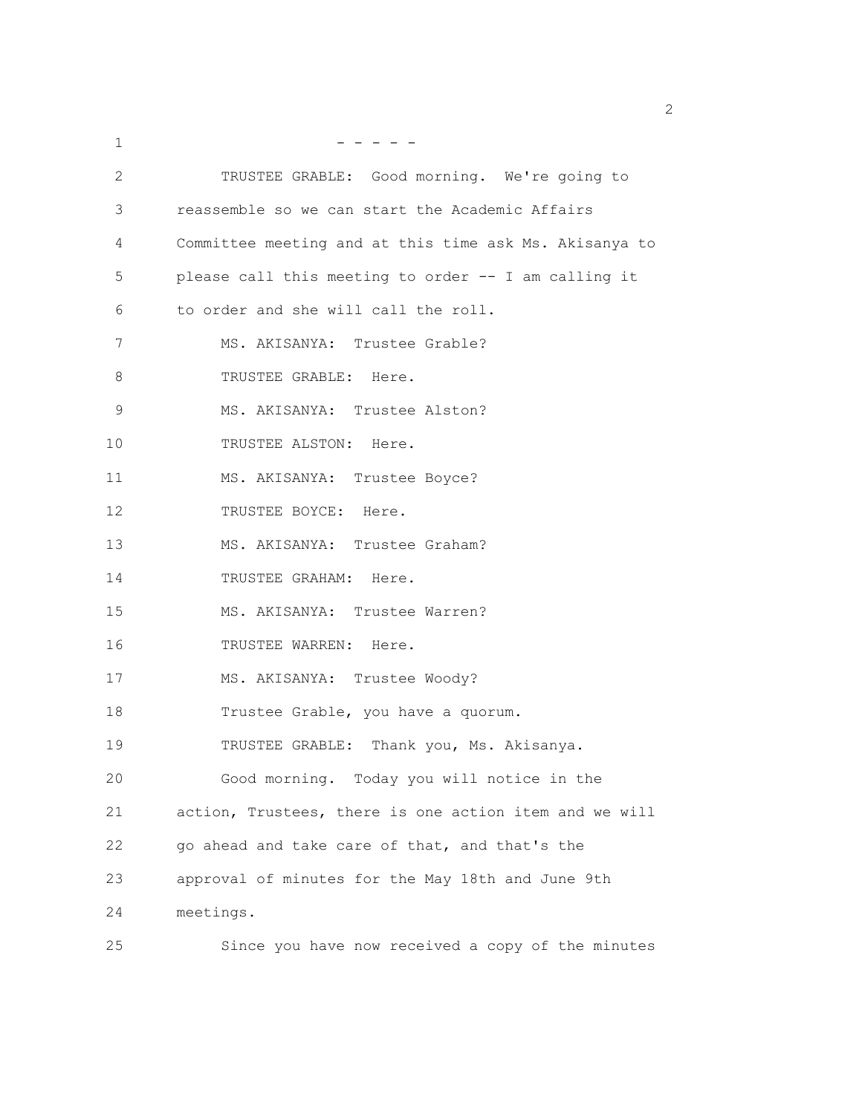| 1  |                                                        |
|----|--------------------------------------------------------|
| 2  | TRUSTEE GRABLE: Good morning. We're going to           |
| 3  | reassemble so we can start the Academic Affairs        |
| 4  | Committee meeting and at this time ask Ms. Akisanya to |
| 5  | please call this meeting to order -- I am calling it   |
| 6  | to order and she will call the roll.                   |
| 7  | MS. AKISANYA: Trustee Grable?                          |
| 8  | TRUSTEE GRABLE: Here.                                  |
| 9  | MS. AKISANYA: Trustee Alston?                          |
| 10 | TRUSTEE ALSTON: Here.                                  |
| 11 | MS. AKISANYA: Trustee Boyce?                           |
| 12 | TRUSTEE BOYCE: Here.                                   |
| 13 | MS. AKISANYA: Trustee Graham?                          |
| 14 | TRUSTEE GRAHAM: Here.                                  |
| 15 | MS. AKISANYA: Trustee Warren?                          |
| 16 | TRUSTEE WARREN: Here.                                  |
| 17 | MS. AKISANYA: Trustee Woody?                           |
| 18 | Trustee Grable, you have a quorum.                     |
| 19 | TRUSTEE GRABLE: Thank you, Ms. Akisanya.               |
| 20 | Good morning. Today you will notice in the             |
| 21 | action, Trustees, there is one action item and we will |
| 22 | go ahead and take care of that, and that's the         |
| 23 | approval of minutes for the May 18th and June 9th      |
| 24 | meetings.                                              |
| 25 | Since you have now received a copy of the minutes      |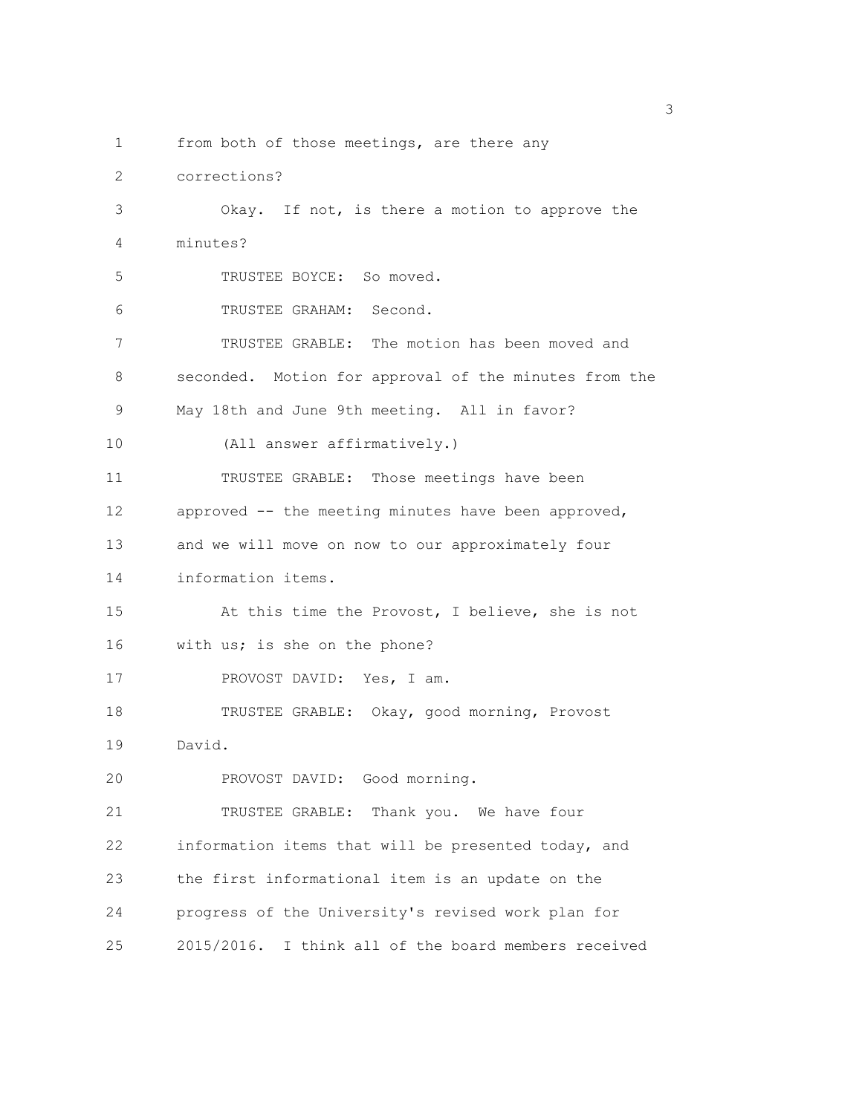1 from both of those meetings, are there any 2 corrections? 3 Okay. If not, is there a motion to approve the 4 minutes? 5 TRUSTEE BOYCE: So moved. 6 TRUSTEE GRAHAM: Second. 7 TRUSTEE GRABLE: The motion has been moved and 8 seconded. Motion for approval of the minutes from the 9 May 18th and June 9th meeting. All in favor? 10 (All answer affirmatively.) 11 TRUSTEE GRABLE: Those meetings have been 12 approved -- the meeting minutes have been approved, 13 and we will move on now to our approximately four 14 information items. 15 At this time the Provost, I believe, she is not 16 with us; is she on the phone? 17 PROVOST DAVID: Yes, I am. 18 TRUSTEE GRABLE: Okay, good morning, Provost 19 David. 20 PROVOST DAVID: Good morning. 21 TRUSTEE GRABLE: Thank you. We have four 22 information items that will be presented today, and 23 the first informational item is an update on the 24 progress of the University's revised work plan for

25 2015/2016. I think all of the board members received

 $\sim$  3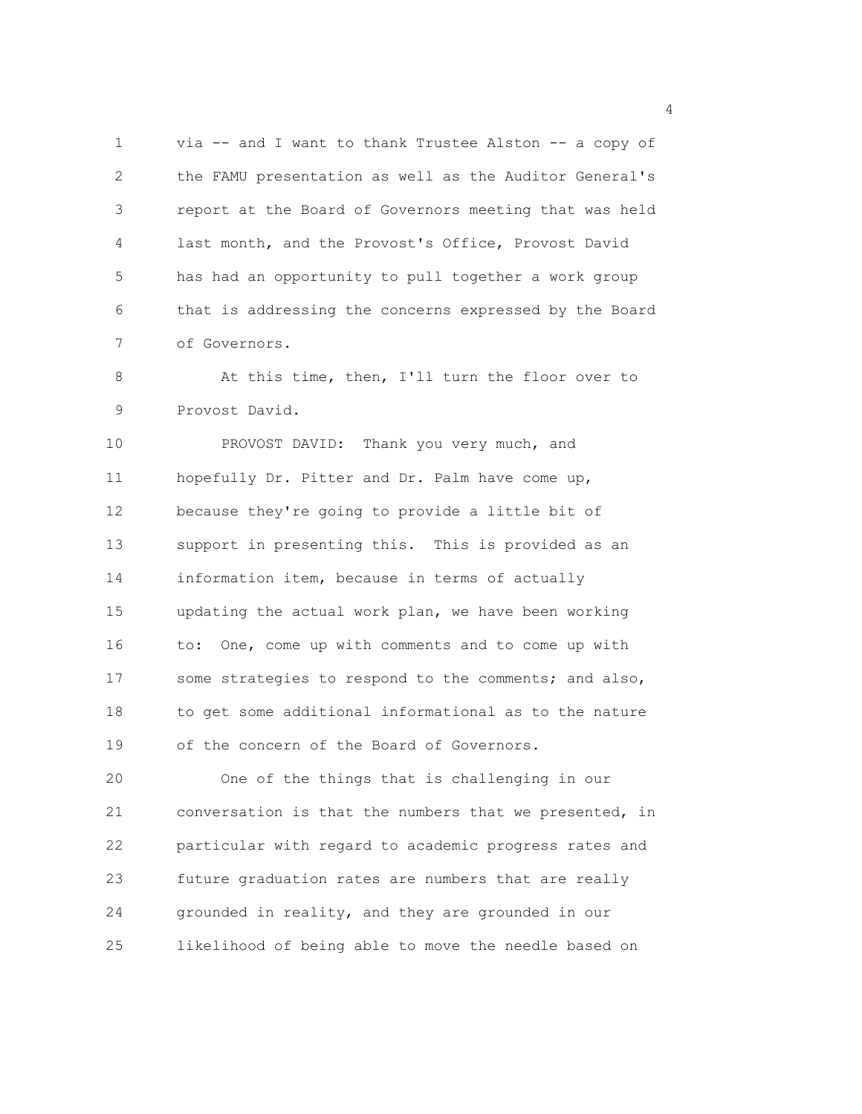1 via -- and I want to thank Trustee Alston -- a copy of 2 the FAMU presentation as well as the Auditor General's 3 report at the Board of Governors meeting that was held 4 last month, and the Provost's Office, Provost David 5 has had an opportunity to pull together a work group 6 that is addressing the concerns expressed by the Board 7 of Governors.

8 At this time, then, I'll turn the floor over to 9 Provost David.

10 PROVOST DAVID: Thank you very much, and 11 hopefully Dr. Pitter and Dr. Palm have come up, 12 because they're going to provide a little bit of 13 support in presenting this. This is provided as an 14 information item, because in terms of actually 15 updating the actual work plan, we have been working 16 to: One, come up with comments and to come up with 17 some strategies to respond to the comments; and also, 18 to get some additional informational as to the nature 19 of the concern of the Board of Governors.

20 One of the things that is challenging in our 21 conversation is that the numbers that we presented, in 22 particular with regard to academic progress rates and 23 future graduation rates are numbers that are really 24 grounded in reality, and they are grounded in our 25 likelihood of being able to move the needle based on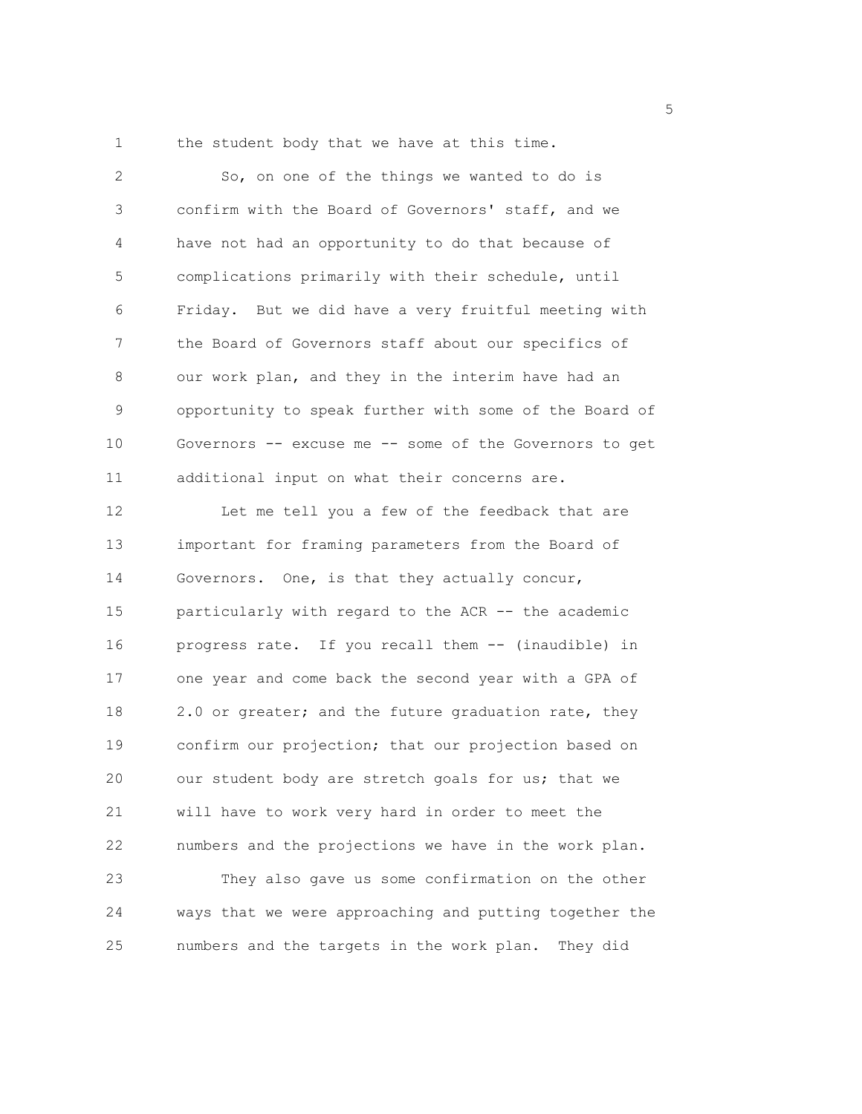1 the student body that we have at this time.

2 So, on one of the things we wanted to do is 3 confirm with the Board of Governors' staff, and we 4 have not had an opportunity to do that because of 5 complications primarily with their schedule, until 6 Friday. But we did have a very fruitful meeting with 7 the Board of Governors staff about our specifics of 8 our work plan, and they in the interim have had an 9 opportunity to speak further with some of the Board of 10 Governors -- excuse me -- some of the Governors to get 11 additional input on what their concerns are. 12 Let me tell you a few of the feedback that are 13 important for framing parameters from the Board of 14 Governors. One, is that they actually concur, 15 particularly with regard to the ACR -- the academic 16 progress rate. If you recall them -- (inaudible) in 17 one year and come back the second year with a GPA of 18 2.0 or greater; and the future graduation rate, they 19 confirm our projection; that our projection based on 20 our student body are stretch goals for us; that we 21 will have to work very hard in order to meet the 22 numbers and the projections we have in the work plan. 23 They also gave us some confirmation on the other 24 ways that we were approaching and putting together the 25 numbers and the targets in the work plan. They did

<u>5</u> September 2005 and 2006 and 2007 and 2007 and 2008 and 2007 and 2008 and 2008 and 2008 and 2008 and 2008 and 2008 and 2008 and 2008 and 2008 and 2008 and 2008 and 2008 and 2008 and 2008 and 2008 and 2008 and 2008 and 2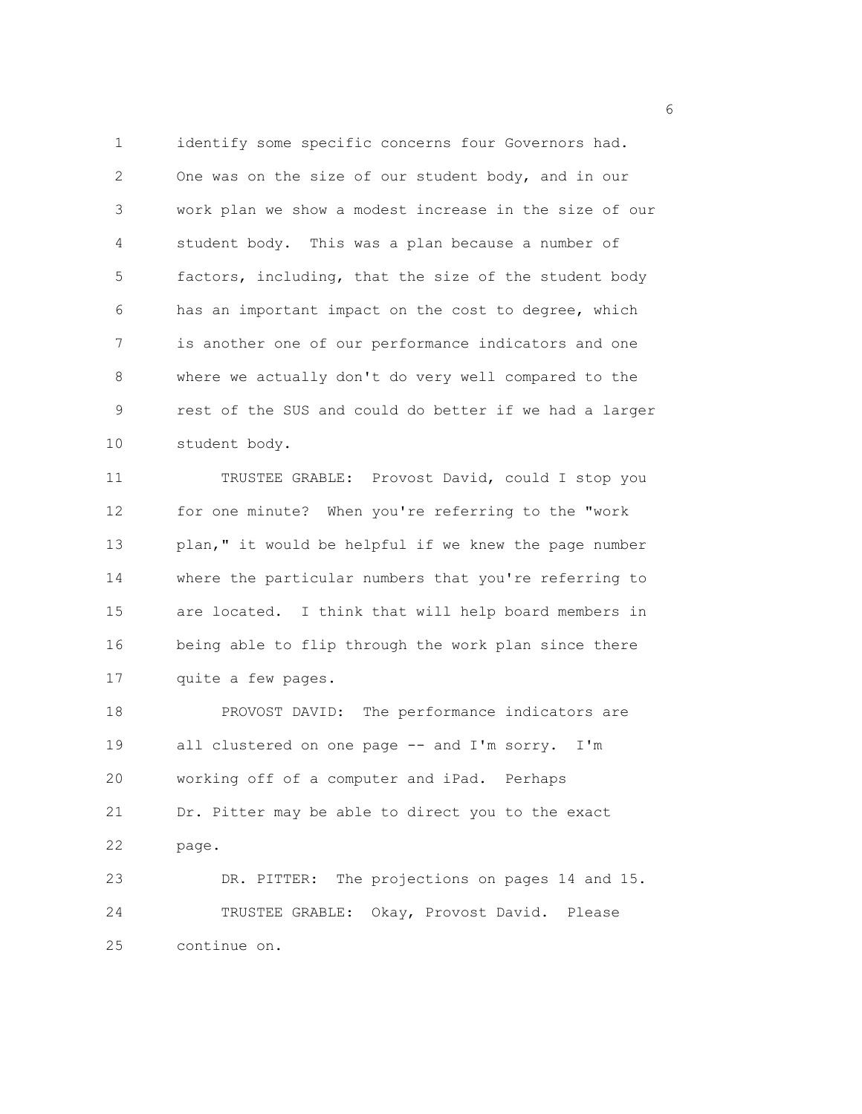1 identify some specific concerns four Governors had. 2 One was on the size of our student body, and in our 3 work plan we show a modest increase in the size of our 4 student body. This was a plan because a number of 5 factors, including, that the size of the student body 6 has an important impact on the cost to degree, which 7 is another one of our performance indicators and one 8 where we actually don't do very well compared to the 9 rest of the SUS and could do better if we had a larger 10 student body.

11 TRUSTEE GRABLE: Provost David, could I stop you 12 for one minute? When you're referring to the "work 13 plan," it would be helpful if we knew the page number 14 where the particular numbers that you're referring to 15 are located. I think that will help board members in 16 being able to flip through the work plan since there 17 quite a few pages.

18 PROVOST DAVID: The performance indicators are 19 all clustered on one page -- and I'm sorry. I'm 20 working off of a computer and iPad. Perhaps 21 Dr. Pitter may be able to direct you to the exact 22 page. 23 DR. PITTER: The projections on pages 14 and 15. 24 TRUSTEE GRABLE: Okay, Provost David. Please

25 continue on.

<u>6</u> and the contract of the contract of the contract of the contract of the contract of the contract of the contract of the contract of the contract of the contract of the contract of the contract of the contract of the co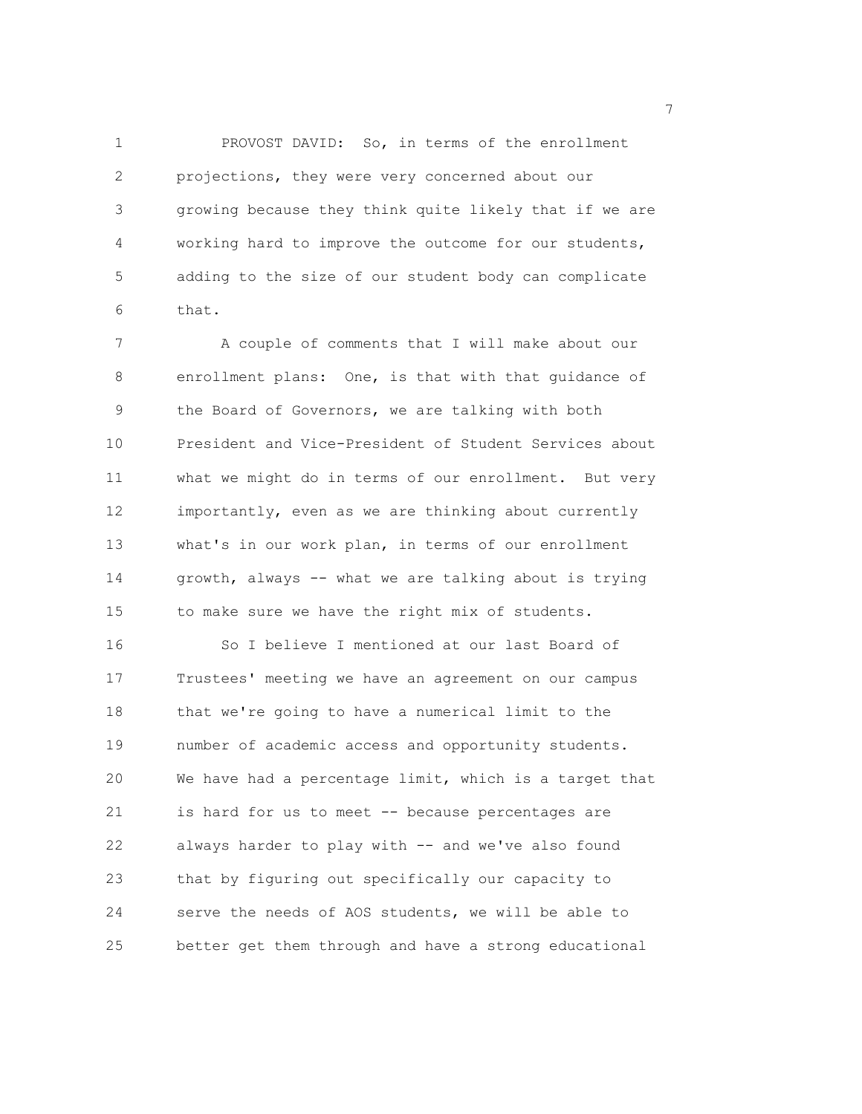1 PROVOST DAVID: So, in terms of the enrollment 2 projections, they were very concerned about our 3 growing because they think quite likely that if we are 4 working hard to improve the outcome for our students, 5 adding to the size of our student body can complicate 6 that.

7 A couple of comments that I will make about our 8 enrollment plans: One, is that with that guidance of 9 the Board of Governors, we are talking with both 10 President and Vice-President of Student Services about 11 what we might do in terms of our enrollment. But very 12 importantly, even as we are thinking about currently 13 what's in our work plan, in terms of our enrollment 14 growth, always -- what we are talking about is trying 15 to make sure we have the right mix of students. 16 So I believe I mentioned at our last Board of 17 Trustees' meeting we have an agreement on our campus 18 that we're going to have a numerical limit to the 19 number of academic access and opportunity students. 20 We have had a percentage limit, which is a target that 21 is hard for us to meet -- because percentages are 22 always harder to play with -- and we've also found 23 that by figuring out specifically our capacity to 24 serve the needs of AOS students, we will be able to 25 better get them through and have a strong educational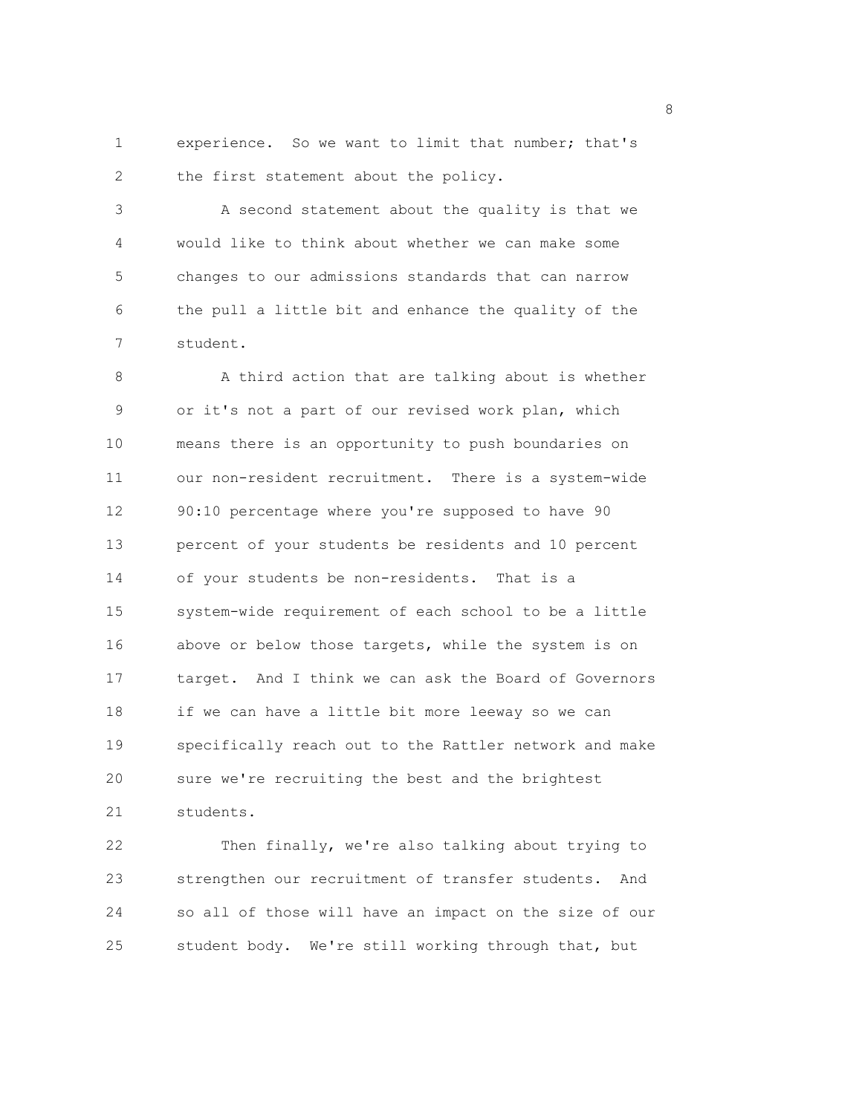1 experience. So we want to limit that number; that's 2 the first statement about the policy.

3 A second statement about the quality is that we 4 would like to think about whether we can make some 5 changes to our admissions standards that can narrow 6 the pull a little bit and enhance the quality of the 7 student.

8 A third action that are talking about is whether 9 or it's not a part of our revised work plan, which 10 means there is an opportunity to push boundaries on 11 our non-resident recruitment. There is a system-wide 12 90:10 percentage where you're supposed to have 90 13 percent of your students be residents and 10 percent 14 of your students be non-residents. That is a 15 system-wide requirement of each school to be a little 16 above or below those targets, while the system is on 17 target. And I think we can ask the Board of Governors 18 if we can have a little bit more leeway so we can 19 specifically reach out to the Rattler network and make 20 sure we're recruiting the best and the brightest 21 students.

22 Then finally, we're also talking about trying to 23 strengthen our recruitment of transfer students. And 24 so all of those will have an impact on the size of our 25 student body. We're still working through that, but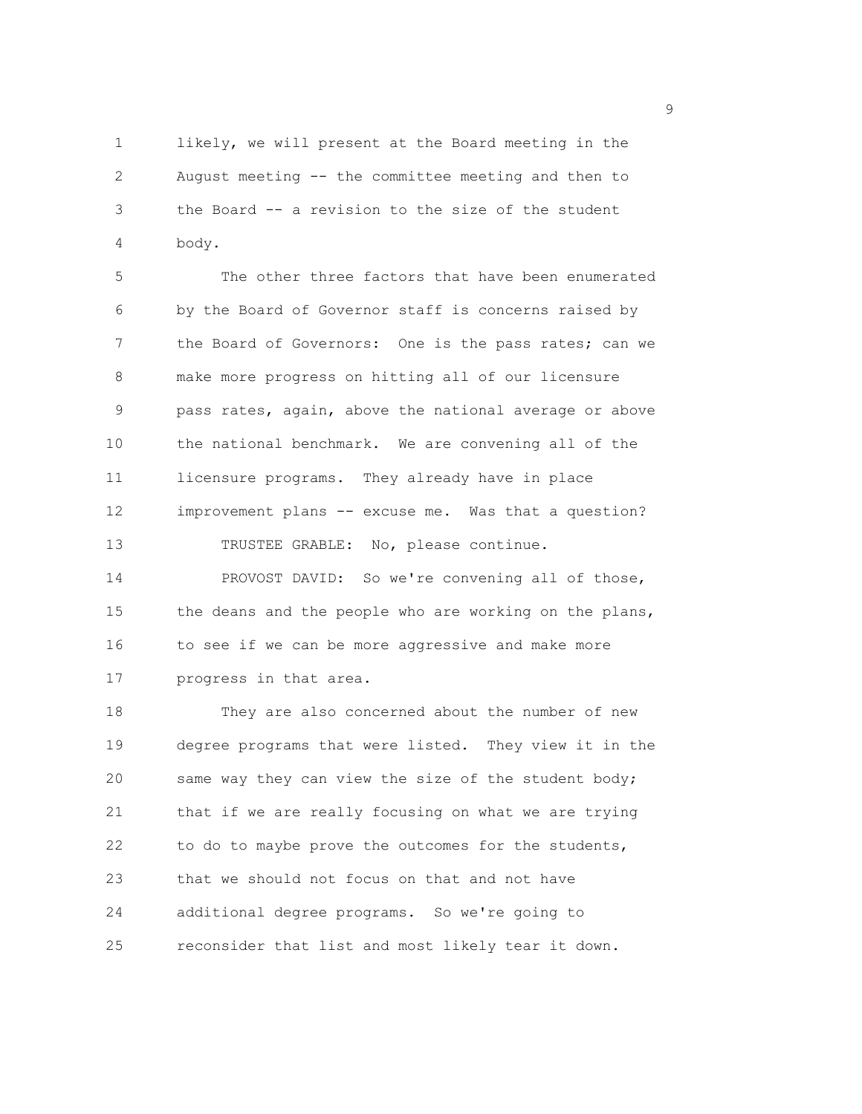1 likely, we will present at the Board meeting in the 2 August meeting -- the committee meeting and then to 3 the Board -- a revision to the size of the student 4 body.

5 The other three factors that have been enumerated 6 by the Board of Governor staff is concerns raised by 7 the Board of Governors: One is the pass rates; can we 8 make more progress on hitting all of our licensure 9 pass rates, again, above the national average or above 10 the national benchmark. We are convening all of the 11 licensure programs. They already have in place 12 improvement plans -- excuse me. Was that a question? 13 TRUSTEE GRABLE: No, please continue.

14 PROVOST DAVID: So we're convening all of those, 15 the deans and the people who are working on the plans, 16 to see if we can be more aggressive and make more 17 progress in that area.

18 They are also concerned about the number of new 19 degree programs that were listed. They view it in the 20 same way they can view the size of the student body; 21 that if we are really focusing on what we are trying 22 to do to maybe prove the outcomes for the students, 23 that we should not focus on that and not have 24 additional degree programs. So we're going to 25 reconsider that list and most likely tear it down.

en de la provincia de la provincia de la provincia de la provincia de la provincia de la provincia de la provi<br>1900 : la provincia de la provincia de la provincia de la provincia de la provincia de la provincia de la prov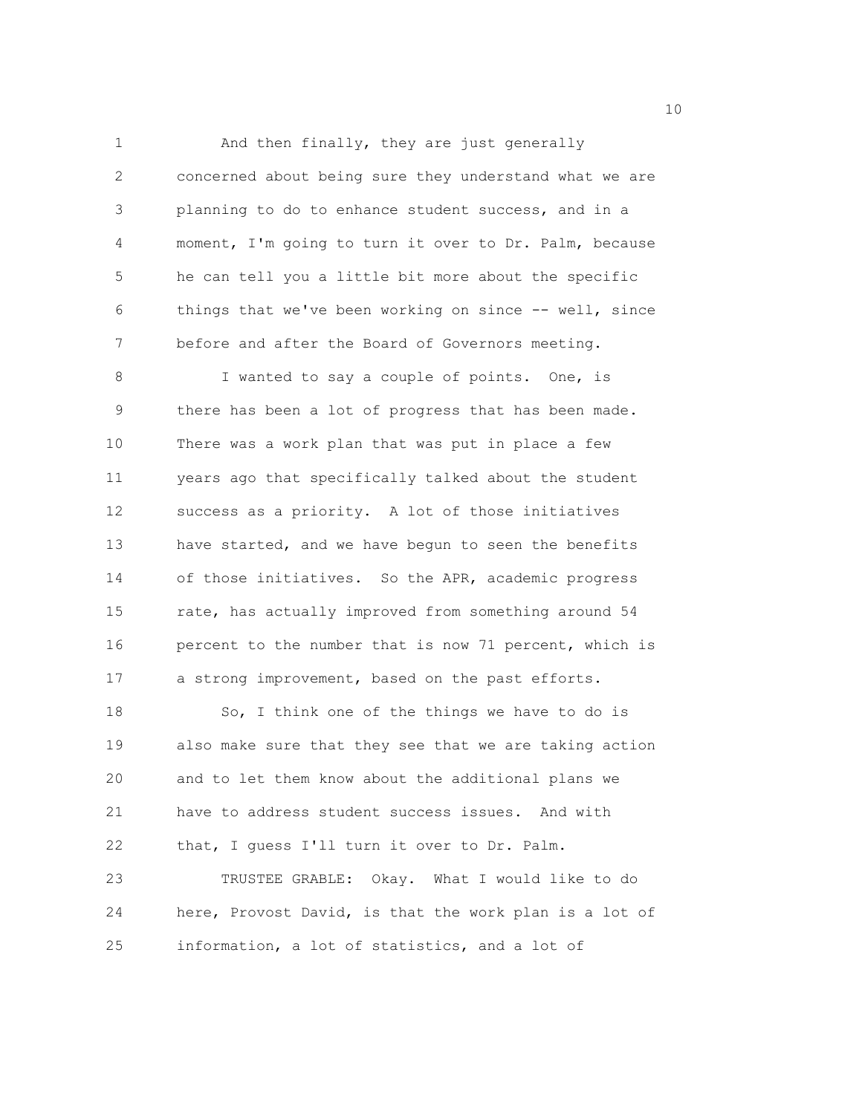1 And then finally, they are just generally 2 concerned about being sure they understand what we are 3 planning to do to enhance student success, and in a 4 moment, I'm going to turn it over to Dr. Palm, because 5 he can tell you a little bit more about the specific 6 things that we've been working on since -- well, since 7 before and after the Board of Governors meeting.

8 I wanted to say a couple of points. One, is 9 there has been a lot of progress that has been made. 10 There was a work plan that was put in place a few 11 years ago that specifically talked about the student 12 success as a priority. A lot of those initiatives 13 have started, and we have begun to seen the benefits 14 of those initiatives. So the APR, academic progress 15 rate, has actually improved from something around 54 16 percent to the number that is now 71 percent, which is 17 a strong improvement, based on the past efforts.

18 So, I think one of the things we have to do is 19 also make sure that they see that we are taking action 20 and to let them know about the additional plans we 21 have to address student success issues. And with 22 that, I guess I'll turn it over to Dr. Palm. 23 TRUSTEE GRABLE: Okay. What I would like to do 24 here, Provost David, is that the work plan is a lot of 25 information, a lot of statistics, and a lot of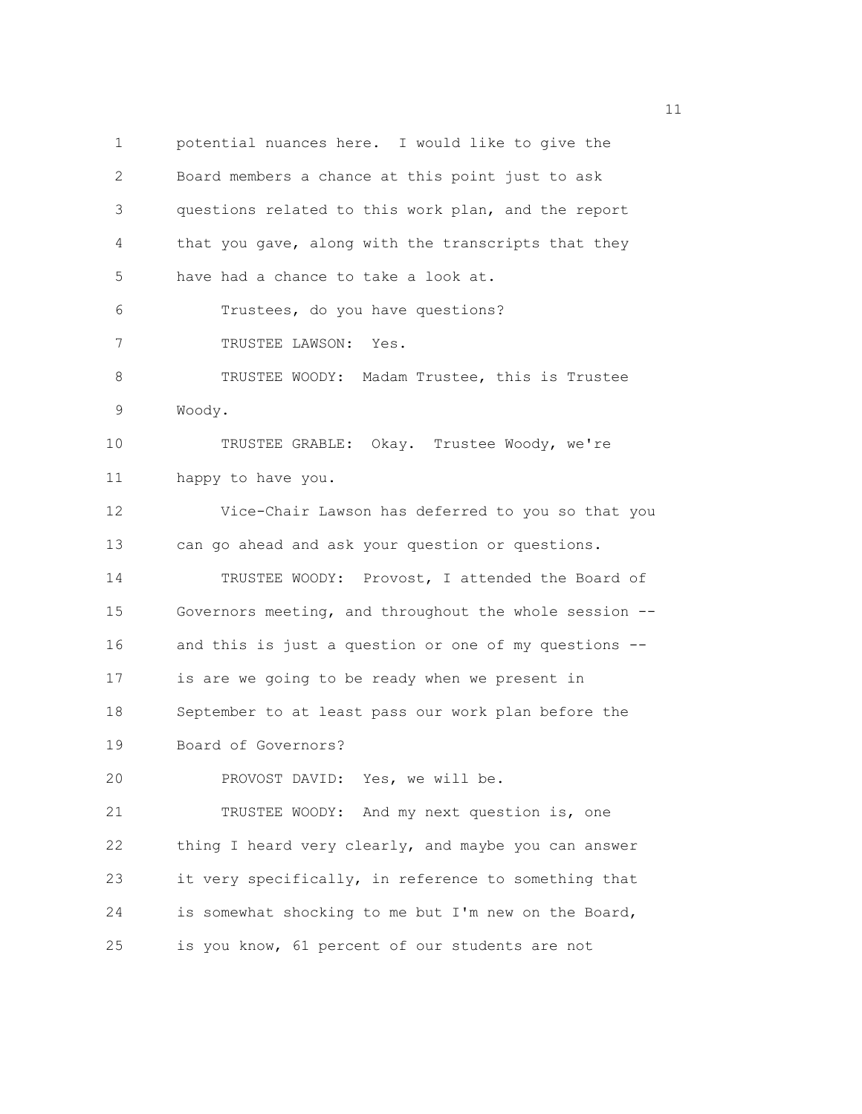1 potential nuances here. I would like to give the 2 Board members a chance at this point just to ask 3 questions related to this work plan, and the report 4 that you gave, along with the transcripts that they 5 have had a chance to take a look at. 6 Trustees, do you have questions? 7 TRUSTEE LAWSON: Yes. 8 TRUSTEE WOODY: Madam Trustee, this is Trustee 9 Woody. 10 TRUSTEE GRABLE: Okay. Trustee Woody, we're 11 happy to have you. 12 Vice-Chair Lawson has deferred to you so that you 13 can go ahead and ask your question or questions. 14 TRUSTEE WOODY: Provost, I attended the Board of 15 Governors meeting, and throughout the whole session -- 16 and this is just a question or one of my questions -- 17 is are we going to be ready when we present in 18 September to at least pass our work plan before the 19 Board of Governors? 20 PROVOST DAVID: Yes, we will be. 21 TRUSTEE WOODY: And my next question is, one 22 thing I heard very clearly, and maybe you can answer 23 it very specifically, in reference to something that 24 is somewhat shocking to me but I'm new on the Board, 25 is you know, 61 percent of our students are not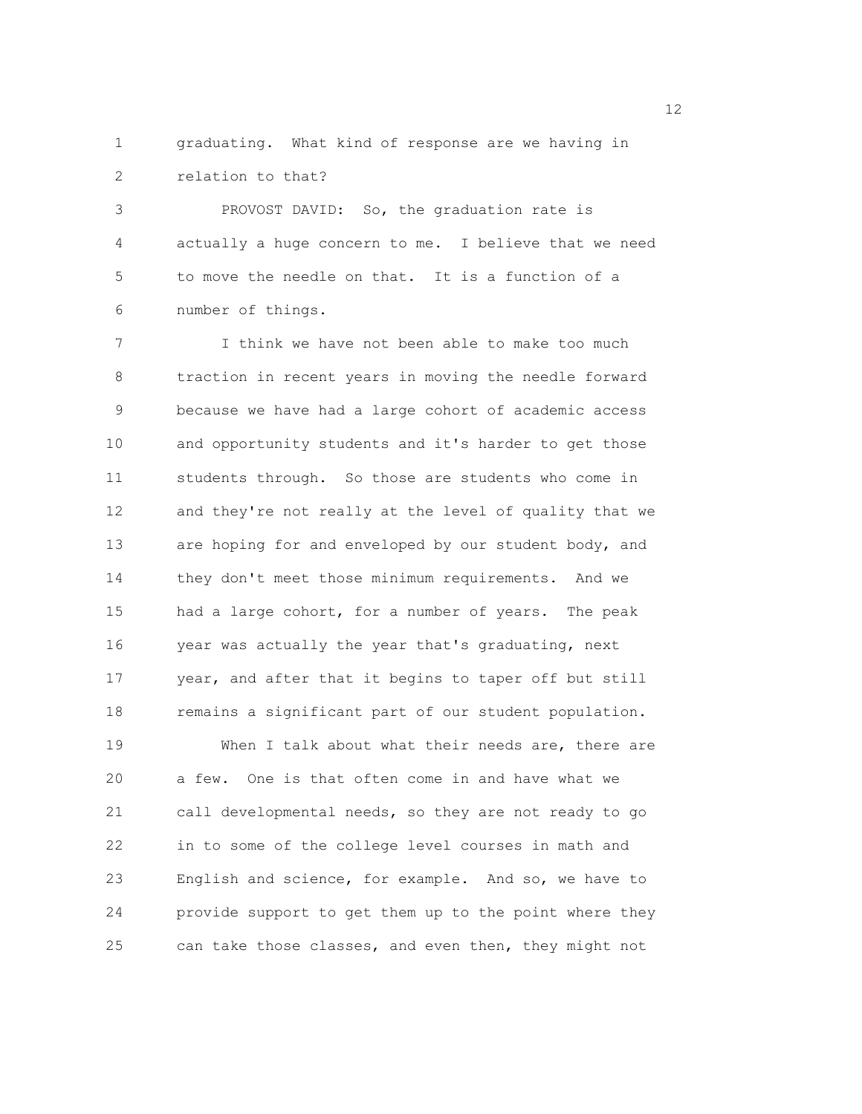1 graduating. What kind of response are we having in 2 relation to that?

3 PROVOST DAVID: So, the graduation rate is 4 actually a huge concern to me. I believe that we need 5 to move the needle on that. It is a function of a 6 number of things.

7 I think we have not been able to make too much 8 traction in recent years in moving the needle forward 9 because we have had a large cohort of academic access 10 and opportunity students and it's harder to get those 11 students through. So those are students who come in 12 and they're not really at the level of quality that we 13 are hoping for and enveloped by our student body, and 14 they don't meet those minimum requirements. And we 15 had a large cohort, for a number of years. The peak 16 year was actually the year that's graduating, next 17 year, and after that it begins to taper off but still 18 remains a significant part of our student population. 19 When I talk about what their needs are, there are 20 a few. One is that often come in and have what we 21 call developmental needs, so they are not ready to go 22 in to some of the college level courses in math and 23 English and science, for example. And so, we have to 24 provide support to get them up to the point where they 25 can take those classes, and even then, they might not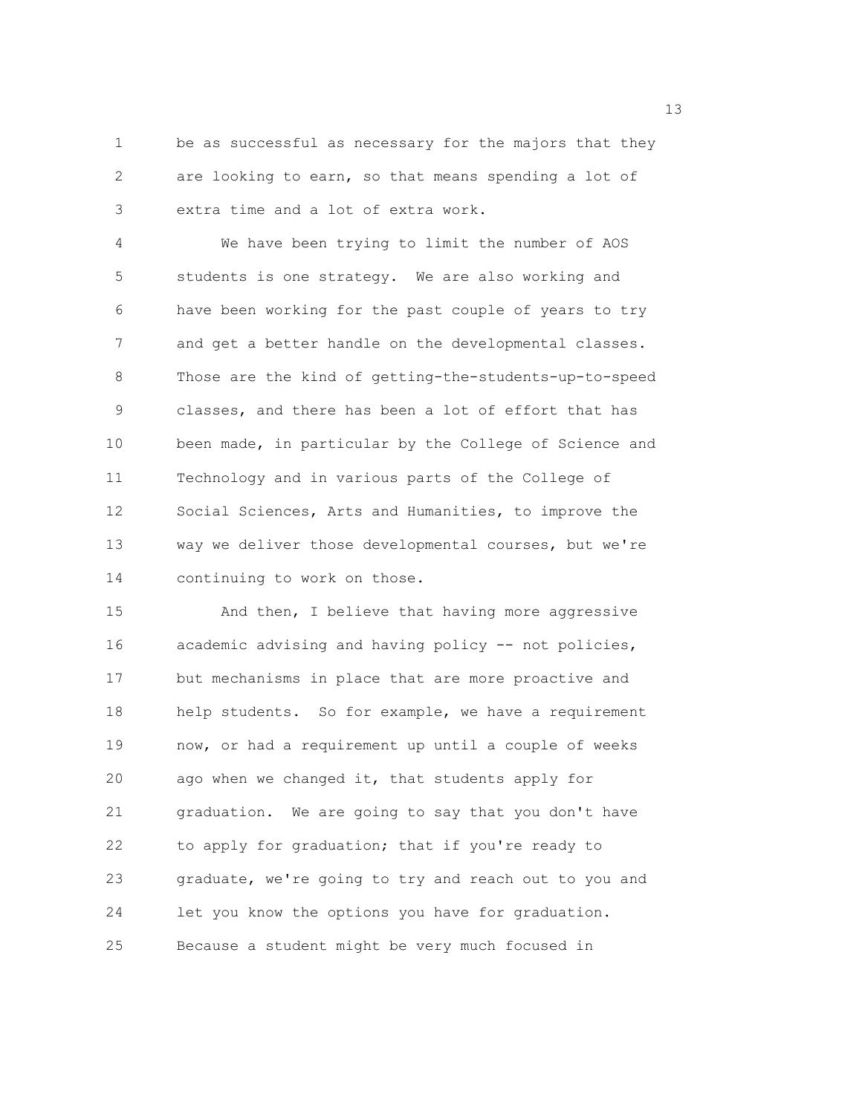1 be as successful as necessary for the majors that they 2 are looking to earn, so that means spending a lot of 3 extra time and a lot of extra work.

4 We have been trying to limit the number of AOS 5 students is one strategy. We are also working and 6 have been working for the past couple of years to try 7 and get a better handle on the developmental classes. 8 Those are the kind of getting-the-students-up-to-speed 9 classes, and there has been a lot of effort that has 10 been made, in particular by the College of Science and 11 Technology and in various parts of the College of 12 Social Sciences, Arts and Humanities, to improve the 13 way we deliver those developmental courses, but we're 14 continuing to work on those.

15 And then, I believe that having more aggressive 16 academic advising and having policy -- not policies, 17 but mechanisms in place that are more proactive and 18 help students. So for example, we have a requirement 19 now, or had a requirement up until a couple of weeks 20 ago when we changed it, that students apply for 21 graduation. We are going to say that you don't have 22 to apply for graduation; that if you're ready to 23 graduate, we're going to try and reach out to you and 24 let you know the options you have for graduation. 25 Because a student might be very much focused in

13 and 13 and 13 and 13 and 13 and 13 and 13 and 13 and 13 and 13 and 13 and 13 and 13 and 13 and 13 and 13 and 13 and 13 and 13 and 13 and 13 and 13 and 13 and 13 and 13 and 13 and 13 and 13 and 13 and 13 and 13 and 13 an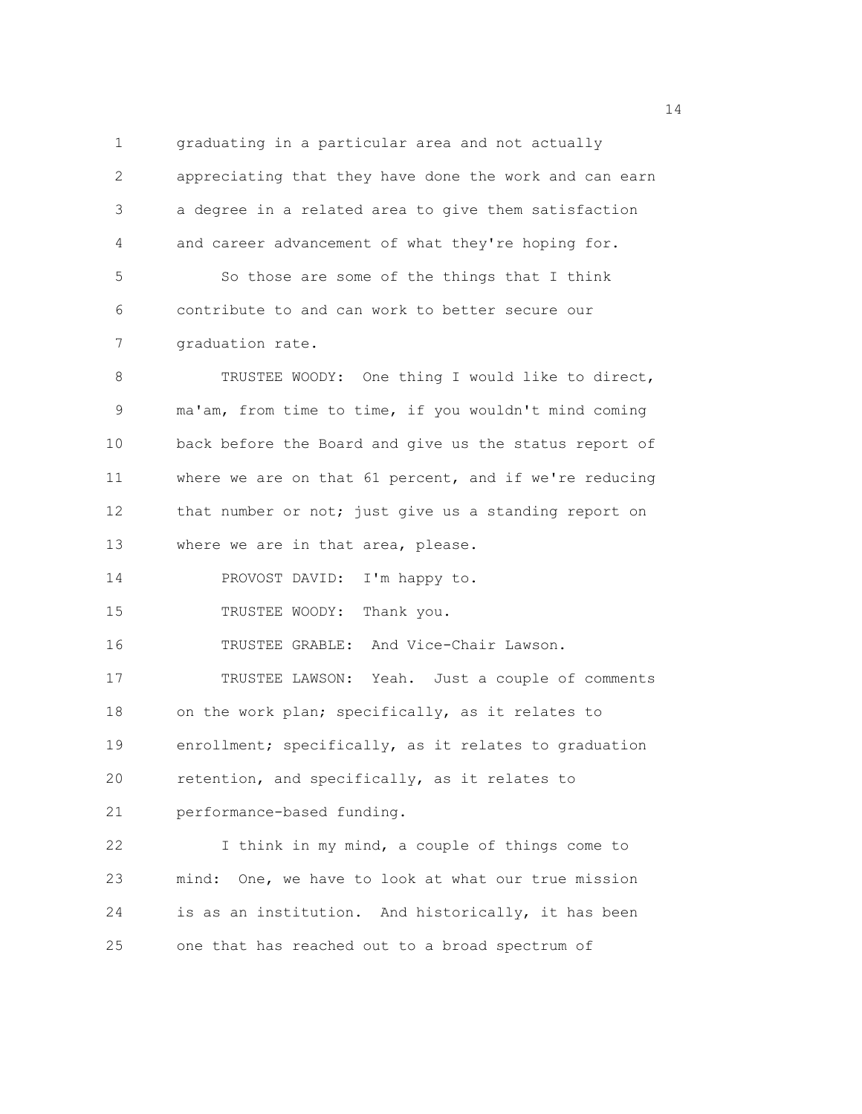1 graduating in a particular area and not actually 2 appreciating that they have done the work and can earn 3 a degree in a related area to give them satisfaction 4 and career advancement of what they're hoping for. 5 So those are some of the things that I think 6 contribute to and can work to better secure our 7 graduation rate. 8 TRUSTEE WOODY: One thing I would like to direct, 9 ma'am, from time to time, if you wouldn't mind coming 10 back before the Board and give us the status report of 11 where we are on that 61 percent, and if we're reducing 12 that number or not; just give us a standing report on 13 where we are in that area, please. 14 PROVOST DAVID: I'm happy to. 15 TRUSTEE WOODY: Thank you. 16 TRUSTEE GRABLE: And Vice-Chair Lawson. 17 TRUSTEE LAWSON: Yeah. Just a couple of comments 18 on the work plan; specifically, as it relates to 19 enrollment; specifically, as it relates to graduation 20 retention, and specifically, as it relates to 21 performance-based funding. 22 I think in my mind, a couple of things come to 23 mind: One, we have to look at what our true mission 24 is as an institution. And historically, it has been 25 one that has reached out to a broad spectrum of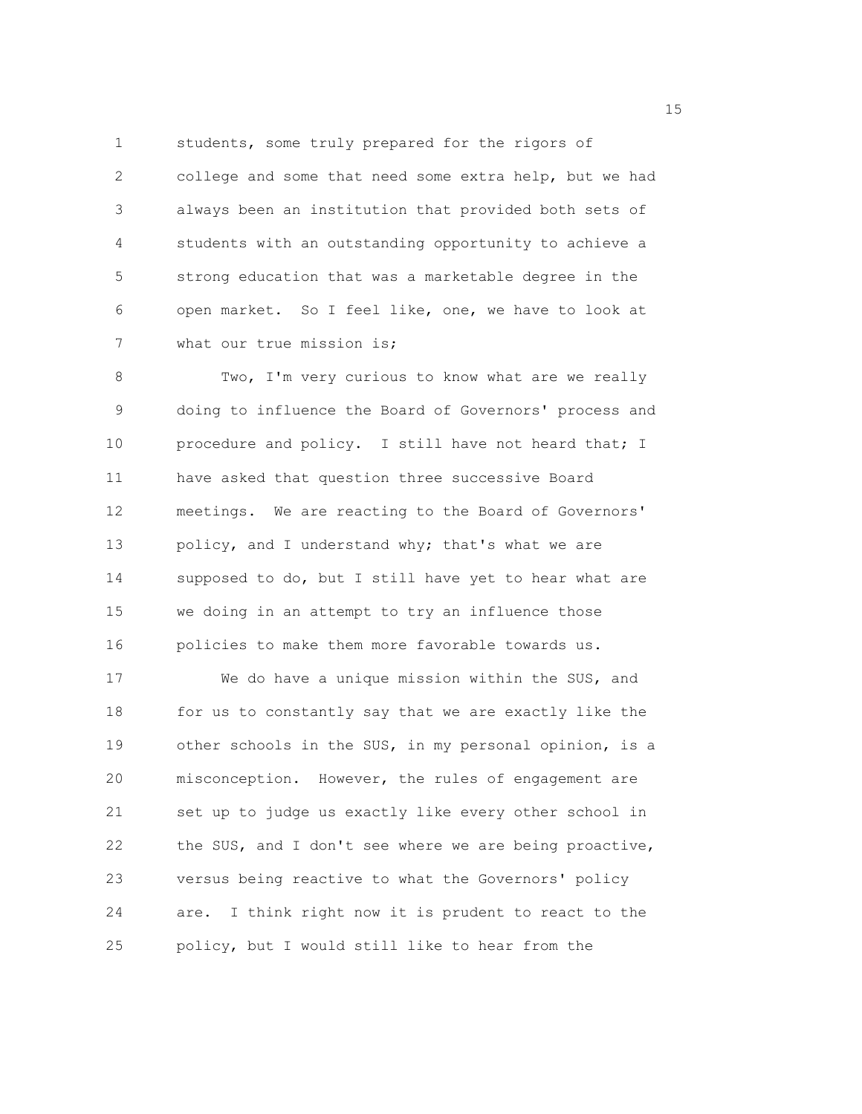1 students, some truly prepared for the rigors of 2 college and some that need some extra help, but we had 3 always been an institution that provided both sets of 4 students with an outstanding opportunity to achieve a 5 strong education that was a marketable degree in the 6 open market. So I feel like, one, we have to look at 7 what our true mission is;

8 Two, I'm very curious to know what are we really 9 doing to influence the Board of Governors' process and 10 procedure and policy. I still have not heard that; I 11 have asked that question three successive Board 12 meetings. We are reacting to the Board of Governors' 13 policy, and I understand why; that's what we are 14 supposed to do, but I still have yet to hear what are 15 we doing in an attempt to try an influence those 16 policies to make them more favorable towards us.

17 We do have a unique mission within the SUS, and 18 for us to constantly say that we are exactly like the 19 other schools in the SUS, in my personal opinion, is a 20 misconception. However, the rules of engagement are 21 set up to judge us exactly like every other school in 22 the SUS, and I don't see where we are being proactive, 23 versus being reactive to what the Governors' policy 24 are. I think right now it is prudent to react to the 25 policy, but I would still like to hear from the

n 15 ann an 15 an t-Òire ann an 15 an t-Òire an t-Òire an t-Òire an t-Òire ann an 15 an t-Òire an t-Òire an t-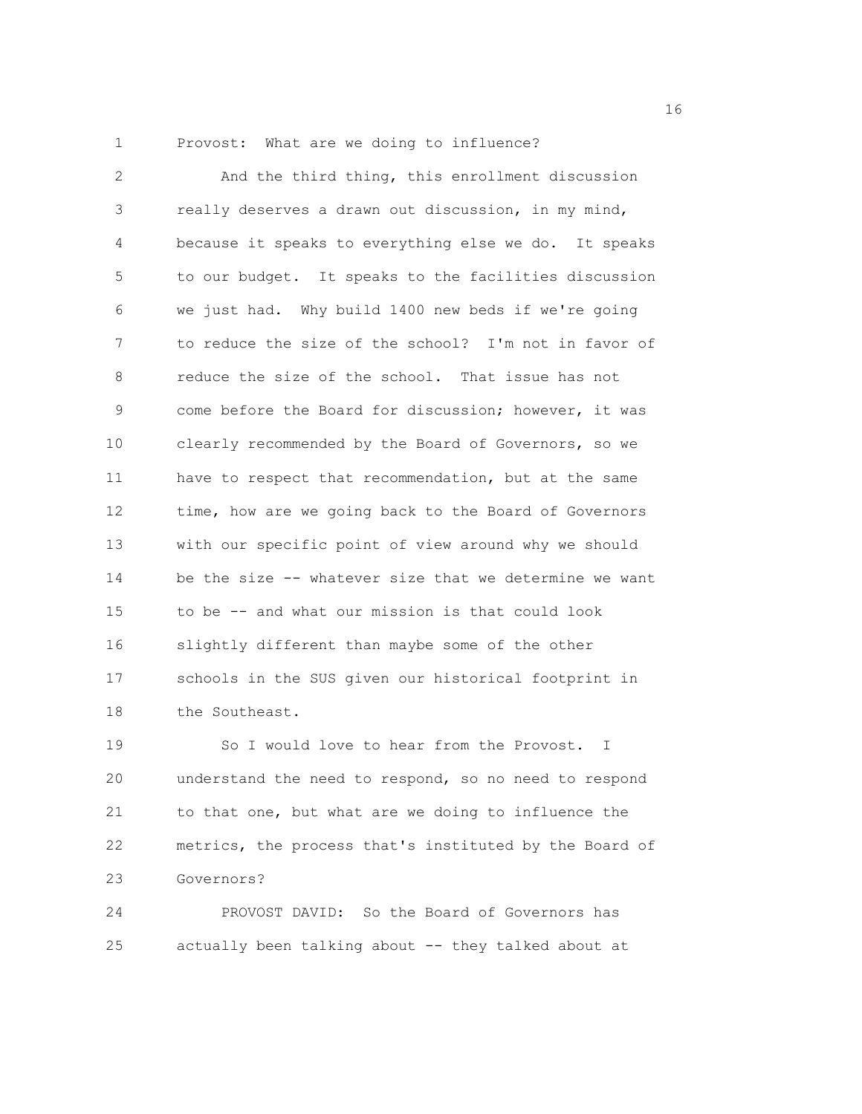1 Provost: What are we doing to influence?

2 And the third thing, this enrollment discussion 3 really deserves a drawn out discussion, in my mind, 4 because it speaks to everything else we do. It speaks 5 to our budget. It speaks to the facilities discussion 6 we just had. Why build 1400 new beds if we're going 7 to reduce the size of the school? I'm not in favor of 8 reduce the size of the school. That issue has not 9 come before the Board for discussion; however, it was 10 clearly recommended by the Board of Governors, so we 11 have to respect that recommendation, but at the same 12 time, how are we going back to the Board of Governors 13 with our specific point of view around why we should 14 be the size -- whatever size that we determine we want 15 to be -- and what our mission is that could look 16 slightly different than maybe some of the other 17 schools in the SUS given our historical footprint in 18 the Southeast.

19 So I would love to hear from the Provost. I 20 understand the need to respond, so no need to respond 21 to that one, but what are we doing to influence the 22 metrics, the process that's instituted by the Board of 23 Governors?

24 PROVOST DAVID: So the Board of Governors has 25 actually been talking about -- they talked about at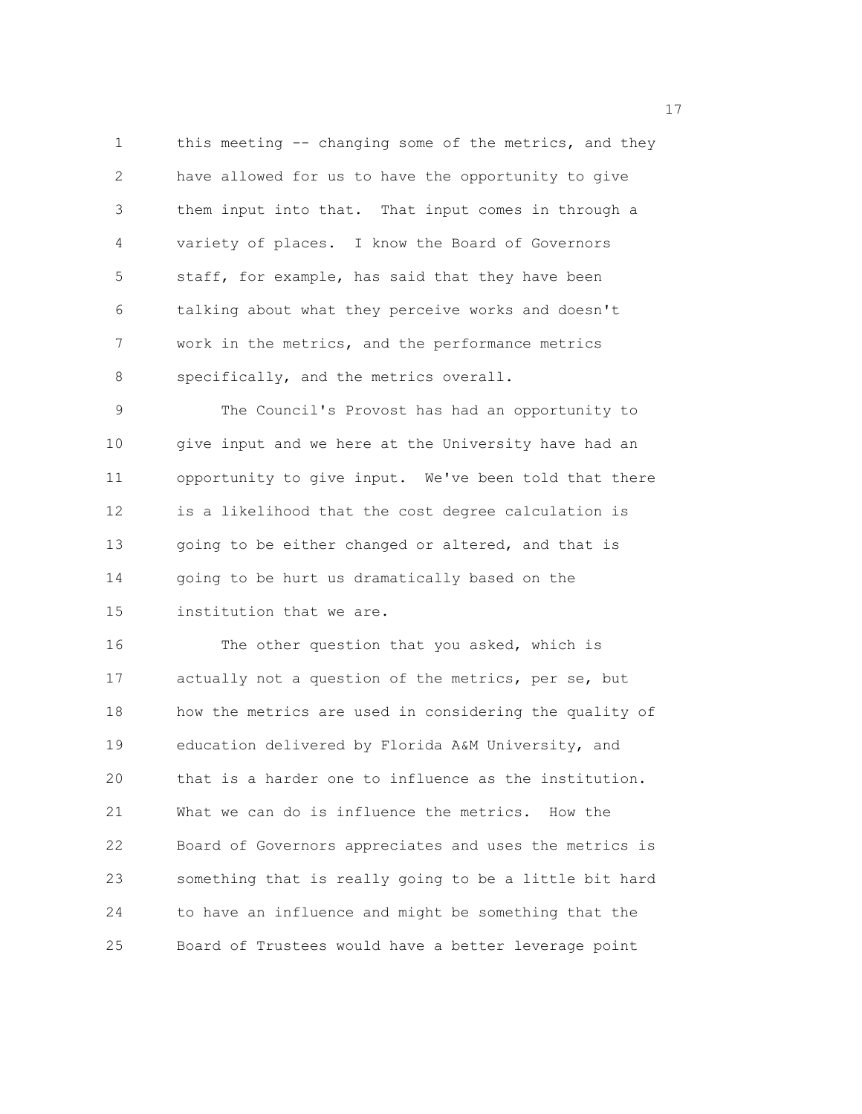1 this meeting -- changing some of the metrics, and they 2 have allowed for us to have the opportunity to give 3 them input into that. That input comes in through a 4 variety of places. I know the Board of Governors 5 staff, for example, has said that they have been 6 talking about what they perceive works and doesn't 7 work in the metrics, and the performance metrics 8 specifically, and the metrics overall.

9 The Council's Provost has had an opportunity to 10 give input and we here at the University have had an 11 opportunity to give input. We've been told that there 12 is a likelihood that the cost degree calculation is 13 going to be either changed or altered, and that is 14 going to be hurt us dramatically based on the 15 institution that we are.

16 The other question that you asked, which is 17 actually not a question of the metrics, per se, but 18 how the metrics are used in considering the quality of 19 education delivered by Florida A&M University, and 20 that is a harder one to influence as the institution. 21 What we can do is influence the metrics. How the 22 Board of Governors appreciates and uses the metrics is 23 something that is really going to be a little bit hard 24 to have an influence and might be something that the 25 Board of Trustees would have a better leverage point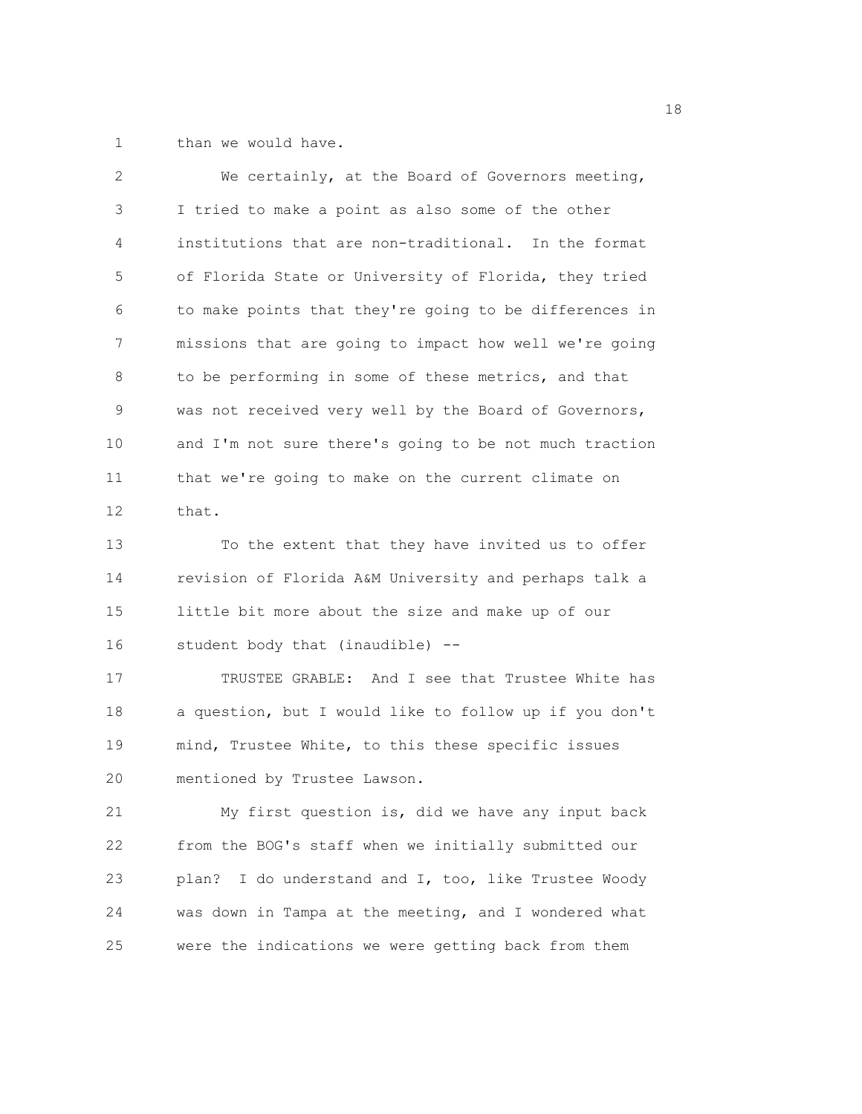1 than we would have.

| $\overline{2}$ | We certainly, at the Board of Governors meeting,       |
|----------------|--------------------------------------------------------|
| 3              | I tried to make a point as also some of the other      |
| 4              | institutions that are non-traditional. In the format   |
| 5              | of Florida State or University of Florida, they tried  |
| 6              | to make points that they're going to be differences in |
| 7              | missions that are going to impact how well we're going |
| 8              | to be performing in some of these metrics, and that    |
| 9              | was not received very well by the Board of Governors,  |
| 10             | and I'm not sure there's going to be not much traction |
| 11             | that we're going to make on the current climate on     |
| 12             | that.                                                  |
| 13             | To the extent that they have invited us to offer       |
| 14             | revision of Florida A&M University and perhaps talk a  |
| 15             | little bit more about the size and make up of our      |

16 student body that (inaudible) --

17 TRUSTEE GRABLE: And I see that Trustee White has 18 a question, but I would like to follow up if you don't 19 mind, Trustee White, to this these specific issues 20 mentioned by Trustee Lawson.

21 My first question is, did we have any input back 22 from the BOG's staff when we initially submitted our 23 plan? I do understand and I, too, like Trustee Woody 24 was down in Tampa at the meeting, and I wondered what 25 were the indications we were getting back from them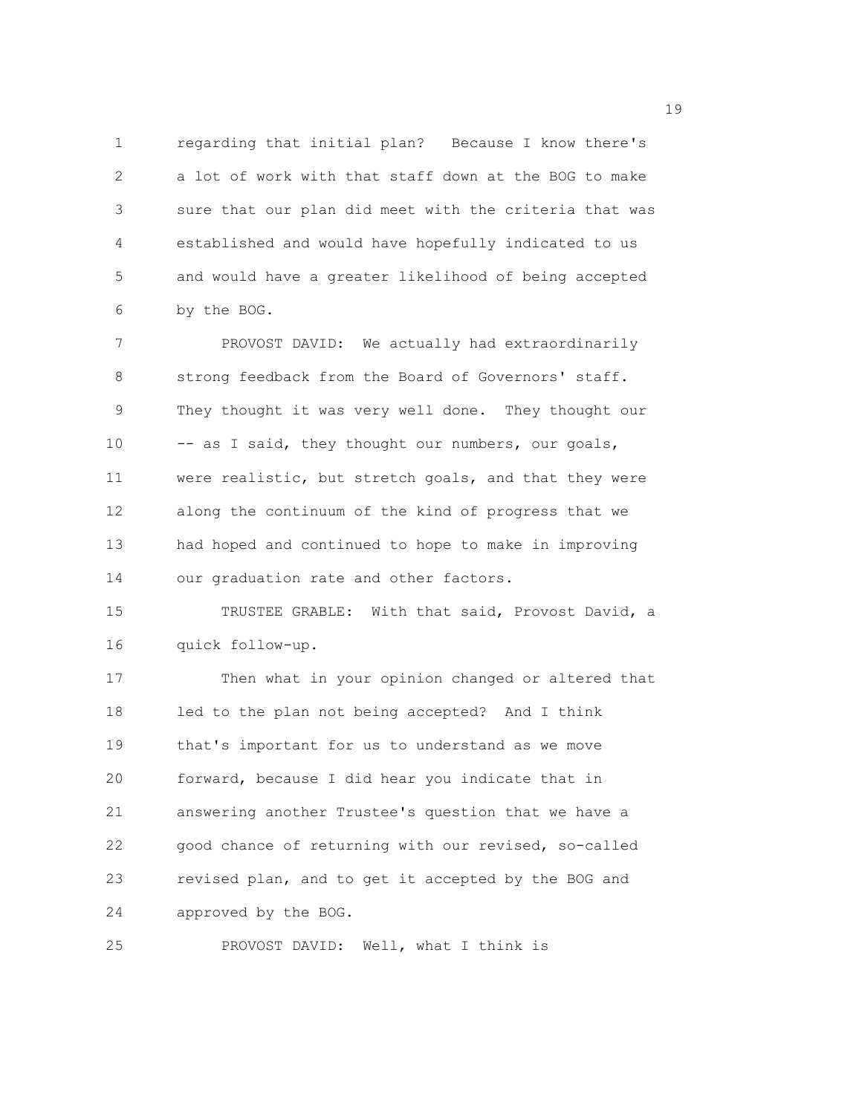1 regarding that initial plan? Because I know there's 2 a lot of work with that staff down at the BOG to make 3 sure that our plan did meet with the criteria that was 4 established and would have hopefully indicated to us 5 and would have a greater likelihood of being accepted 6 by the BOG.

7 PROVOST DAVID: We actually had extraordinarily 8 strong feedback from the Board of Governors' staff. 9 They thought it was very well done. They thought our 10 -- as I said, they thought our numbers, our goals, 11 were realistic, but stretch goals, and that they were 12 along the continuum of the kind of progress that we 13 had hoped and continued to hope to make in improving 14 our graduation rate and other factors.

15 TRUSTEE GRABLE: With that said, Provost David, a 16 quick follow-up.

17 Then what in your opinion changed or altered that 18 led to the plan not being accepted? And I think 19 that's important for us to understand as we move 20 forward, because I did hear you indicate that in 21 answering another Trustee's question that we have a 22 good chance of returning with our revised, so-called 23 revised plan, and to get it accepted by the BOG and 24 approved by the BOG.

25 PROVOST DAVID: Well, what I think is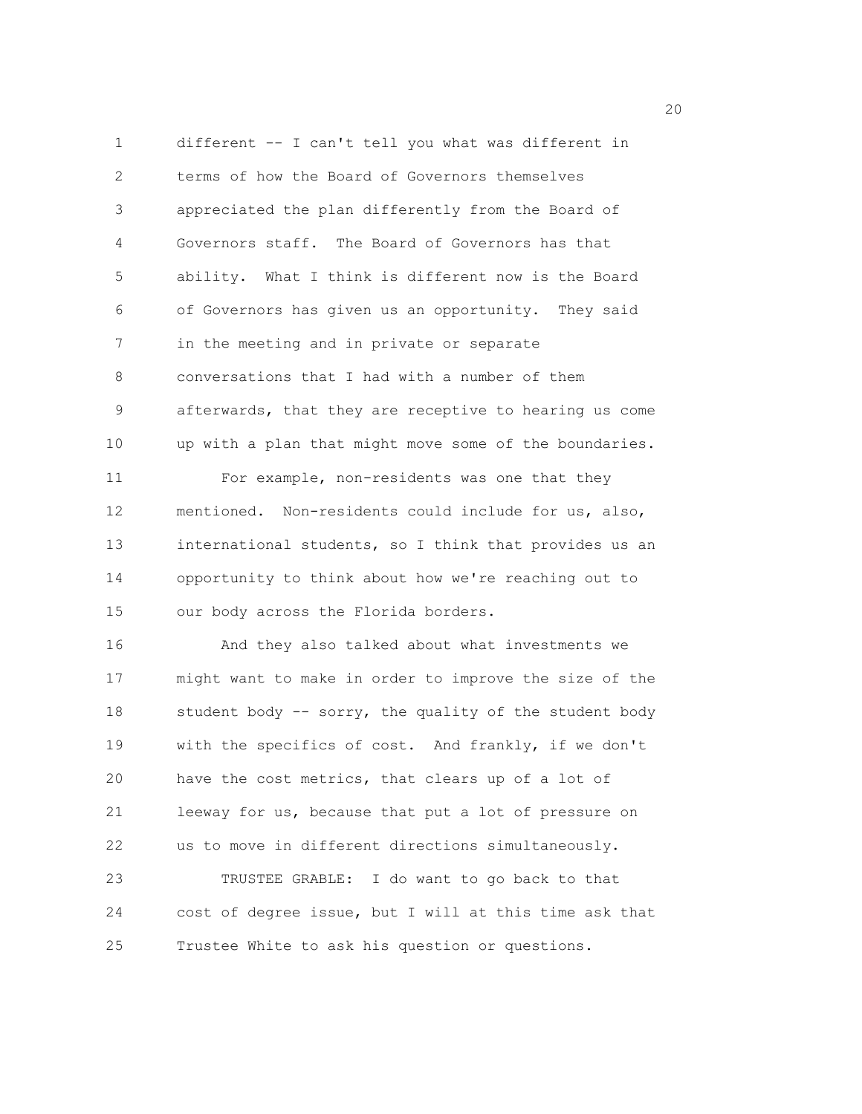1 different -- I can't tell you what was different in 2 terms of how the Board of Governors themselves 3 appreciated the plan differently from the Board of 4 Governors staff. The Board of Governors has that 5 ability. What I think is different now is the Board 6 of Governors has given us an opportunity. They said 7 in the meeting and in private or separate 8 conversations that I had with a number of them 9 afterwards, that they are receptive to hearing us come 10 up with a plan that might move some of the boundaries. 11 For example, non-residents was one that they 12 mentioned. Non-residents could include for us, also, 13 international students, so I think that provides us an 14 opportunity to think about how we're reaching out to 15 our body across the Florida borders. 16 And they also talked about what investments we 17 might want to make in order to improve the size of the 18 student body -- sorry, the quality of the student body 19 with the specifics of cost. And frankly, if we don't 20 have the cost metrics, that clears up of a lot of 21 leeway for us, because that put a lot of pressure on 22 us to move in different directions simultaneously. 23 TRUSTEE GRABLE: I do want to go back to that 24 cost of degree issue, but I will at this time ask that 25 Trustee White to ask his question or questions.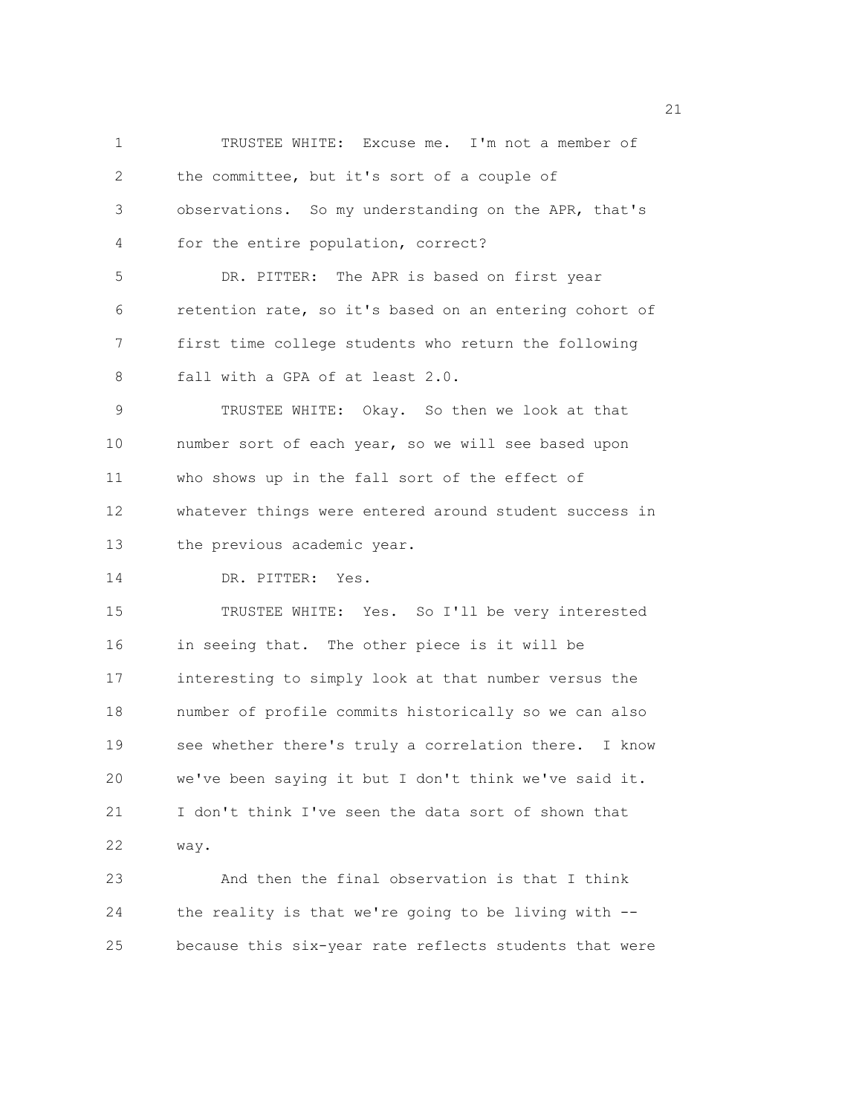1 TRUSTEE WHITE: Excuse me. I'm not a member of 2 the committee, but it's sort of a couple of 3 observations. So my understanding on the APR, that's 4 for the entire population, correct? 5 DR. PITTER: The APR is based on first year 6 retention rate, so it's based on an entering cohort of 7 first time college students who return the following 8 fall with a GPA of at least 2.0. 9 TRUSTEE WHITE: Okay. So then we look at that 10 number sort of each year, so we will see based upon 11 who shows up in the fall sort of the effect of 12 whatever things were entered around student success in 13 the previous academic year. 14 DR. PITTER: Yes. 15 TRUSTEE WHITE: Yes. So I'll be very interested 16 in seeing that. The other piece is it will be 17 interesting to simply look at that number versus the 18 number of profile commits historically so we can also 19 see whether there's truly a correlation there. I know 20 we've been saying it but I don't think we've said it. 21 I don't think I've seen the data sort of shown that 22 way. 23 And then the final observation is that I think 24 the reality is that we're going to be living with -- 25 because this six-year rate reflects students that were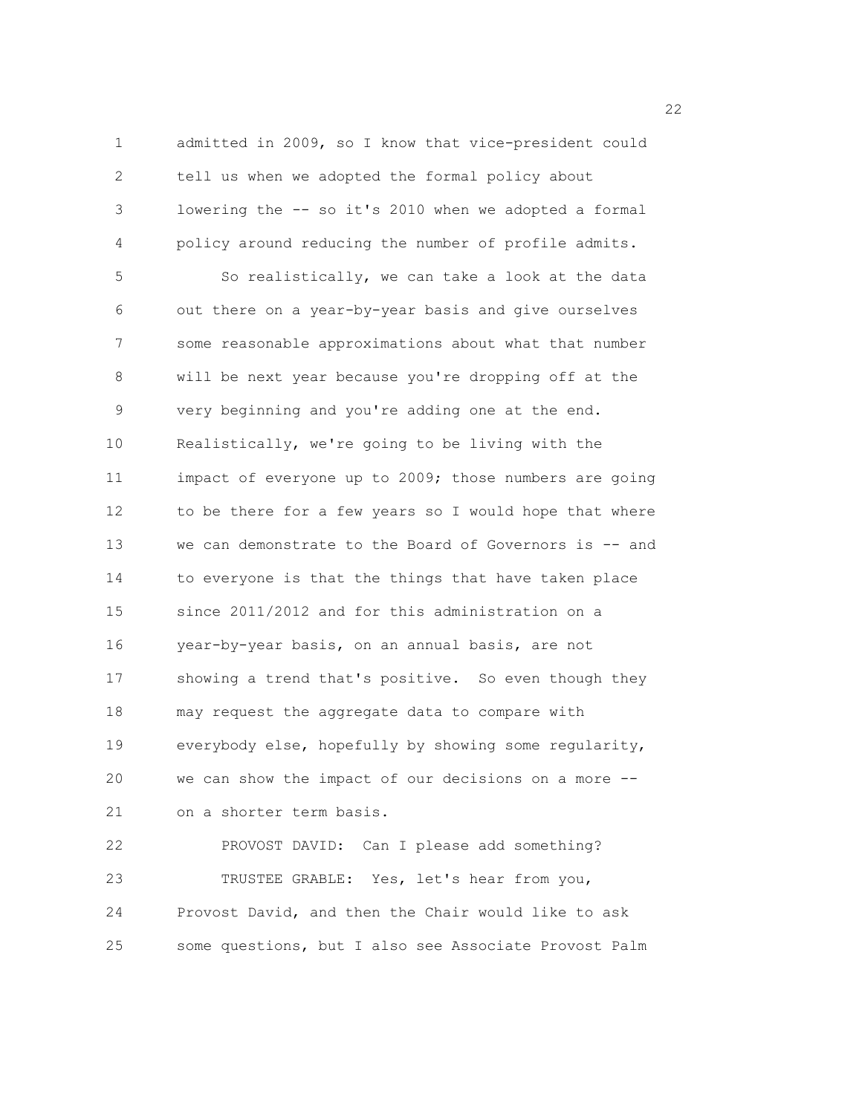1 admitted in 2009, so I know that vice-president could 2 tell us when we adopted the formal policy about 3 lowering the -- so it's 2010 when we adopted a formal 4 policy around reducing the number of profile admits. 5 So realistically, we can take a look at the data 6 out there on a year-by-year basis and give ourselves 7 some reasonable approximations about what that number 8 will be next year because you're dropping off at the 9 very beginning and you're adding one at the end. 10 Realistically, we're going to be living with the 11 impact of everyone up to 2009; those numbers are going 12 to be there for a few years so I would hope that where 13 we can demonstrate to the Board of Governors is -- and 14 to everyone is that the things that have taken place 15 since 2011/2012 and for this administration on a 16 year-by-year basis, on an annual basis, are not 17 showing a trend that's positive. So even though they 18 may request the aggregate data to compare with 19 everybody else, hopefully by showing some regularity, 20 we can show the impact of our decisions on a more -- 21 on a shorter term basis. 22 PROVOST DAVID: Can I please add something? 23 TRUSTEE GRABLE: Yes, let's hear from you, 24 Provost David, and then the Chair would like to ask

25 some questions, but I also see Associate Provost Palm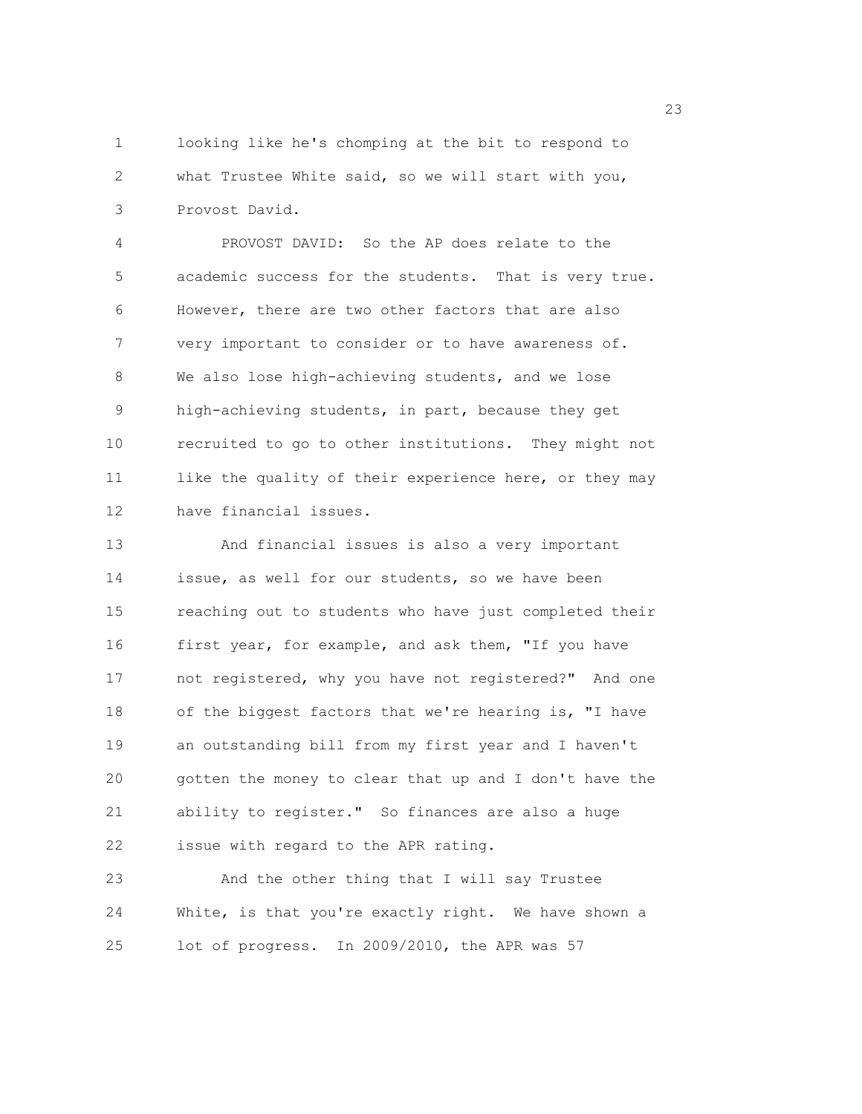1 looking like he's chomping at the bit to respond to 2 what Trustee White said, so we will start with you, 3 Provost David.

4 PROVOST DAVID: So the AP does relate to the 5 academic success for the students. That is very true. 6 However, there are two other factors that are also 7 very important to consider or to have awareness of. 8 We also lose high-achieving students, and we lose 9 high-achieving students, in part, because they get 10 recruited to go to other institutions. They might not 11 like the quality of their experience here, or they may 12 have financial issues.

13 And financial issues is also a very important 14 issue, as well for our students, so we have been 15 reaching out to students who have just completed their 16 first year, for example, and ask them, "If you have 17 not registered, why you have not registered?" And one 18 of the biggest factors that we're hearing is, "I have 19 an outstanding bill from my first year and I haven't 20 gotten the money to clear that up and I don't have the 21 ability to register." So finances are also a huge 22 issue with regard to the APR rating.

23 And the other thing that I will say Trustee 24 White, is that you're exactly right. We have shown a 25 lot of progress. In 2009/2010, the APR was 57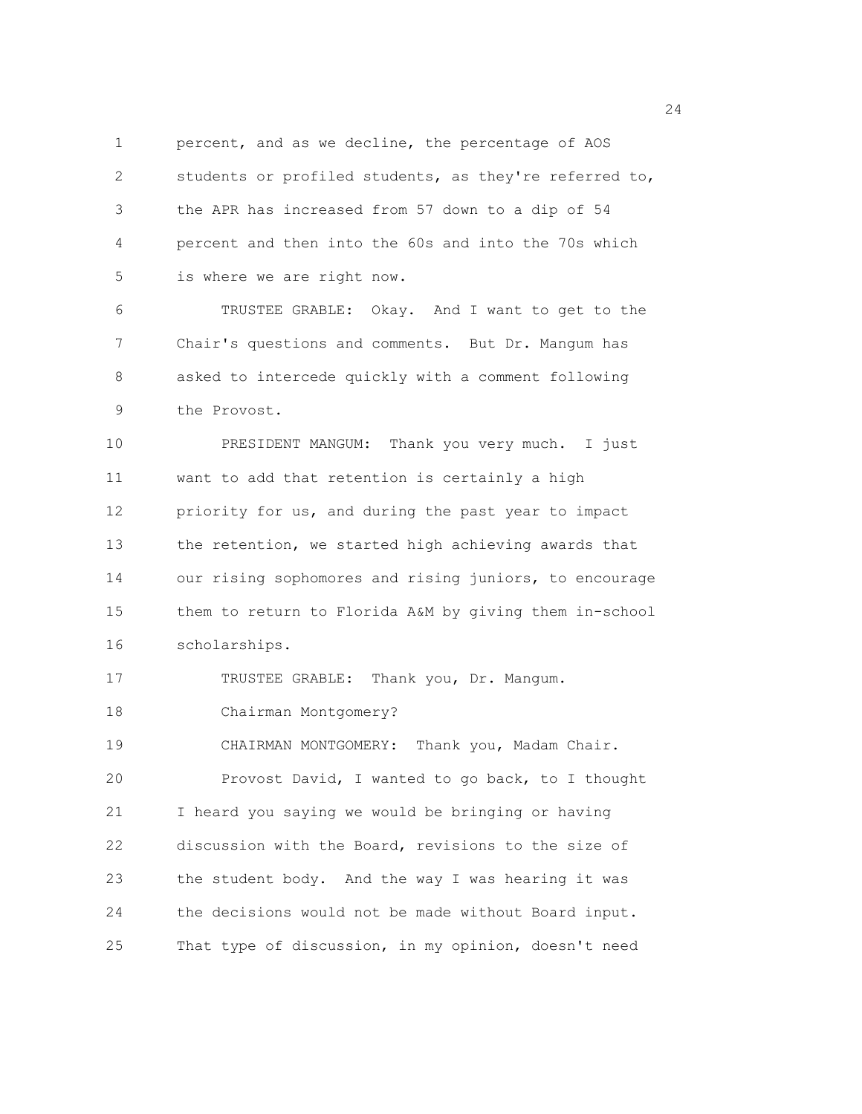1 percent, and as we decline, the percentage of AOS 2 students or profiled students, as they're referred to, 3 the APR has increased from 57 down to a dip of 54 4 percent and then into the 60s and into the 70s which 5 is where we are right now.

6 TRUSTEE GRABLE: Okay. And I want to get to the 7 Chair's questions and comments. But Dr. Mangum has 8 asked to intercede quickly with a comment following 9 the Provost.

10 PRESIDENT MANGUM: Thank you very much. I just 11 want to add that retention is certainly a high 12 priority for us, and during the past year to impact 13 the retention, we started high achieving awards that 14 our rising sophomores and rising juniors, to encourage 15 them to return to Florida A&M by giving them in-school 16 scholarships.

17 TRUSTEE GRABLE: Thank you, Dr. Mangum.

18 Chairman Montgomery?

19 CHAIRMAN MONTGOMERY: Thank you, Madam Chair. 20 Provost David, I wanted to go back, to I thought 21 I heard you saying we would be bringing or having 22 discussion with the Board, revisions to the size of 23 the student body. And the way I was hearing it was 24 the decisions would not be made without Board input. 25 That type of discussion, in my opinion, doesn't need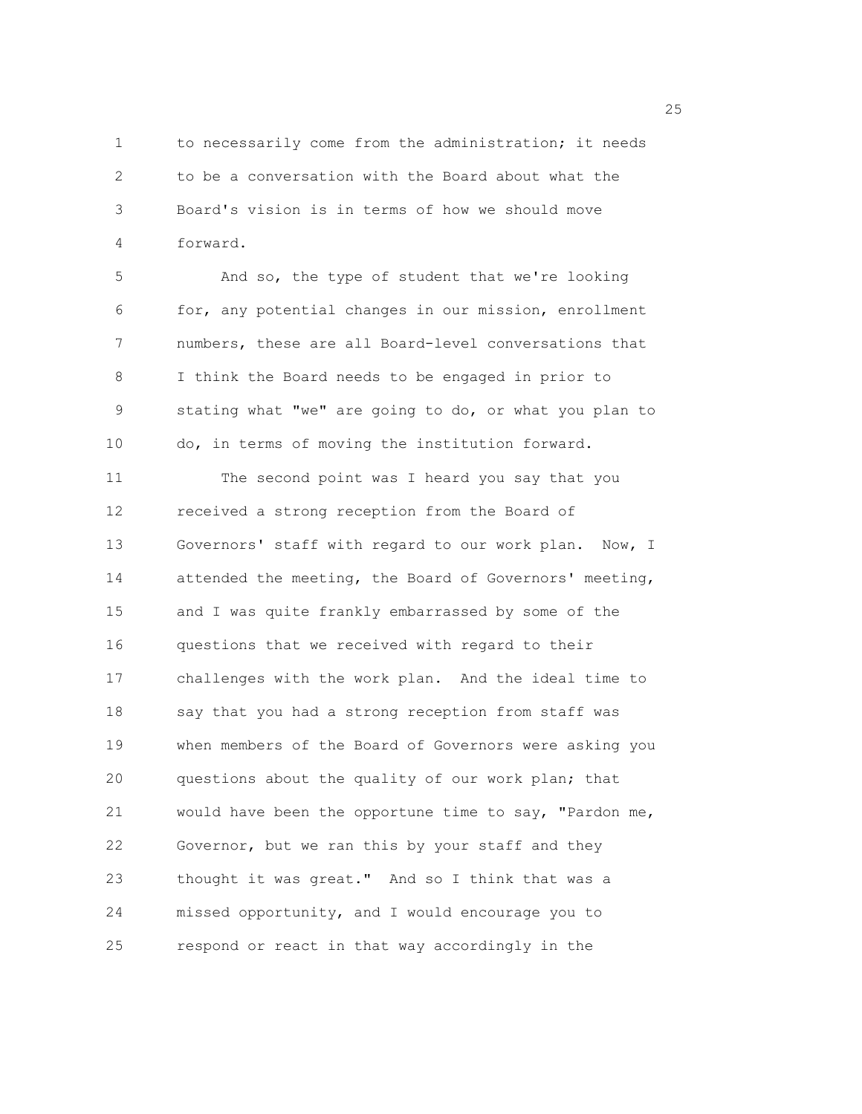1 to necessarily come from the administration; it needs 2 to be a conversation with the Board about what the 3 Board's vision is in terms of how we should move 4 forward.

5 And so, the type of student that we're looking 6 for, any potential changes in our mission, enrollment 7 numbers, these are all Board-level conversations that 8 I think the Board needs to be engaged in prior to 9 stating what "we" are going to do, or what you plan to 10 do, in terms of moving the institution forward.

11 The second point was I heard you say that you 12 received a strong reception from the Board of 13 Governors' staff with regard to our work plan. Now, I 14 attended the meeting, the Board of Governors' meeting, 15 and I was quite frankly embarrassed by some of the 16 questions that we received with regard to their 17 challenges with the work plan. And the ideal time to 18 say that you had a strong reception from staff was 19 when members of the Board of Governors were asking you 20 questions about the quality of our work plan; that 21 would have been the opportune time to say, "Pardon me, 22 Governor, but we ran this by your staff and they 23 thought it was great." And so I think that was a 24 missed opportunity, and I would encourage you to 25 respond or react in that way accordingly in the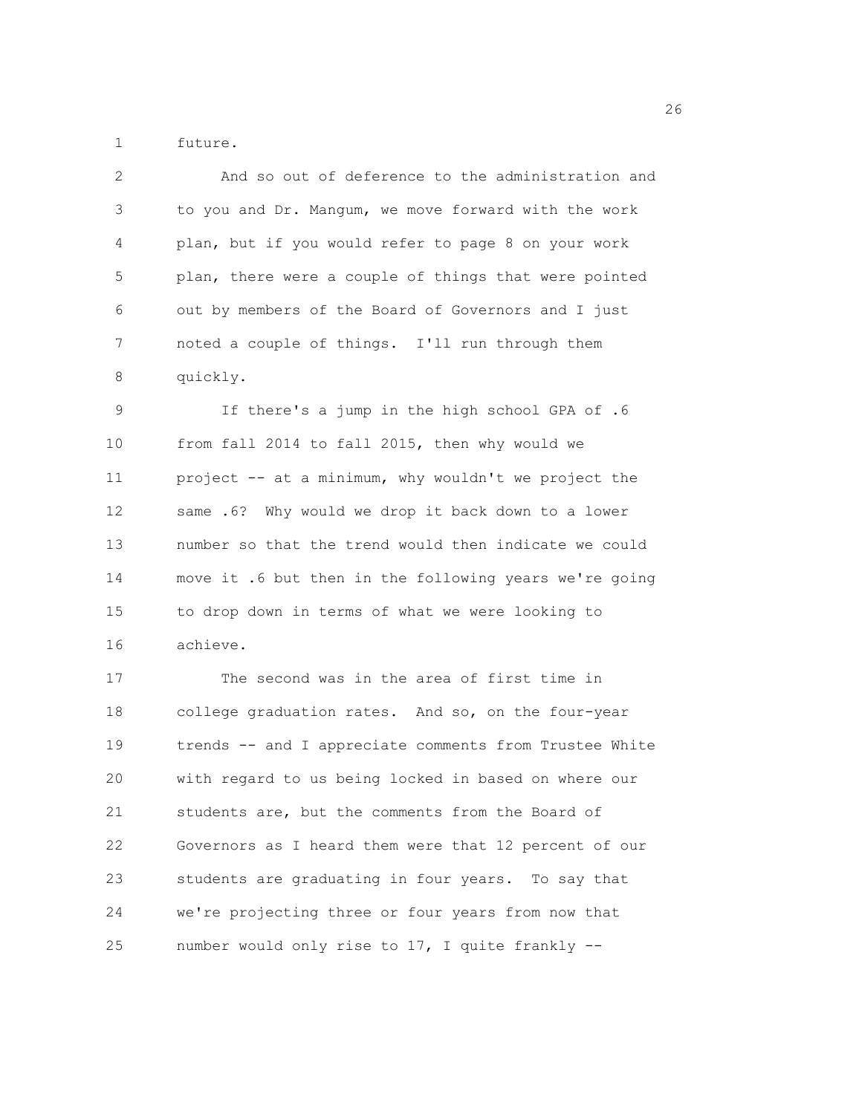1 future.

| 2           | And so out of deference to the administration and      |
|-------------|--------------------------------------------------------|
| $\mathsf 3$ | to you and Dr. Mangum, we move forward with the work   |
| 4           | plan, but if you would refer to page 8 on your work    |
| 5           | plan, there were a couple of things that were pointed  |
| 6           | out by members of the Board of Governors and I just    |
| 7           | noted a couple of things. I'll run through them        |
| $\,8\,$     | quickly.                                               |
| $\mathsf 9$ | If there's a jump in the high school GPA of .6         |
| 10          | from fall 2014 to fall 2015, then why would we         |
| 11          | project -- at a minimum, why wouldn't we project the   |
| 12          | same .6? Why would we drop it back down to a lower     |
| 13          | number so that the trend would then indicate we could  |
| 14          | move it .6 but then in the following years we're going |
| 15          | to drop down in terms of what we were looking to       |
| 16          | achieve.                                               |
| 17          | The second was in the area of first time in            |
| 18          | college graduation rates. And so, on the four-year     |
| 19          | trends -- and I appreciate comments from Trustee White |
| 20          | with regard to us being locked in based on where our   |
| 21          | students are, but the comments from the Board of       |
| 22          | Governors as I heard them were that 12 percent of our  |
| 23          | students are graduating in four years. To say that     |
| 24          | we're projecting three or four years from now that     |
|             |                                                        |

25 number would only rise to 17, I quite frankly --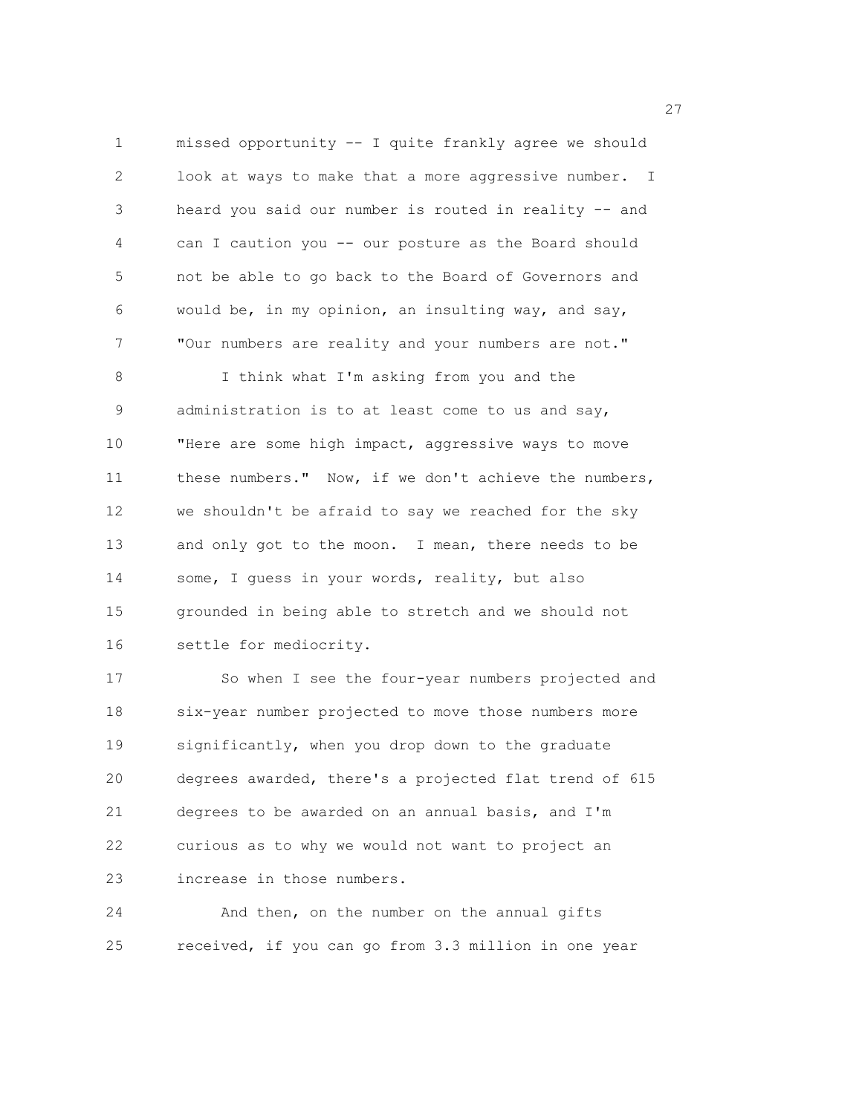1 missed opportunity -- I quite frankly agree we should 2 look at ways to make that a more aggressive number. I 3 heard you said our number is routed in reality -- and 4 can I caution you -- our posture as the Board should 5 not be able to go back to the Board of Governors and 6 would be, in my opinion, an insulting way, and say, 7 "Our numbers are reality and your numbers are not." 8 I think what I'm asking from you and the 9 administration is to at least come to us and say, 10 "Here are some high impact, aggressive ways to move 11 these numbers." Now, if we don't achieve the numbers, 12 we shouldn't be afraid to say we reached for the sky 13 and only got to the moon. I mean, there needs to be 14 some, I guess in your words, reality, but also

15 grounded in being able to stretch and we should not 16 settle for mediocrity.

17 So when I see the four-year numbers projected and 18 six-year number projected to move those numbers more 19 significantly, when you drop down to the graduate 20 degrees awarded, there's a projected flat trend of 615 21 degrees to be awarded on an annual basis, and I'm 22 curious as to why we would not want to project an 23 increase in those numbers.

24 And then, on the number on the annual gifts 25 received, if you can go from 3.3 million in one year

<u>27</u>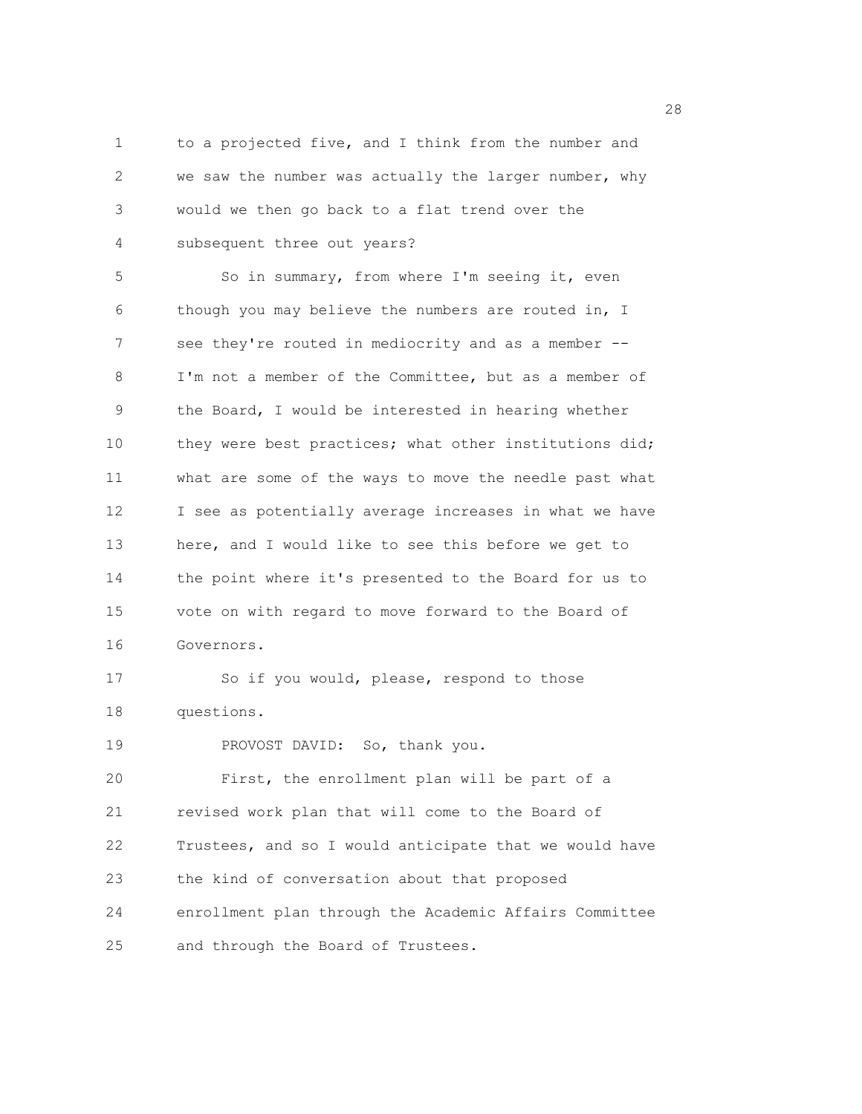1 to a projected five, and I think from the number and 2 we saw the number was actually the larger number, why 3 would we then go back to a flat trend over the 4 subsequent three out years?

5 So in summary, from where I'm seeing it, even 6 though you may believe the numbers are routed in, I 7 see they're routed in mediocrity and as a member -- 8 I'm not a member of the Committee, but as a member of 9 the Board, I would be interested in hearing whether 10 they were best practices; what other institutions did; 11 what are some of the ways to move the needle past what 12 I see as potentially average increases in what we have 13 here, and I would like to see this before we get to 14 the point where it's presented to the Board for us to 15 vote on with regard to move forward to the Board of 16 Governors. 17 So if you would, please, respond to those

18 questions.

19 PROVOST DAVID: So, thank you.

20 First, the enrollment plan will be part of a 21 revised work plan that will come to the Board of 22 Trustees, and so I would anticipate that we would have 23 the kind of conversation about that proposed 24 enrollment plan through the Academic Affairs Committee 25 and through the Board of Trustees.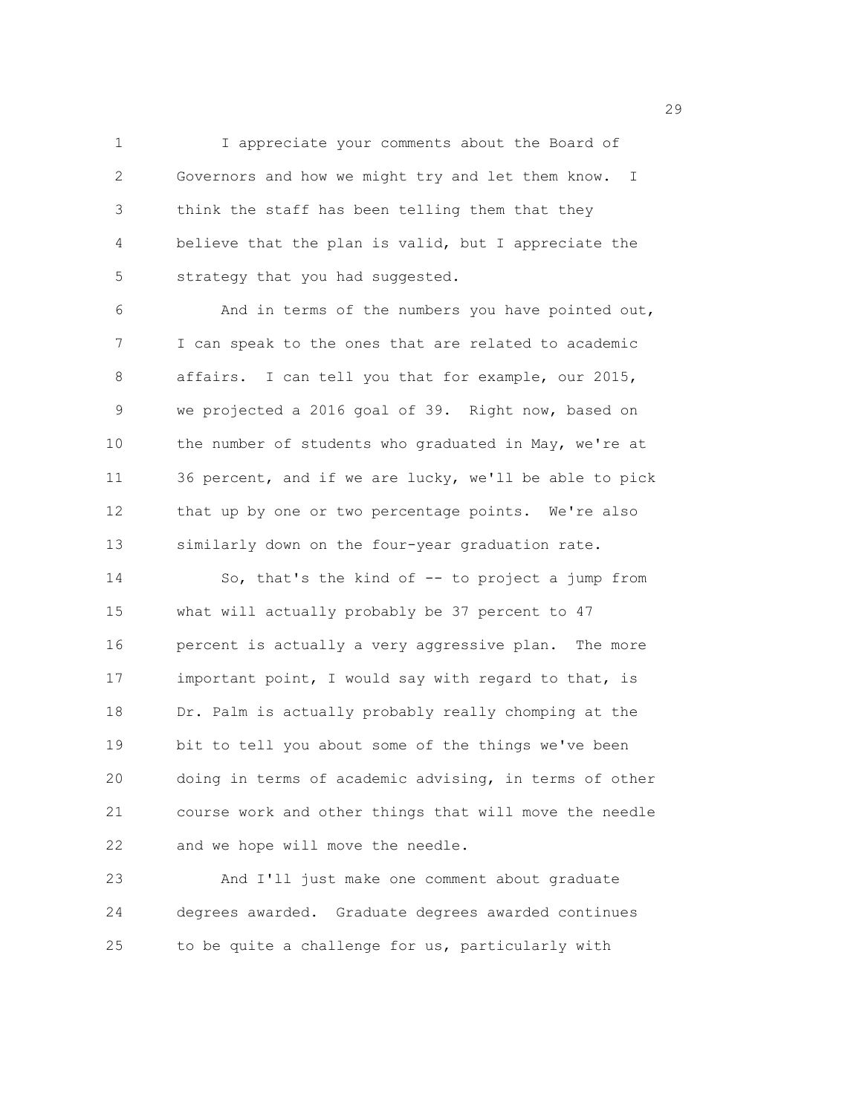1 I appreciate your comments about the Board of 2 Governors and how we might try and let them know. I 3 think the staff has been telling them that they 4 believe that the plan is valid, but I appreciate the 5 strategy that you had suggested.

6 And in terms of the numbers you have pointed out, 7 I can speak to the ones that are related to academic 8 affairs. I can tell you that for example, our 2015, 9 we projected a 2016 goal of 39. Right now, based on 10 the number of students who graduated in May, we're at 11 36 percent, and if we are lucky, we'll be able to pick 12 that up by one or two percentage points. We're also 13 similarly down on the four-year graduation rate.

14 So, that's the kind of -- to project a jump from 15 what will actually probably be 37 percent to 47 16 percent is actually a very aggressive plan. The more 17 important point, I would say with regard to that, is 18 Dr. Palm is actually probably really chomping at the 19 bit to tell you about some of the things we've been 20 doing in terms of academic advising, in terms of other 21 course work and other things that will move the needle 22 and we hope will move the needle.

23 And I'll just make one comment about graduate 24 degrees awarded. Graduate degrees awarded continues 25 to be quite a challenge for us, particularly with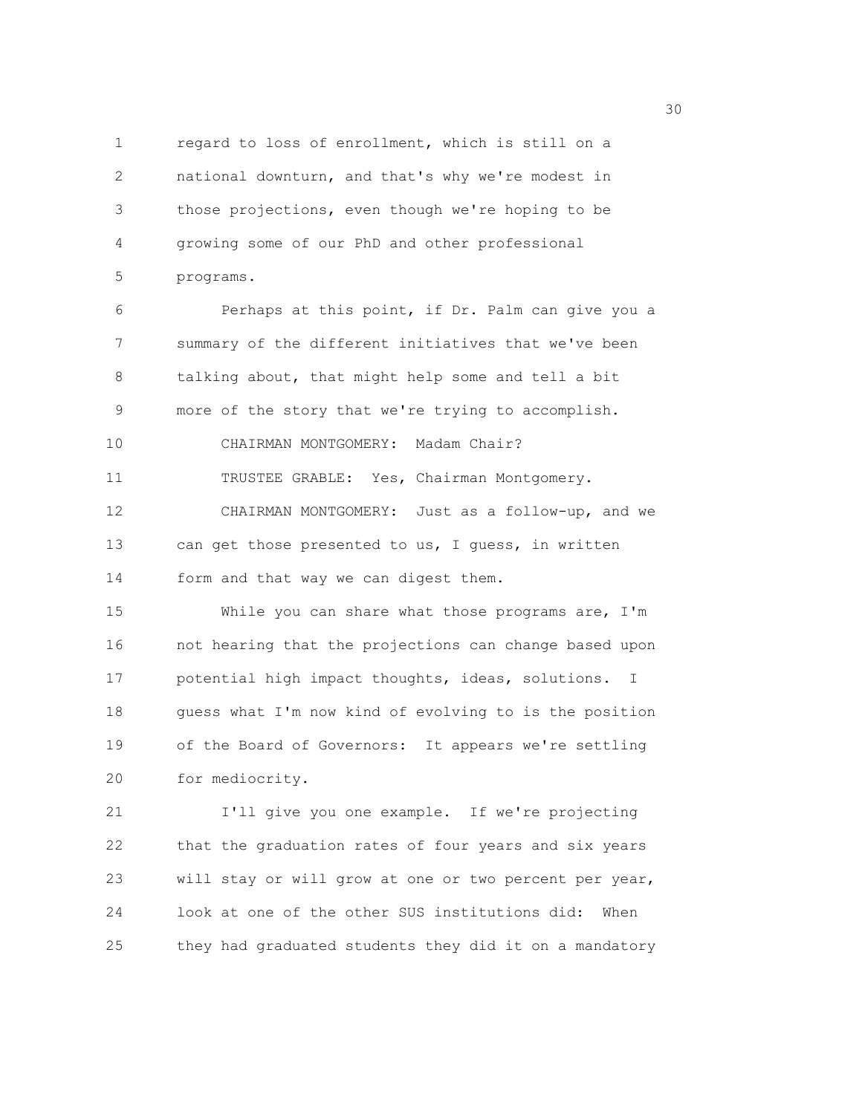1 regard to loss of enrollment, which is still on a 2 national downturn, and that's why we're modest in 3 those projections, even though we're hoping to be 4 growing some of our PhD and other professional 5 programs.

6 Perhaps at this point, if Dr. Palm can give you a 7 summary of the different initiatives that we've been 8 talking about, that might help some and tell a bit 9 more of the story that we're trying to accomplish. 10 CHAIRMAN MONTGOMERY: Madam Chair? 11 TRUSTEE GRABLE: Yes, Chairman Montgomery. 12 CHAIRMAN MONTGOMERY: Just as a follow-up, and we 13 can get those presented to us, I guess, in written 14 form and that way we can digest them.

15 While you can share what those programs are, I'm 16 not hearing that the projections can change based upon 17 potential high impact thoughts, ideas, solutions. I 18 guess what I'm now kind of evolving to is the position 19 of the Board of Governors: It appears we're settling 20 for mediocrity.

21 I'll give you one example. If we're projecting 22 that the graduation rates of four years and six years 23 will stay or will grow at one or two percent per year, 24 look at one of the other SUS institutions did: When 25 they had graduated students they did it on a mandatory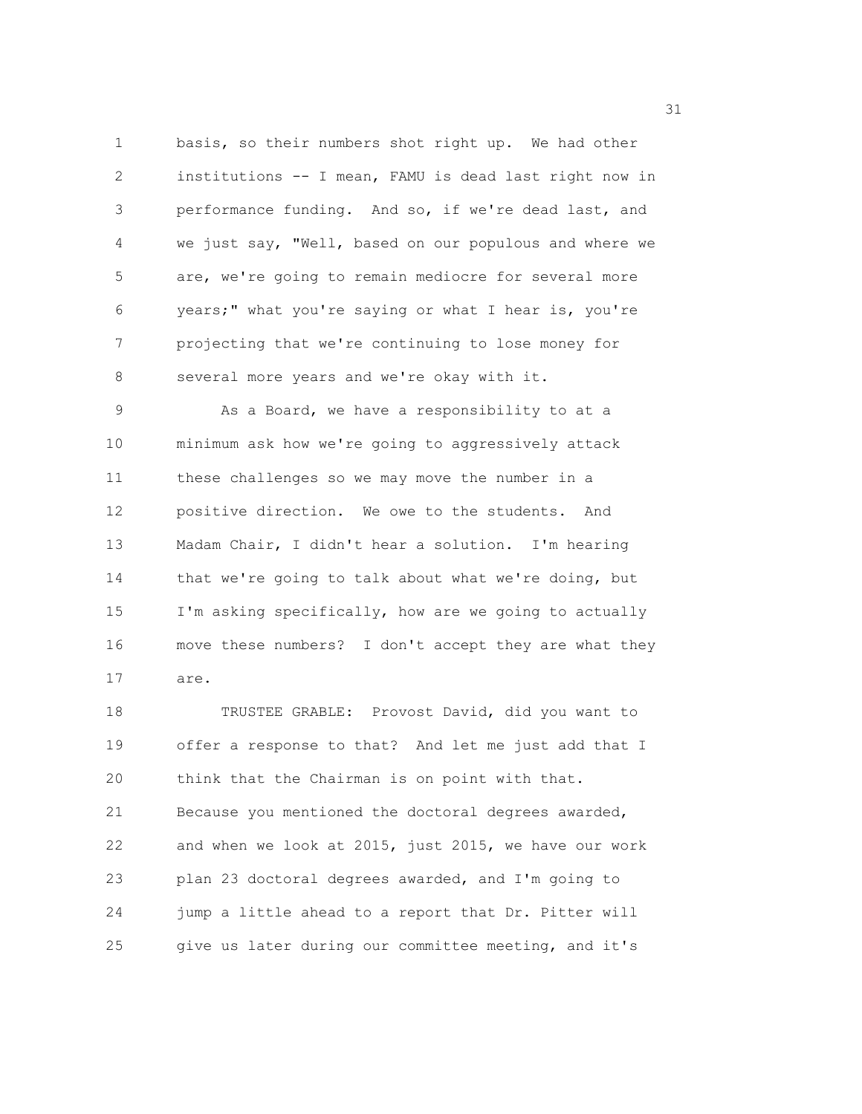1 basis, so their numbers shot right up. We had other 2 institutions -- I mean, FAMU is dead last right now in 3 performance funding. And so, if we're dead last, and 4 we just say, "Well, based on our populous and where we 5 are, we're going to remain mediocre for several more 6 years;" what you're saying or what I hear is, you're 7 projecting that we're continuing to lose money for 8 several more years and we're okay with it.

9 As a Board, we have a responsibility to at a 10 minimum ask how we're going to aggressively attack 11 these challenges so we may move the number in a 12 positive direction. We owe to the students. And 13 Madam Chair, I didn't hear a solution. I'm hearing 14 that we're going to talk about what we're doing, but 15 I'm asking specifically, how are we going to actually 16 move these numbers? I don't accept they are what they 17 are.

18 TRUSTEE GRABLE: Provost David, did you want to 19 offer a response to that? And let me just add that I 20 think that the Chairman is on point with that. 21 Because you mentioned the doctoral degrees awarded, 22 and when we look at 2015, just 2015, we have our work 23 plan 23 doctoral degrees awarded, and I'm going to 24 jump a little ahead to a report that Dr. Pitter will 25 give us later during our committee meeting, and it's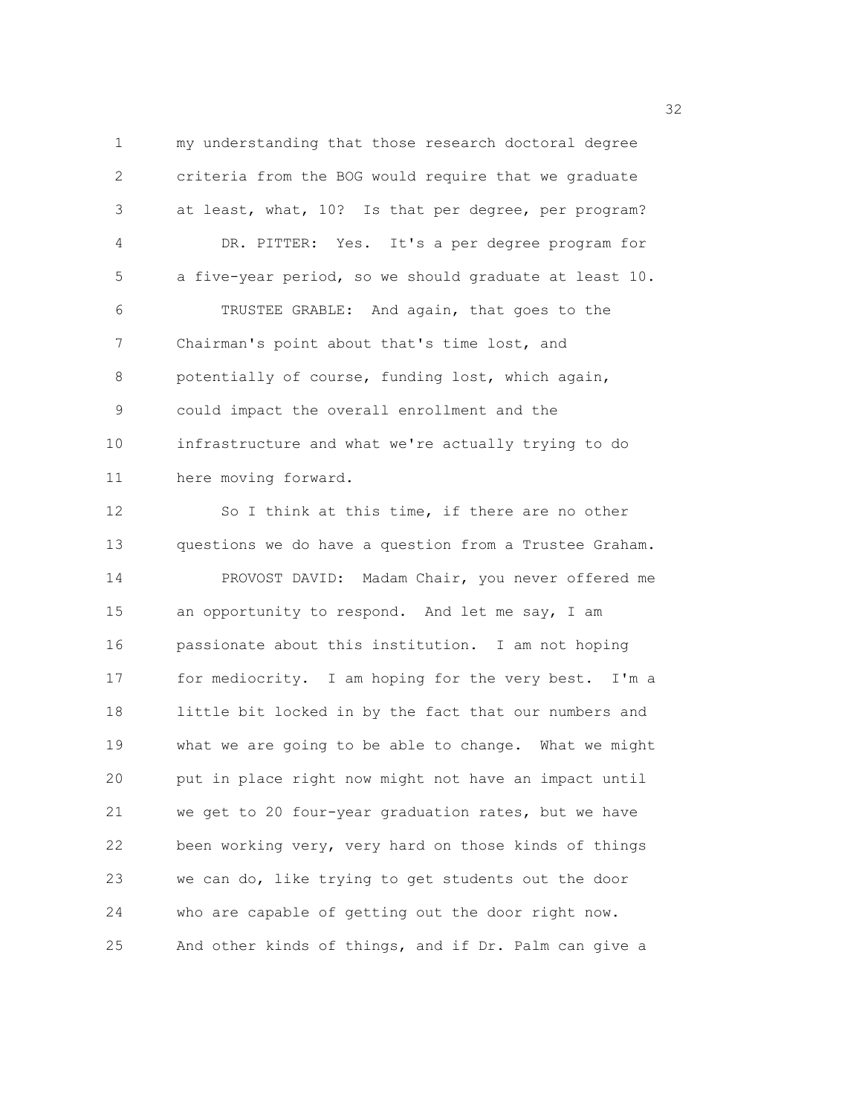1 my understanding that those research doctoral degree 2 criteria from the BOG would require that we graduate 3 at least, what, 10? Is that per degree, per program? 4 DR. PITTER: Yes. It's a per degree program for 5 a five-year period, so we should graduate at least 10. 6 TRUSTEE GRABLE: And again, that goes to the 7 Chairman's point about that's time lost, and 8 potentially of course, funding lost, which again, 9 could impact the overall enrollment and the 10 infrastructure and what we're actually trying to do 11 here moving forward.

12 So I think at this time, if there are no other 13 questions we do have a question from a Trustee Graham. 14 PROVOST DAVID: Madam Chair, you never offered me 15 an opportunity to respond. And let me say, I am 16 passionate about this institution. I am not hoping 17 for mediocrity. I am hoping for the very best. I'm a 18 little bit locked in by the fact that our numbers and 19 what we are going to be able to change. What we might 20 put in place right now might not have an impact until 21 we get to 20 four-year graduation rates, but we have 22 been working very, very hard on those kinds of things 23 we can do, like trying to get students out the door 24 who are capable of getting out the door right now. 25 And other kinds of things, and if Dr. Palm can give a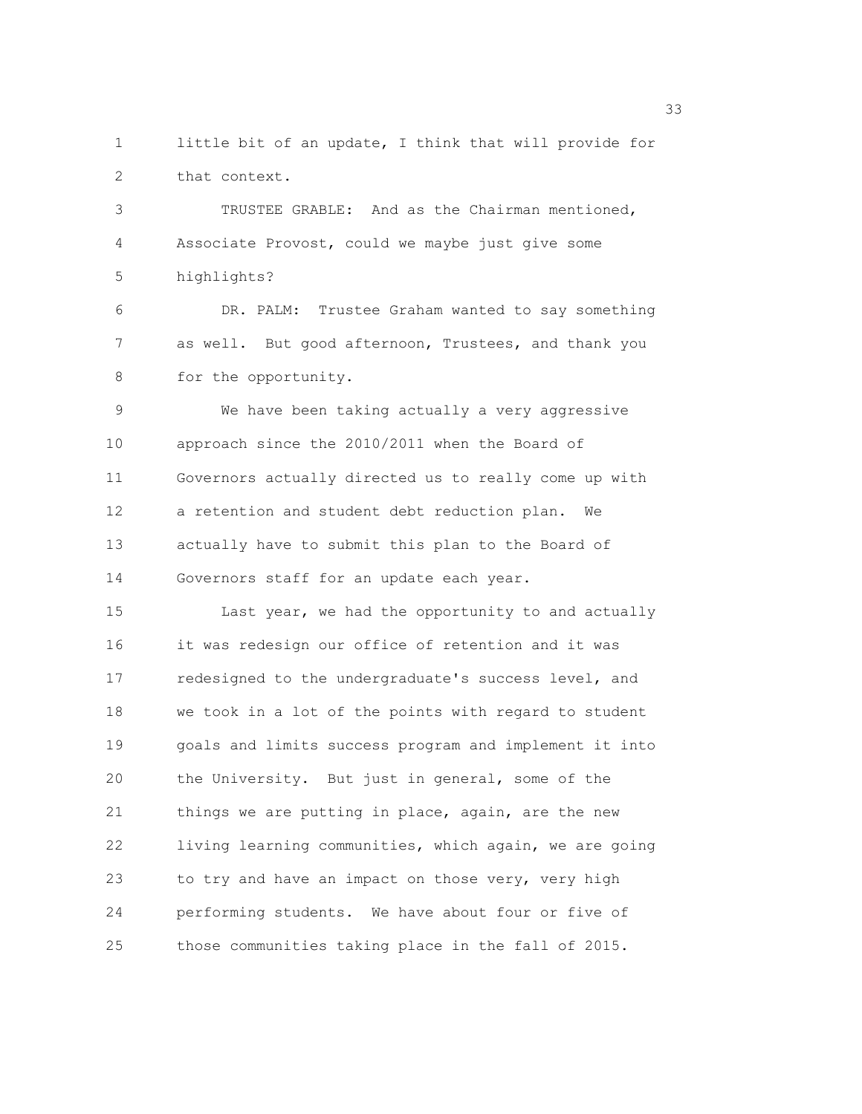1 little bit of an update, I think that will provide for 2 that context.

3 TRUSTEE GRABLE: And as the Chairman mentioned, 4 Associate Provost, could we maybe just give some 5 highlights?

6 DR. PALM: Trustee Graham wanted to say something 7 as well. But good afternoon, Trustees, and thank you 8 for the opportunity.

9 We have been taking actually a very aggressive 10 approach since the 2010/2011 when the Board of 11 Governors actually directed us to really come up with 12 a retention and student debt reduction plan. We 13 actually have to submit this plan to the Board of 14 Governors staff for an update each year.

15 Last year, we had the opportunity to and actually 16 it was redesign our office of retention and it was 17 redesigned to the undergraduate's success level, and 18 we took in a lot of the points with regard to student 19 goals and limits success program and implement it into 20 the University. But just in general, some of the 21 things we are putting in place, again, are the new 22 living learning communities, which again, we are going 23 to try and have an impact on those very, very high 24 performing students. We have about four or five of 25 those communities taking place in the fall of 2015.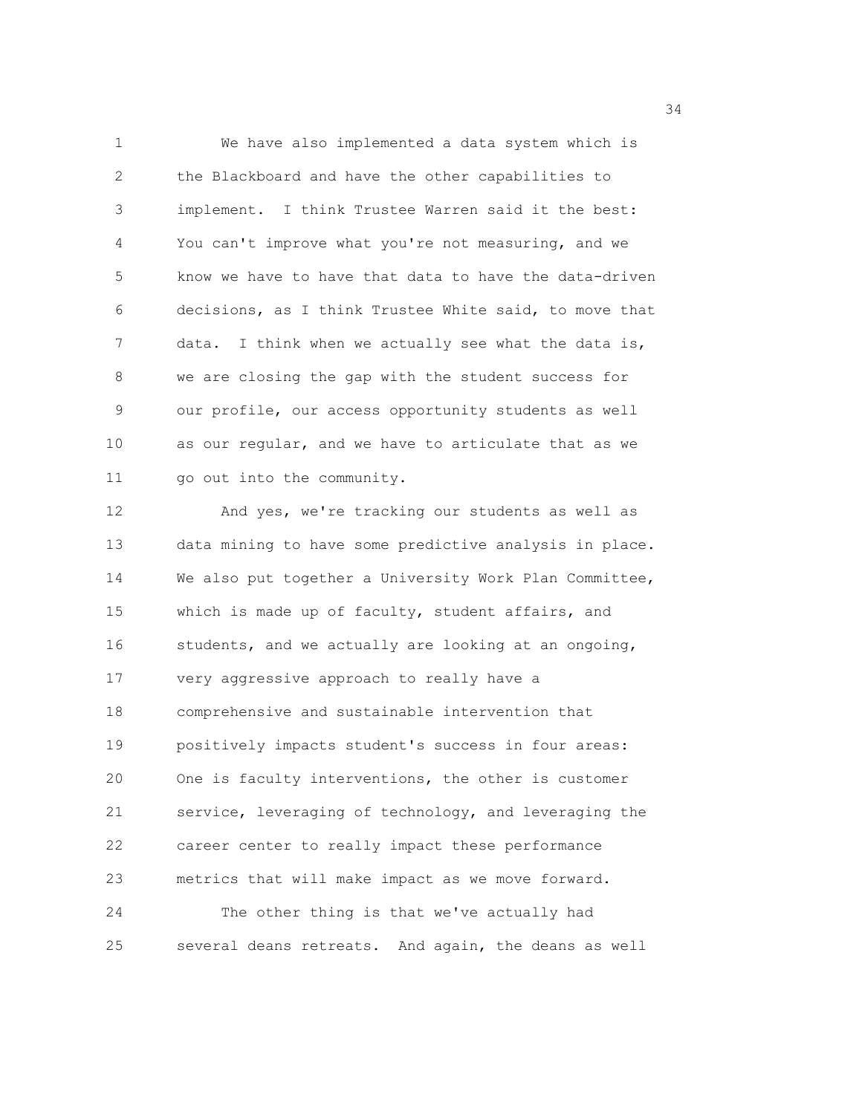1 We have also implemented a data system which is 2 the Blackboard and have the other capabilities to 3 implement. I think Trustee Warren said it the best: 4 You can't improve what you're not measuring, and we 5 know we have to have that data to have the data-driven 6 decisions, as I think Trustee White said, to move that 7 data. I think when we actually see what the data is, 8 we are closing the gap with the student success for 9 our profile, our access opportunity students as well 10 as our regular, and we have to articulate that as we 11 go out into the community.

12 And yes, we're tracking our students as well as 13 data mining to have some predictive analysis in place. 14 We also put together a University Work Plan Committee, 15 which is made up of faculty, student affairs, and 16 students, and we actually are looking at an ongoing, 17 very aggressive approach to really have a 18 comprehensive and sustainable intervention that 19 positively impacts student's success in four areas: 20 One is faculty interventions, the other is customer 21 service, leveraging of technology, and leveraging the 22 career center to really impact these performance 23 metrics that will make impact as we move forward. 24 The other thing is that we've actually had 25 several deans retreats. And again, the deans as well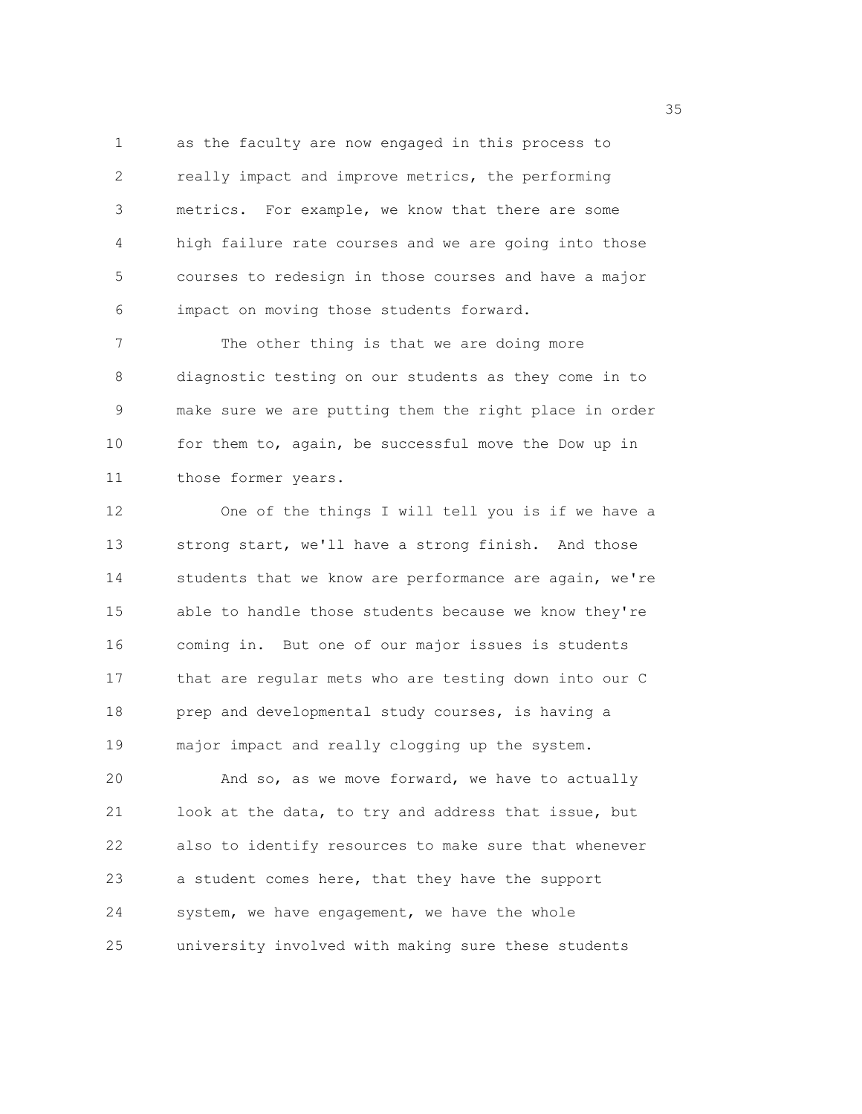1 as the faculty are now engaged in this process to 2 really impact and improve metrics, the performing 3 metrics. For example, we know that there are some 4 high failure rate courses and we are going into those 5 courses to redesign in those courses and have a major 6 impact on moving those students forward.

7 The other thing is that we are doing more 8 diagnostic testing on our students as they come in to 9 make sure we are putting them the right place in order 10 for them to, again, be successful move the Dow up in 11 those former years.

12 One of the things I will tell you is if we have a 13 strong start, we'll have a strong finish. And those 14 students that we know are performance are again, we're 15 able to handle those students because we know they're 16 coming in. But one of our major issues is students 17 that are regular mets who are testing down into our C 18 prep and developmental study courses, is having a 19 major impact and really clogging up the system.

20 And so, as we move forward, we have to actually 21 look at the data, to try and address that issue, but 22 also to identify resources to make sure that whenever 23 a student comes here, that they have the support 24 system, we have engagement, we have the whole 25 university involved with making sure these students

<u>35 September 2005 September 2005 September 2005 September 2005 September 2005 September 2005 September 2005 S</u>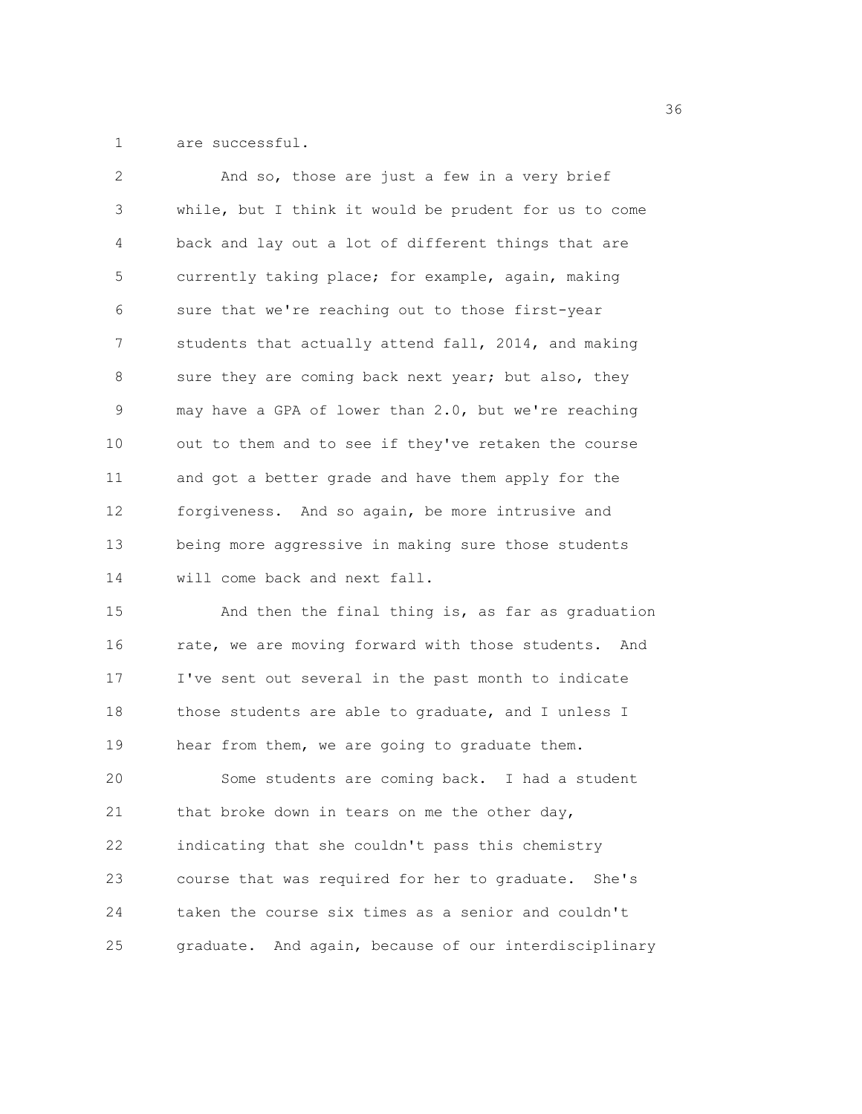1 are successful.

| 2  | And so, those are just a few in a very brief           |
|----|--------------------------------------------------------|
| 3  | while, but I think it would be prudent for us to come  |
| 4  | back and lay out a lot of different things that are    |
| 5  | currently taking place; for example, again, making     |
| 6  | sure that we're reaching out to those first-year       |
| 7  | students that actually attend fall, 2014, and making   |
| 8  | sure they are coming back next year; but also, they    |
| 9  | may have a GPA of lower than 2.0, but we're reaching   |
| 10 | out to them and to see if they've retaken the course   |
| 11 | and got a better grade and have them apply for the     |
| 12 | forgiveness. And so again, be more intrusive and       |
| 13 | being more aggressive in making sure those students    |
| 14 | will come back and next fall.                          |
| 15 | And then the final thing is, as far as graduation      |
| 16 | rate, we are moving forward with those students. And   |
| 17 | I've sent out several in the past month to indicate    |
| 18 | those students are able to graduate, and I unless I    |
| 19 | hear from them, we are going to graduate them.         |
| 20 | Some students are coming back. I had a student         |
| 21 | that broke down in tears on me the other day,          |
| 22 | indicating that she couldn't pass this chemistry       |
| 23 | course that was required for her to graduate.<br>She's |
| 24 | taken the course six times as a senior and couldn't    |
| 25 | graduate. And again, because of our interdisciplinary  |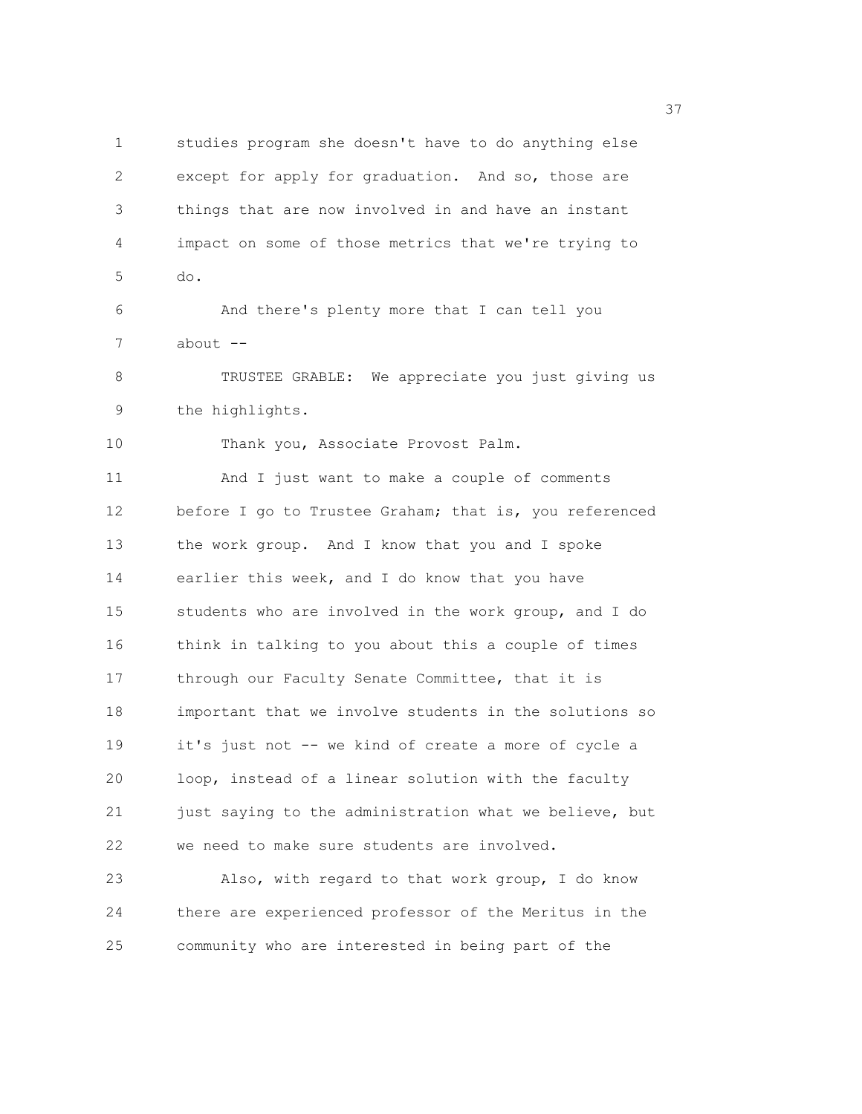1 studies program she doesn't have to do anything else 2 except for apply for graduation. And so, those are 3 things that are now involved in and have an instant 4 impact on some of those metrics that we're trying to 5 do. 6 And there's plenty more that I can tell you 7 about -- 8 TRUSTEE GRABLE: We appreciate you just giving us 9 the highlights. 10 Thank you, Associate Provost Palm. 11 And I just want to make a couple of comments 12 before I go to Trustee Graham; that is, you referenced 13 the work group. And I know that you and I spoke 14 earlier this week, and I do know that you have 15 students who are involved in the work group, and I do 16 think in talking to you about this a couple of times 17 through our Faculty Senate Committee, that it is 18 important that we involve students in the solutions so 19 it's just not -- we kind of create a more of cycle a 20 loop, instead of a linear solution with the faculty 21 just saying to the administration what we believe, but 22 we need to make sure students are involved. 23 Also, with regard to that work group, I do know 24 there are experienced professor of the Meritus in the

25 community who are interested in being part of the

<u>37</u>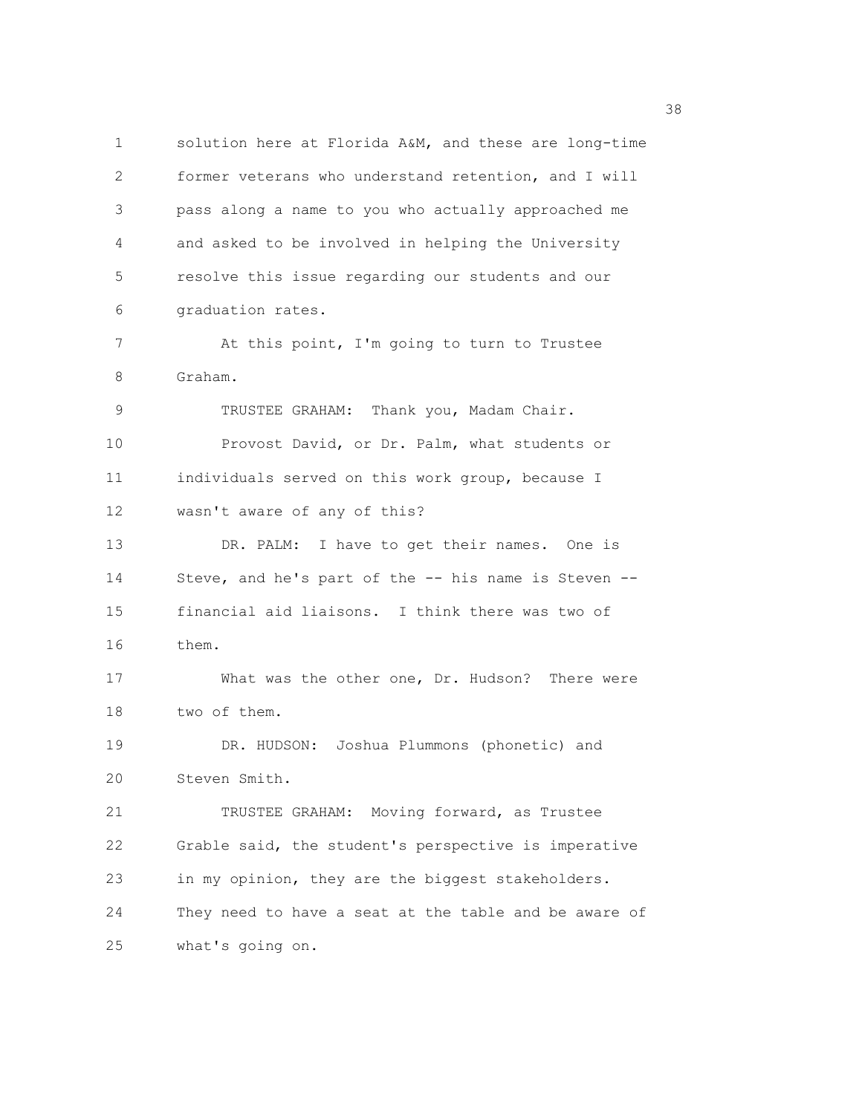1 solution here at Florida A&M, and these are long-time 2 former veterans who understand retention, and I will 3 pass along a name to you who actually approached me 4 and asked to be involved in helping the University 5 resolve this issue regarding our students and our 6 graduation rates. 7 At this point, I'm going to turn to Trustee 8 Graham. 9 TRUSTEE GRAHAM: Thank you, Madam Chair. 10 Provost David, or Dr. Palm, what students or 11 individuals served on this work group, because I 12 wasn't aware of any of this? 13 DR. PALM: I have to get their names. One is 14 Steve, and he's part of the -- his name is Steven -- 15 financial aid liaisons. I think there was two of 16 them. 17 What was the other one, Dr. Hudson? There were 18 two of them. 19 DR. HUDSON: Joshua Plummons (phonetic) and 20 Steven Smith. 21 TRUSTEE GRAHAM: Moving forward, as Trustee 22 Grable said, the student's perspective is imperative 23 in my opinion, they are the biggest stakeholders. 24 They need to have a seat at the table and be aware of 25 what's going on.

<u>38 and 2001 and 2002 and 2003 and 2003 and 2003 and 2003 and 2003 and 2003 and 2003</u>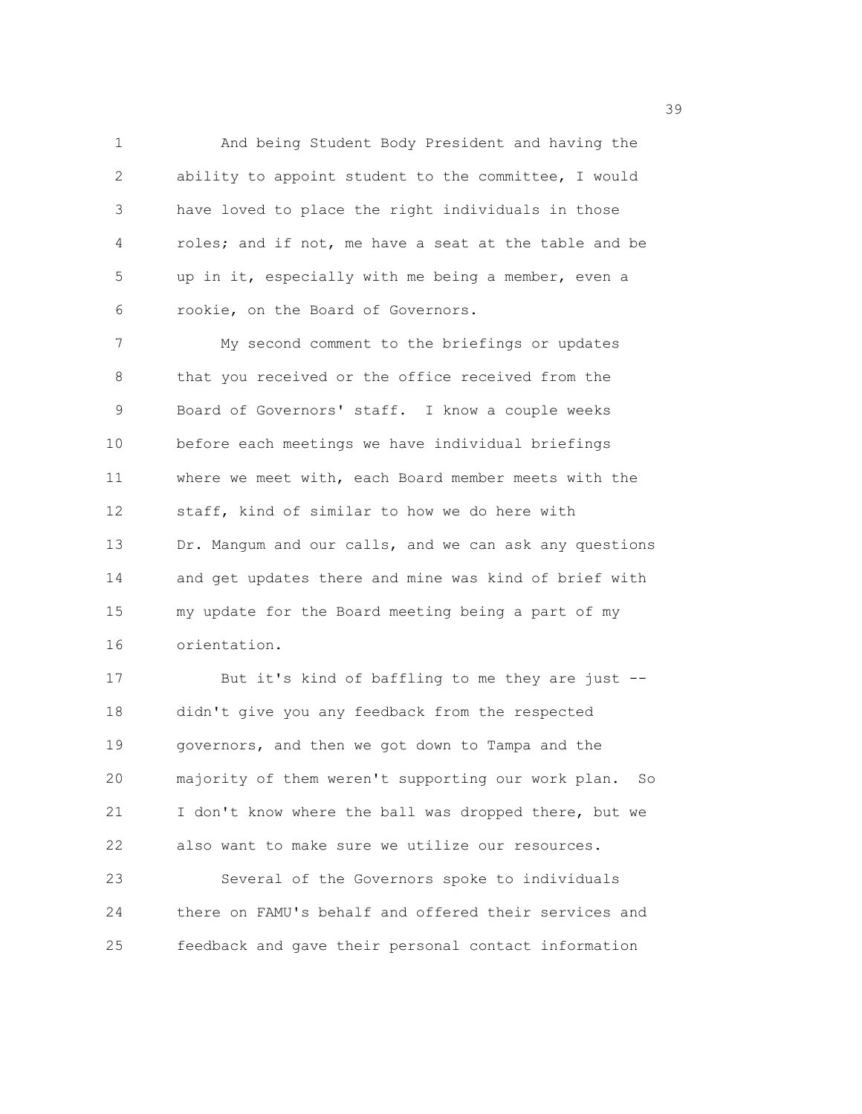1 And being Student Body President and having the 2 ability to appoint student to the committee, I would 3 have loved to place the right individuals in those 4 roles; and if not, me have a seat at the table and be 5 up in it, especially with me being a member, even a 6 rookie, on the Board of Governors.

7 My second comment to the briefings or updates 8 that you received or the office received from the 9 Board of Governors' staff. I know a couple weeks 10 before each meetings we have individual briefings 11 where we meet with, each Board member meets with the 12 staff, kind of similar to how we do here with 13 Dr. Mangum and our calls, and we can ask any questions 14 and get updates there and mine was kind of brief with 15 my update for the Board meeting being a part of my 16 orientation.

17 But it's kind of baffling to me they are just -- 18 didn't give you any feedback from the respected 19 governors, and then we got down to Tampa and the 20 majority of them weren't supporting our work plan. So 21 I don't know where the ball was dropped there, but we 22 also want to make sure we utilize our resources. 23 Several of the Governors spoke to individuals 24 there on FAMU's behalf and offered their services and

25 feedback and gave their personal contact information

39 and 2012 and 2013 and 2013 and 2013 and 2013 and 2013 and 2013 and 2013 and 2013 and 2013 and 2013 and 2013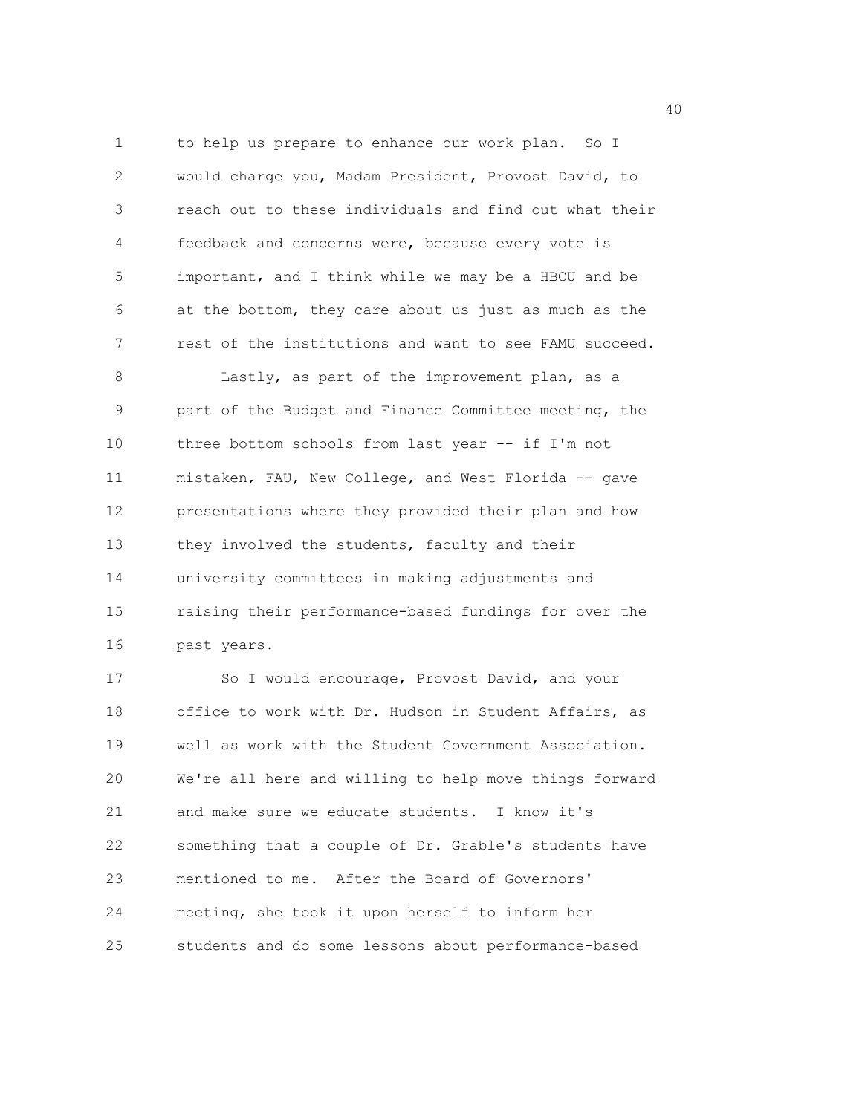1 to help us prepare to enhance our work plan. So I 2 would charge you, Madam President, Provost David, to 3 reach out to these individuals and find out what their 4 feedback and concerns were, because every vote is 5 important, and I think while we may be a HBCU and be 6 at the bottom, they care about us just as much as the 7 rest of the institutions and want to see FAMU succeed. 8 Lastly, as part of the improvement plan, as a 9 part of the Budget and Finance Committee meeting, the 10 three bottom schools from last year -- if I'm not 11 mistaken, FAU, New College, and West Florida -- gave 12 presentations where they provided their plan and how 13 they involved the students, faculty and their 14 university committees in making adjustments and 15 raising their performance-based fundings for over the 16 past years. 17 So I would encourage, Provost David, and your 18 office to work with Dr. Hudson in Student Affairs, as

19 well as work with the Student Government Association. 20 We're all here and willing to help move things forward 21 and make sure we educate students. I know it's 22 something that a couple of Dr. Grable's students have 23 mentioned to me. After the Board of Governors' 24 meeting, she took it upon herself to inform her 25 students and do some lessons about performance-based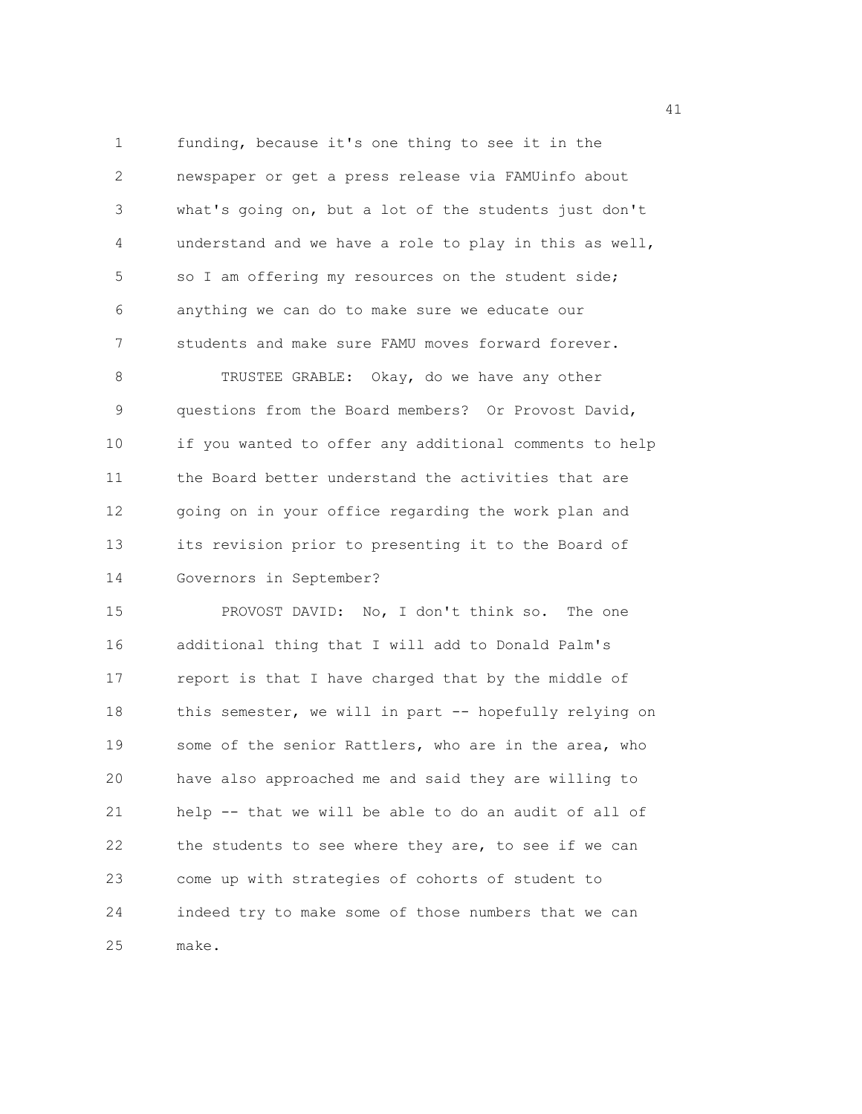1 funding, because it's one thing to see it in the 2 newspaper or get a press release via FAMUinfo about 3 what's going on, but a lot of the students just don't 4 understand and we have a role to play in this as well, 5 so I am offering my resources on the student side; 6 anything we can do to make sure we educate our 7 students and make sure FAMU moves forward forever. 8 TRUSTEE GRABLE: Okay, do we have any other 9 questions from the Board members? Or Provost David, 10 if you wanted to offer any additional comments to help 11 the Board better understand the activities that are 12 going on in your office regarding the work plan and 13 its revision prior to presenting it to the Board of 14 Governors in September?

15 PROVOST DAVID: No, I don't think so. The one 16 additional thing that I will add to Donald Palm's 17 report is that I have charged that by the middle of 18 this semester, we will in part -- hopefully relying on 19 some of the senior Rattlers, who are in the area, who 20 have also approached me and said they are willing to 21 help -- that we will be able to do an audit of all of 22 the students to see where they are, to see if we can 23 come up with strategies of cohorts of student to 24 indeed try to make some of those numbers that we can 25 make.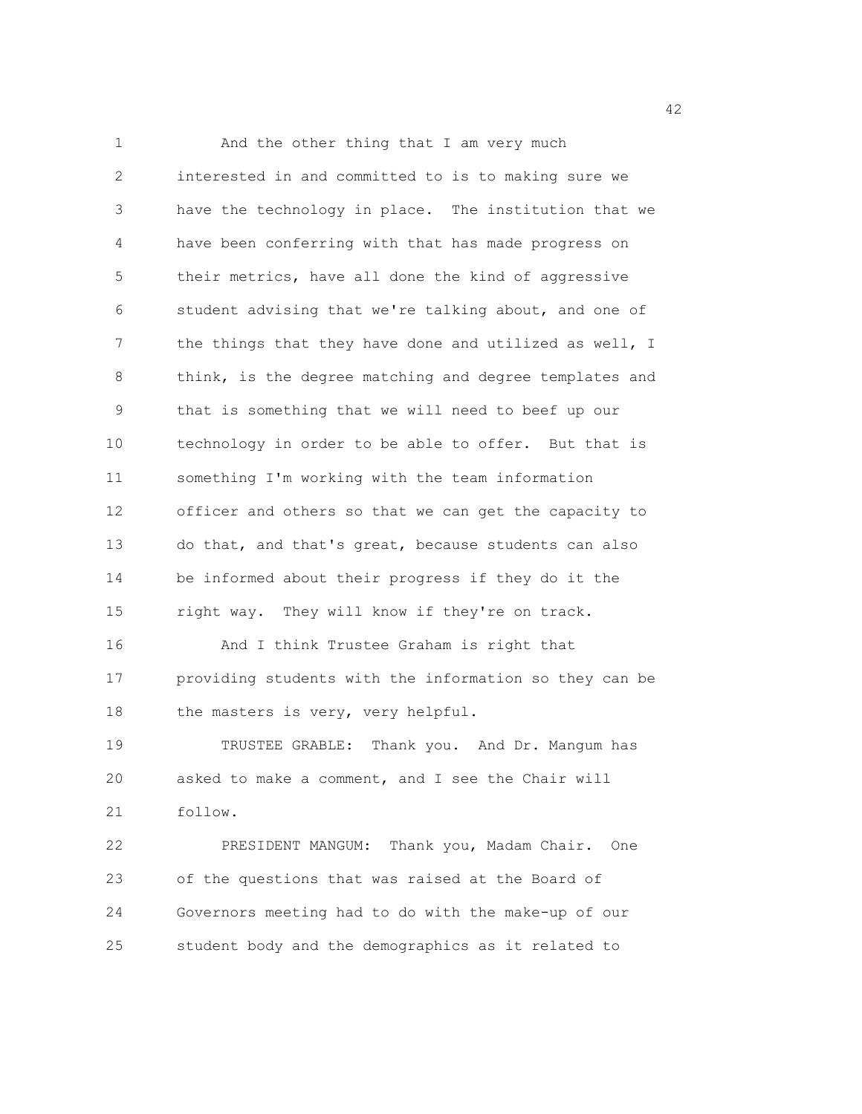1 And the other thing that I am very much 2 interested in and committed to is to making sure we 3 have the technology in place. The institution that we 4 have been conferring with that has made progress on 5 their metrics, have all done the kind of aggressive 6 student advising that we're talking about, and one of 7 the things that they have done and utilized as well, I 8 think, is the degree matching and degree templates and 9 that is something that we will need to beef up our 10 technology in order to be able to offer. But that is 11 something I'm working with the team information 12 officer and others so that we can get the capacity to 13 do that, and that's great, because students can also 14 be informed about their progress if they do it the 15 right way. They will know if they're on track. 16 And I think Trustee Graham is right that 17 providing students with the information so they can be 18 the masters is very, very helpful. 19 TRUSTEE GRABLE: Thank you. And Dr. Mangum has 20 asked to make a comment, and I see the Chair will 21 follow. 22 PRESIDENT MANGUM: Thank you, Madam Chair. One 23 of the questions that was raised at the Board of 24 Governors meeting had to do with the make-up of our

25 student body and the demographics as it related to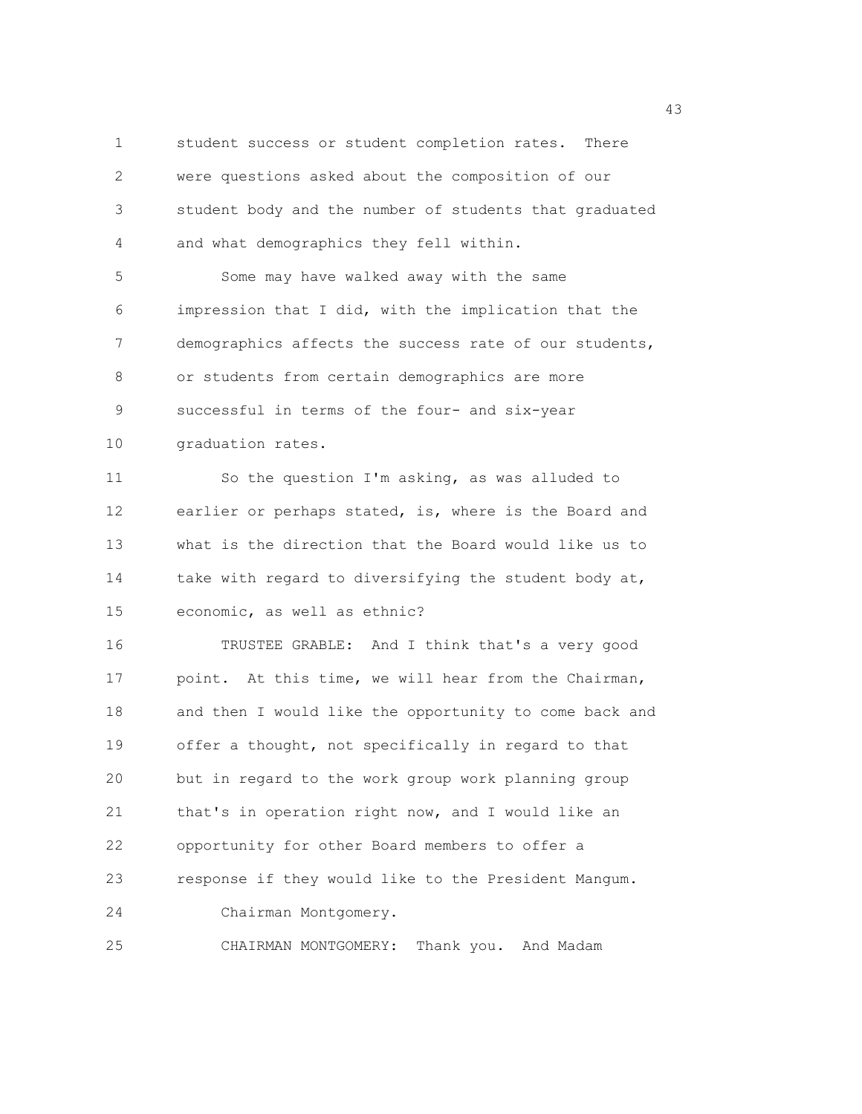1 student success or student completion rates. There 2 were questions asked about the composition of our 3 student body and the number of students that graduated 4 and what demographics they fell within. 5 Some may have walked away with the same 6 impression that I did, with the implication that the 7 demographics affects the success rate of our students, 8 or students from certain demographics are more 9 successful in terms of the four- and six-year 10 graduation rates. 11 So the question I'm asking, as was alluded to 12 earlier or perhaps stated, is, where is the Board and 13 what is the direction that the Board would like us to 14 take with regard to diversifying the student body at, 15 economic, as well as ethnic? 16 TRUSTEE GRABLE: And I think that's a very good 17 point. At this time, we will hear from the Chairman, 18 and then I would like the opportunity to come back and 19 offer a thought, not specifically in regard to that 20 but in regard to the work group work planning group 21 that's in operation right now, and I would like an 22 opportunity for other Board members to offer a 23 response if they would like to the President Mangum. 24 Chairman Montgomery. 25 CHAIRMAN MONTGOMERY: Thank you. And Madam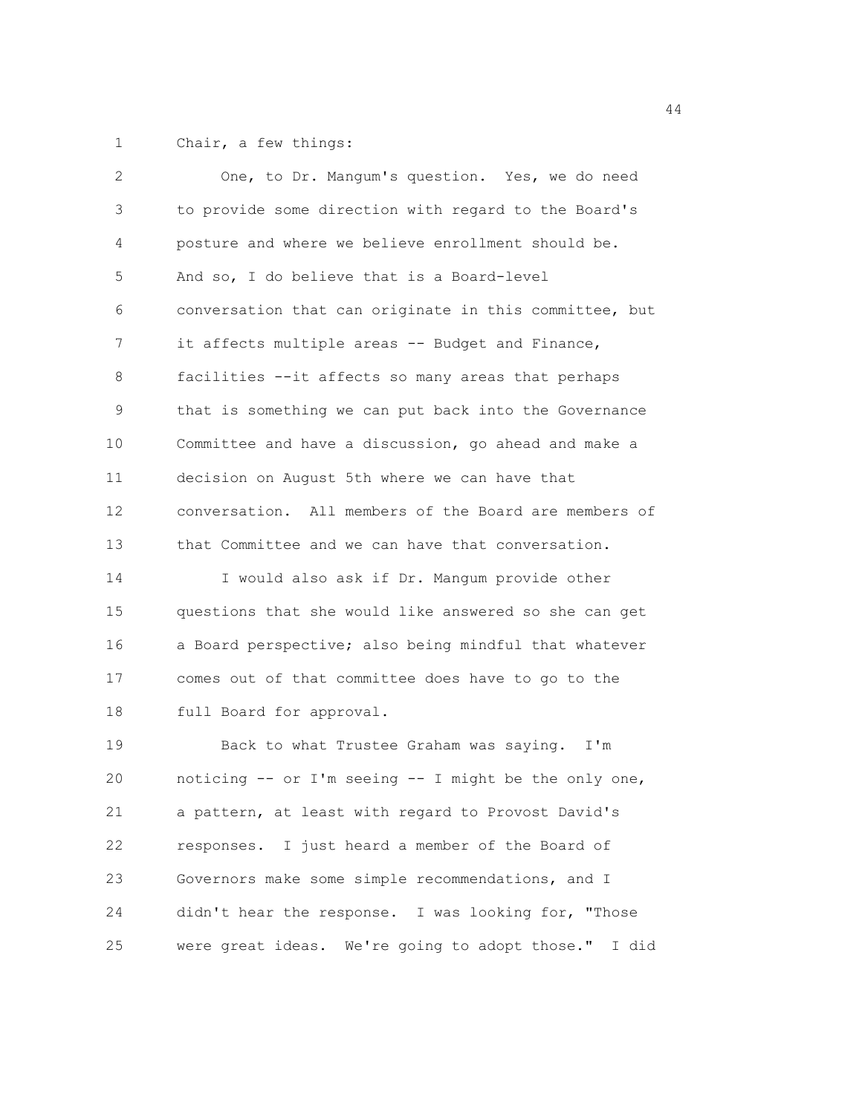1 Chair, a few things:

| 2  | One, to Dr. Mangum's question. Yes, we do need          |
|----|---------------------------------------------------------|
| 3  | to provide some direction with regard to the Board's    |
| 4  | posture and where we believe enrollment should be.      |
| 5  | And so, I do believe that is a Board-level              |
| 6  | conversation that can originate in this committee, but  |
| 7  | it affects multiple areas -- Budget and Finance,        |
| 8  | facilities --it affects so many areas that perhaps      |
| 9  | that is something we can put back into the Governance   |
| 10 | Committee and have a discussion, go ahead and make a    |
| 11 | decision on August 5th where we can have that           |
| 12 | conversation. All members of the Board are members of   |
| 13 | that Committee and we can have that conversation.       |
| 14 | I would also ask if Dr. Mangum provide other            |
| 15 | questions that she would like answered so she can get   |
| 16 | a Board perspective; also being mindful that whatever   |
| 17 | comes out of that committee does have to go to the      |
| 18 | full Board for approval.                                |
| 19 | Back to what Trustee Graham was saying. I'm             |
| 20 | noticing -- or I'm seeing -- I might be the only one,   |
| 21 | a pattern, at least with regard to Provost David's      |
| 22 | responses. I just heard a member of the Board of        |
| 23 | Governors make some simple recommendations, and I       |
| 24 | didn't hear the response. I was looking for, "Those     |
| 25 | were great ideas. We're going to adopt those."<br>I did |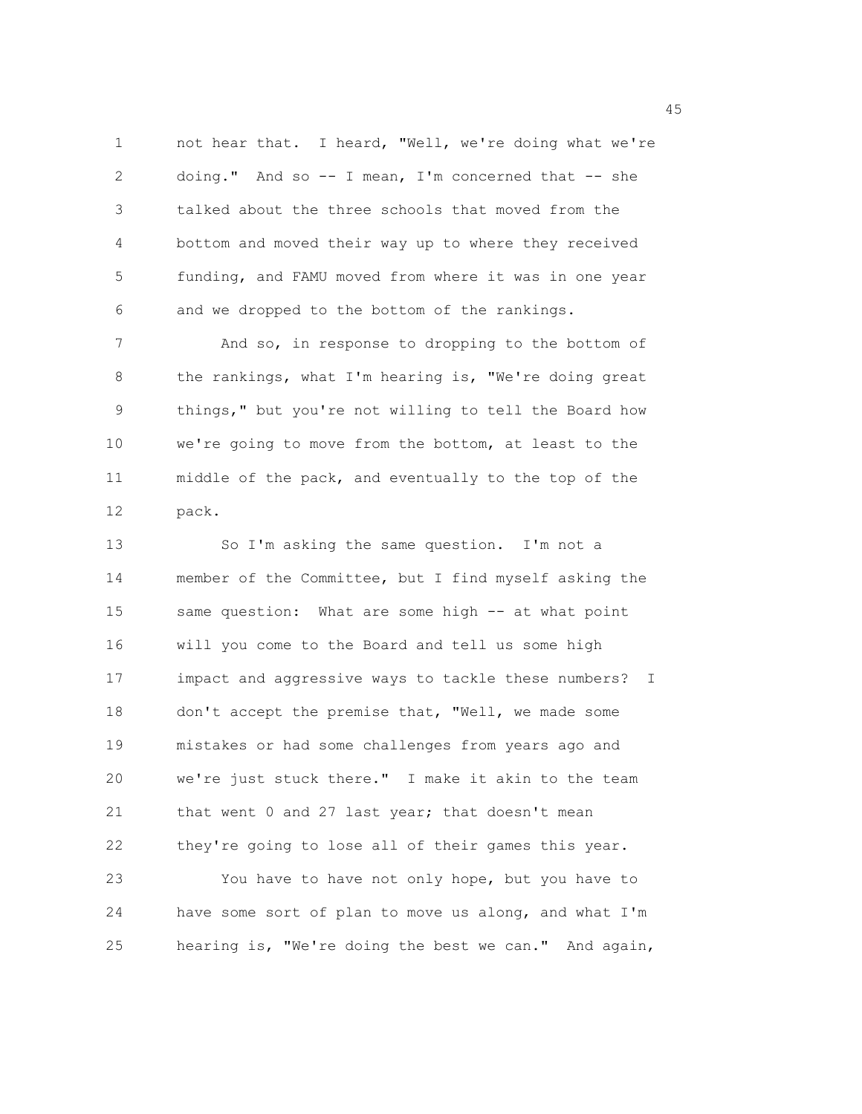1 not hear that. I heard, "Well, we're doing what we're 2 doing." And so -- I mean, I'm concerned that -- she 3 talked about the three schools that moved from the 4 bottom and moved their way up to where they received 5 funding, and FAMU moved from where it was in one year 6 and we dropped to the bottom of the rankings.

7 And so, in response to dropping to the bottom of 8 the rankings, what I'm hearing is, "We're doing great 9 things," but you're not willing to tell the Board how 10 we're going to move from the bottom, at least to the 11 middle of the pack, and eventually to the top of the 12 pack.

13 So I'm asking the same question. I'm not a 14 member of the Committee, but I find myself asking the 15 same question: What are some high -- at what point 16 will you come to the Board and tell us some high 17 impact and aggressive ways to tackle these numbers? I 18 don't accept the premise that, "Well, we made some 19 mistakes or had some challenges from years ago and 20 we're just stuck there." I make it akin to the team 21 that went 0 and 27 last year; that doesn't mean 22 they're going to lose all of their games this year. 23 You have to have not only hope, but you have to 24 have some sort of plan to move us along, and what I'm 25 hearing is, "We're doing the best we can." And again,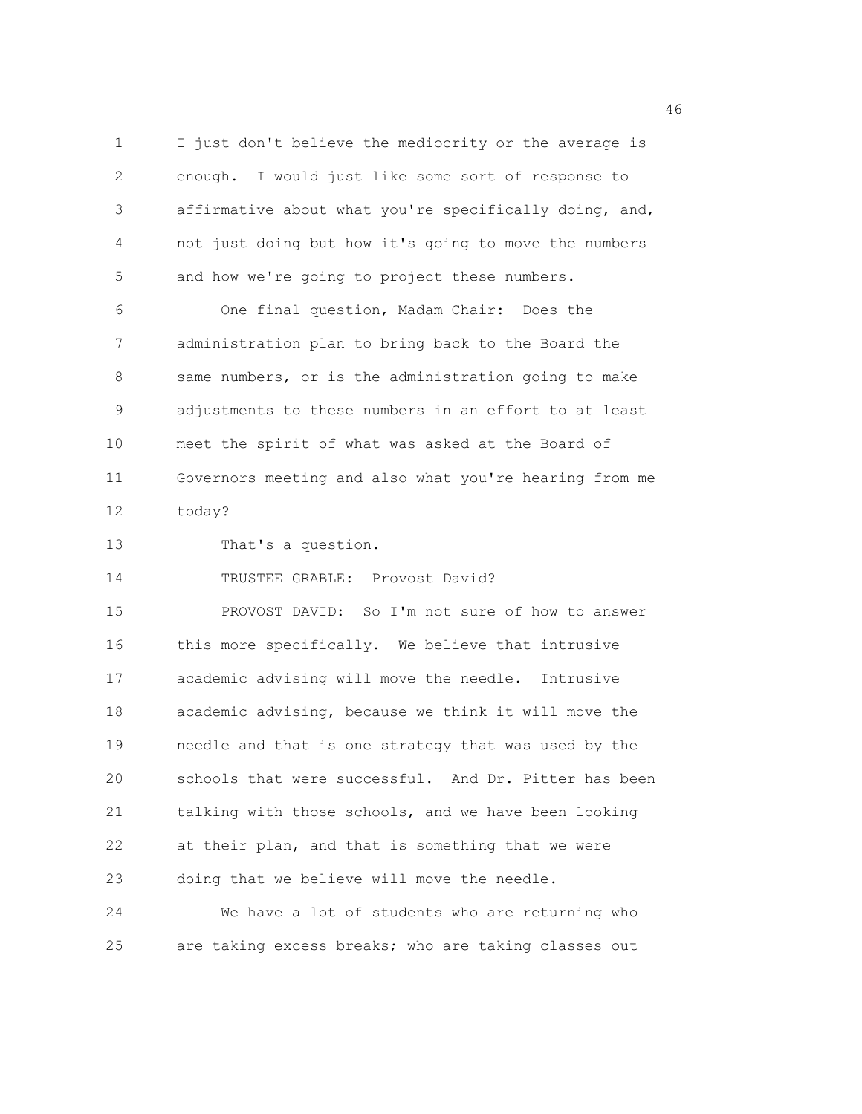1 I just don't believe the mediocrity or the average is 2 enough. I would just like some sort of response to 3 affirmative about what you're specifically doing, and, 4 not just doing but how it's going to move the numbers 5 and how we're going to project these numbers.

6 One final question, Madam Chair: Does the 7 administration plan to bring back to the Board the 8 same numbers, or is the administration going to make 9 adjustments to these numbers in an effort to at least 10 meet the spirit of what was asked at the Board of 11 Governors meeting and also what you're hearing from me 12 today?

13 That's a question.

14 TRUSTEE GRABLE: Provost David?

15 PROVOST DAVID: So I'm not sure of how to answer 16 this more specifically. We believe that intrusive 17 academic advising will move the needle. Intrusive 18 academic advising, because we think it will move the 19 needle and that is one strategy that was used by the 20 schools that were successful. And Dr. Pitter has been 21 talking with those schools, and we have been looking 22 at their plan, and that is something that we were 23 doing that we believe will move the needle.

24 We have a lot of students who are returning who 25 are taking excess breaks; who are taking classes out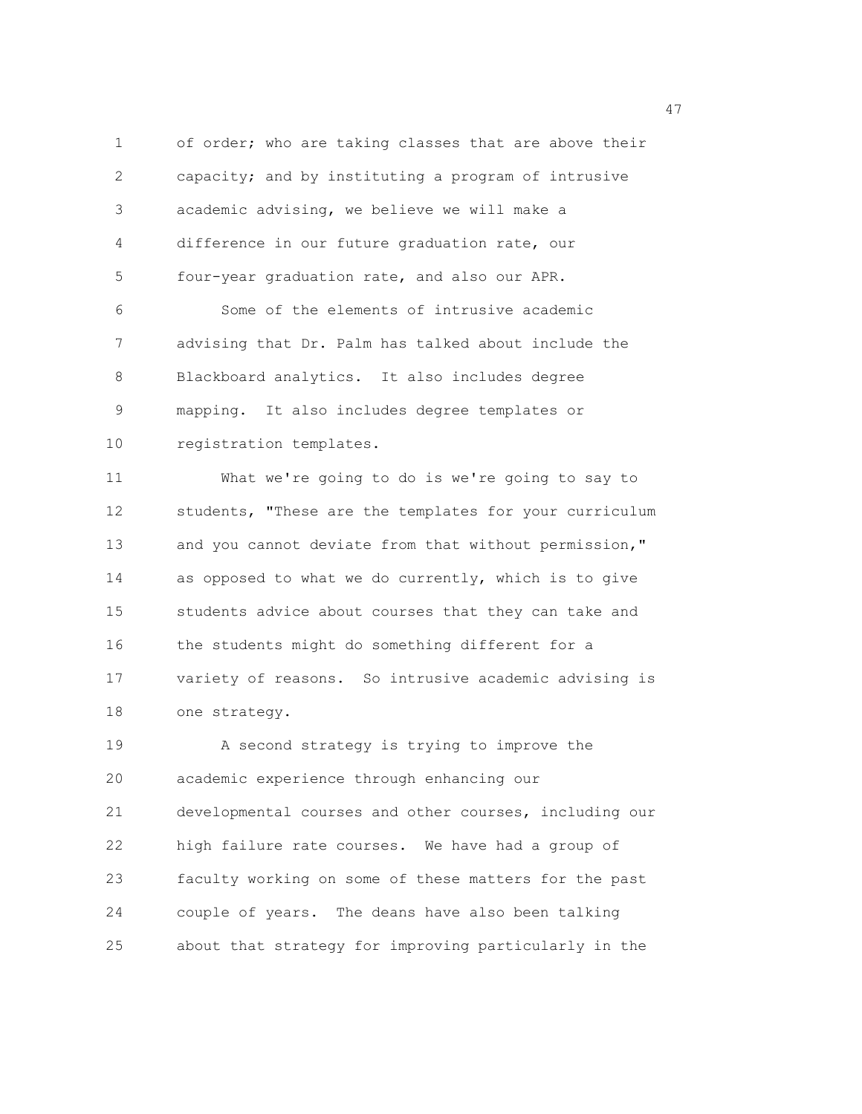1 of order; who are taking classes that are above their 2 capacity; and by instituting a program of intrusive 3 academic advising, we believe we will make a 4 difference in our future graduation rate, our 5 four-year graduation rate, and also our APR. 6 Some of the elements of intrusive academic 7 advising that Dr. Palm has talked about include the 8 Blackboard analytics. It also includes degree 9 mapping. It also includes degree templates or 10 registration templates. 11 What we're going to do is we're going to say to 12 students, "These are the templates for your curriculum 13 and you cannot deviate from that without permission," 14 as opposed to what we do currently, which is to give 15 students advice about courses that they can take and 16 the students might do something different for a 17 variety of reasons. So intrusive academic advising is 18 one strategy. 19 A second strategy is trying to improve the 20 academic experience through enhancing our 21 developmental courses and other courses, including our

22 high failure rate courses. We have had a group of 23 faculty working on some of these matters for the past 24 couple of years. The deans have also been talking 25 about that strategy for improving particularly in the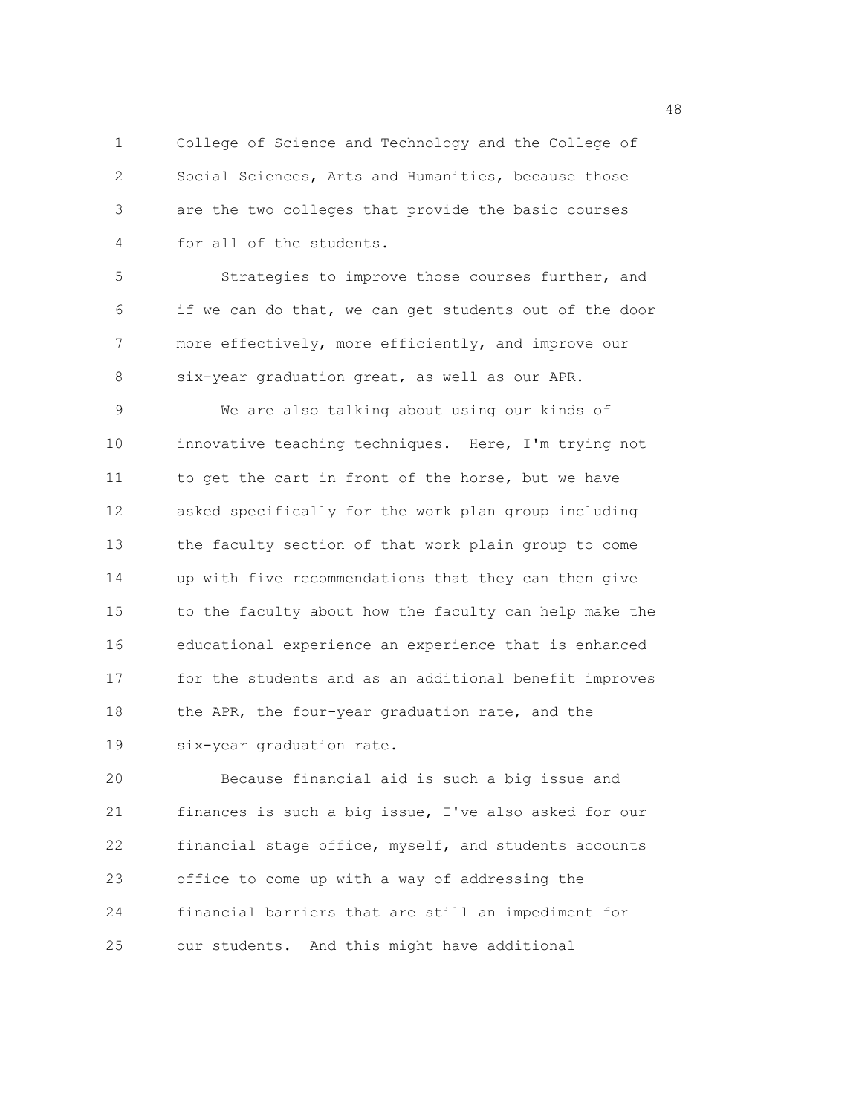1 College of Science and Technology and the College of 2 Social Sciences, Arts and Humanities, because those 3 are the two colleges that provide the basic courses 4 for all of the students.

5 Strategies to improve those courses further, and 6 if we can do that, we can get students out of the door 7 more effectively, more efficiently, and improve our 8 six-year graduation great, as well as our APR.

9 We are also talking about using our kinds of 10 innovative teaching techniques. Here, I'm trying not 11 to get the cart in front of the horse, but we have 12 asked specifically for the work plan group including 13 the faculty section of that work plain group to come 14 up with five recommendations that they can then give 15 to the faculty about how the faculty can help make the 16 educational experience an experience that is enhanced 17 for the students and as an additional benefit improves 18 the APR, the four-year graduation rate, and the 19 six-year graduation rate.

20 Because financial aid is such a big issue and 21 finances is such a big issue, I've also asked for our 22 financial stage office, myself, and students accounts 23 office to come up with a way of addressing the 24 financial barriers that are still an impediment for 25 our students. And this might have additional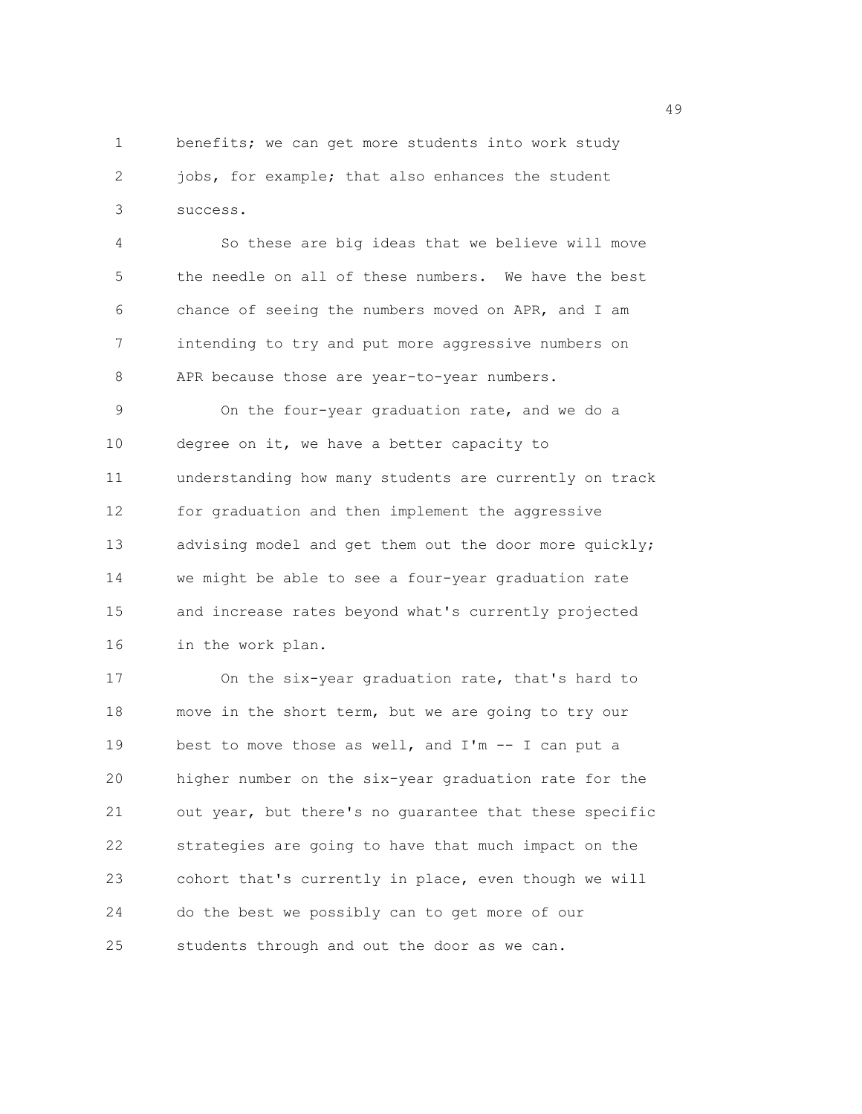1 benefits; we can get more students into work study 2 jobs, for example; that also enhances the student 3 success.

4 So these are big ideas that we believe will move 5 the needle on all of these numbers. We have the best 6 chance of seeing the numbers moved on APR, and I am 7 intending to try and put more aggressive numbers on 8 APR because those are year-to-year numbers.

9 On the four-year graduation rate, and we do a 10 degree on it, we have a better capacity to 11 understanding how many students are currently on track 12 for graduation and then implement the aggressive 13 advising model and get them out the door more quickly; 14 we might be able to see a four-year graduation rate 15 and increase rates beyond what's currently projected 16 in the work plan.

17 On the six-year graduation rate, that's hard to 18 move in the short term, but we are going to try our 19 best to move those as well, and I'm -- I can put a 20 higher number on the six-year graduation rate for the 21 out year, but there's no guarantee that these specific 22 strategies are going to have that much impact on the 23 cohort that's currently in place, even though we will 24 do the best we possibly can to get more of our 25 students through and out the door as we can.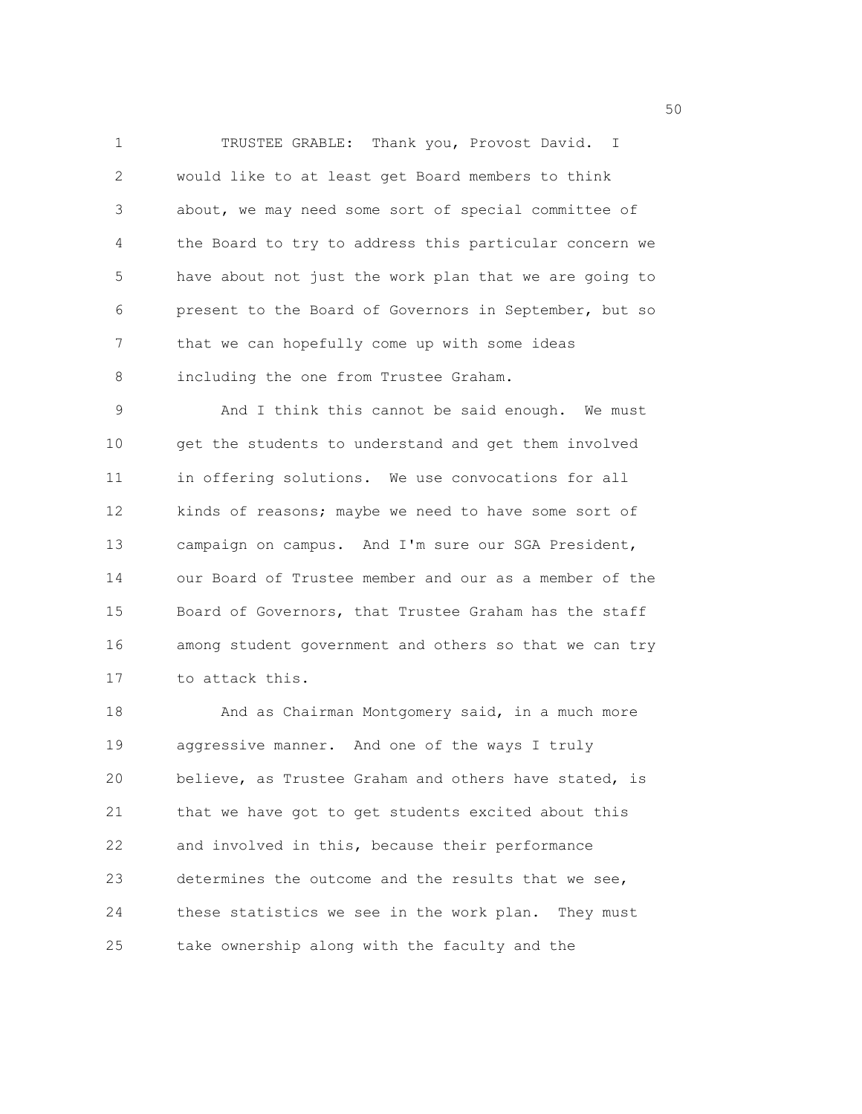1 TRUSTEE GRABLE: Thank you, Provost David. I 2 would like to at least get Board members to think 3 about, we may need some sort of special committee of 4 the Board to try to address this particular concern we 5 have about not just the work plan that we are going to 6 present to the Board of Governors in September, but so 7 that we can hopefully come up with some ideas 8 including the one from Trustee Graham.

9 And I think this cannot be said enough. We must 10 get the students to understand and get them involved 11 in offering solutions. We use convocations for all 12 kinds of reasons; maybe we need to have some sort of 13 campaign on campus. And I'm sure our SGA President, 14 our Board of Trustee member and our as a member of the 15 Board of Governors, that Trustee Graham has the staff 16 among student government and others so that we can try 17 to attack this.

18 And as Chairman Montgomery said, in a much more 19 aggressive manner. And one of the ways I truly 20 believe, as Trustee Graham and others have stated, is 21 that we have got to get students excited about this 22 and involved in this, because their performance 23 determines the outcome and the results that we see, 24 these statistics we see in the work plan. They must 25 take ownership along with the faculty and the

 $50<sub>50</sub>$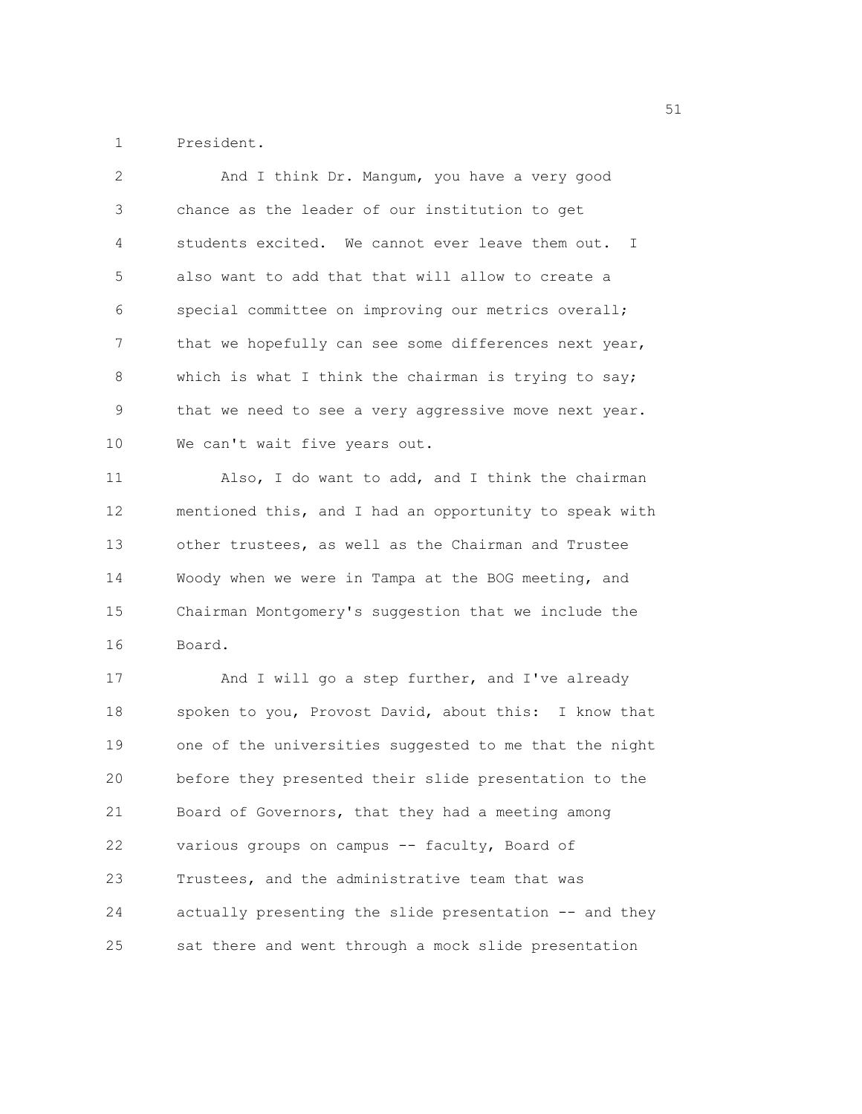1 President.

| 2  | And I think Dr. Mangum, you have a very good           |
|----|--------------------------------------------------------|
| 3  | chance as the leader of our institution to get         |
| 4  | students excited. We cannot ever leave them out. I     |
| 5  | also want to add that that will allow to create a      |
| 6  | special committee on improving our metrics overall;    |
| 7  | that we hopefully can see some differences next year,  |
| 8  | which is what I think the chairman is trying to say;   |
| 9  | that we need to see a very aggressive move next year.  |
| 10 | We can't wait five years out.                          |
| 11 | Also, I do want to add, and I think the chairman       |
| 12 | mentioned this, and I had an opportunity to speak with |
| 13 | other trustees, as well as the Chairman and Trustee    |
| 14 | Woody when we were in Tampa at the BOG meeting, and    |
| 15 | Chairman Montgomery's suggestion that we include the   |
| 16 | Board.                                                 |
| 17 | And I will go a step further, and I've already         |
| 18 | spoken to you, Provost David, about this: I know that  |
| 19 | one of the universities suggested to me that the night |
| 20 | before they presented their slide presentation to the  |
| 21 | Board of Governors, that they had a meeting among      |
| 22 | various groups on campus -- faculty, Board of          |
| 23 | Trustees, and the administrative team that was         |
| 24 | actually presenting the slide presentation -- and they |
| 25 | sat there and went through a mock slide presentation   |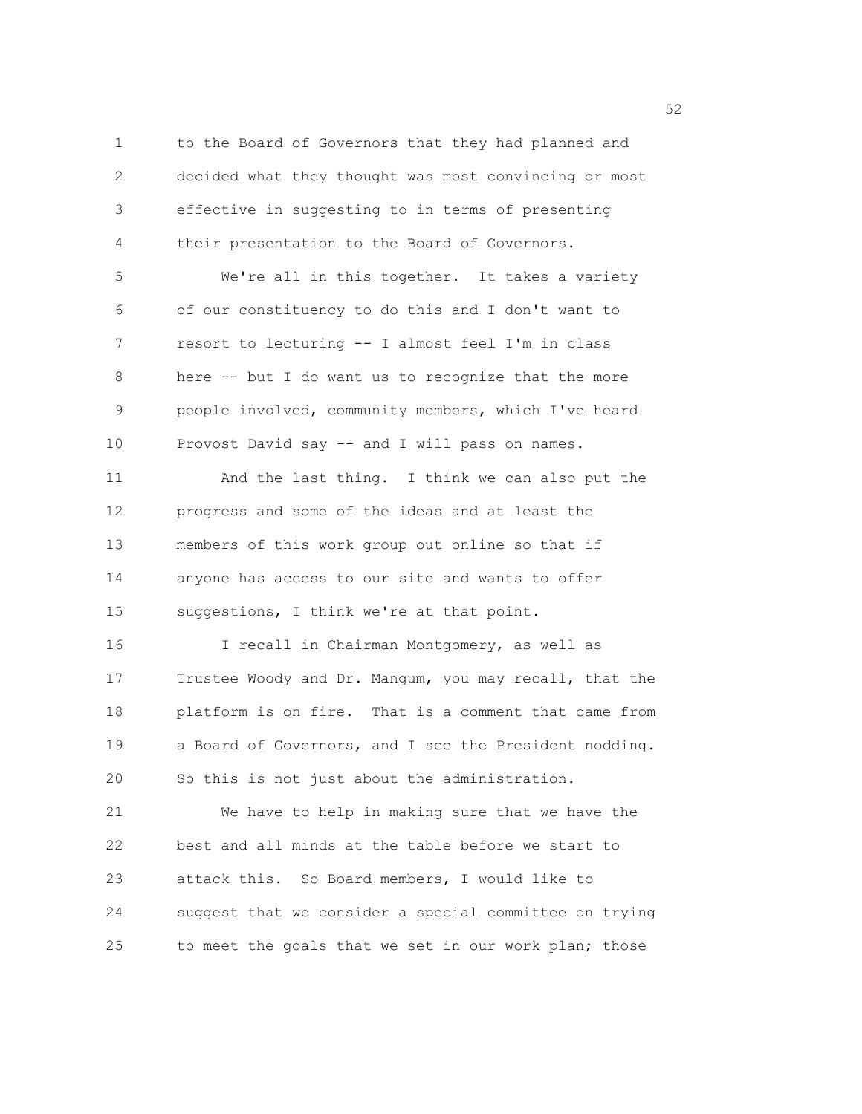1 to the Board of Governors that they had planned and 2 decided what they thought was most convincing or most 3 effective in suggesting to in terms of presenting 4 their presentation to the Board of Governors. 5 We're all in this together. It takes a variety 6 of our constituency to do this and I don't want to 7 resort to lecturing -- I almost feel I'm in class 8 here -- but I do want us to recognize that the more 9 people involved, community members, which I've heard 10 Provost David say -- and I will pass on names. 11 And the last thing. I think we can also put the 12 progress and some of the ideas and at least the 13 members of this work group out online so that if 14 anyone has access to our site and wants to offer 15 suggestions, I think we're at that point. 16 I recall in Chairman Montgomery, as well as 17 Trustee Woody and Dr. Mangum, you may recall, that the 18 platform is on fire. That is a comment that came from 19 a Board of Governors, and I see the President nodding. 20 So this is not just about the administration. 21 We have to help in making sure that we have the 22 best and all minds at the table before we start to 23 attack this. So Board members, I would like to 24 suggest that we consider a special committee on trying 25 to meet the goals that we set in our work plan; those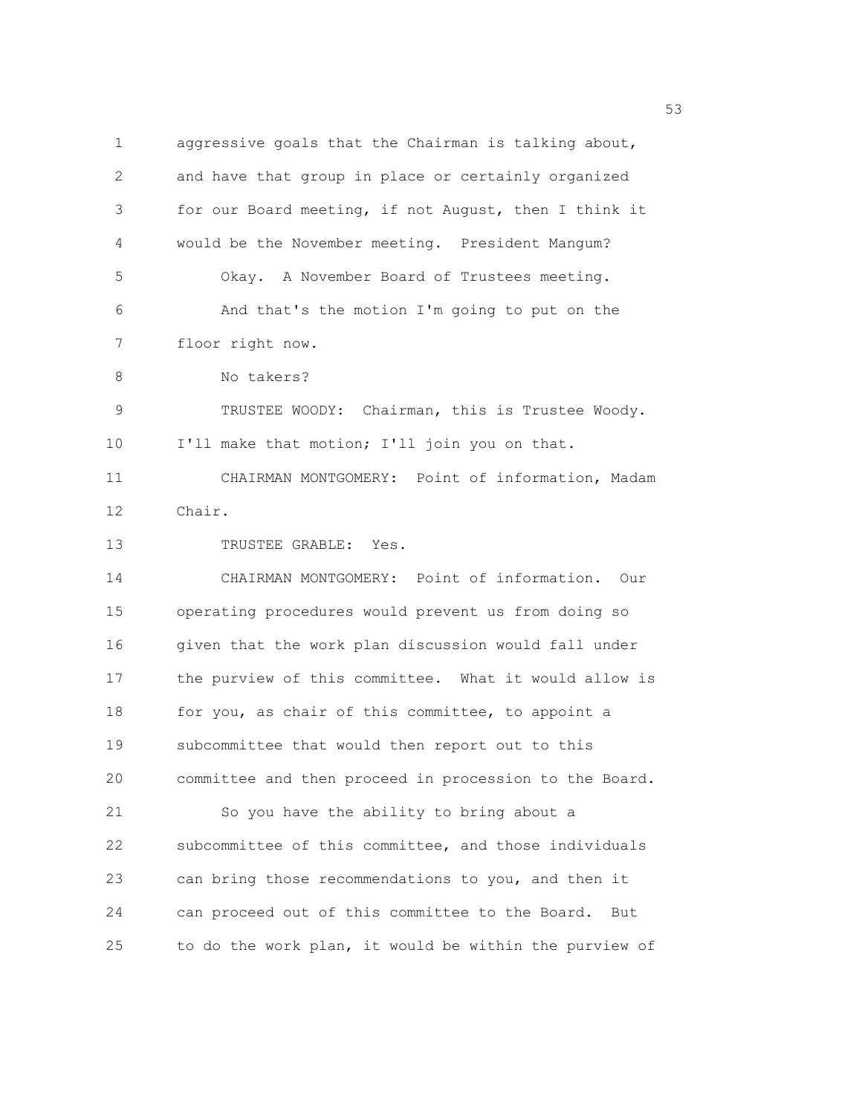1 aggressive goals that the Chairman is talking about, 2 and have that group in place or certainly organized 3 for our Board meeting, if not August, then I think it 4 would be the November meeting. President Mangum? 5 Okay. A November Board of Trustees meeting. 6 And that's the motion I'm going to put on the 7 floor right now. 8 No takers? 9 TRUSTEE WOODY: Chairman, this is Trustee Woody. 10 I'll make that motion; I'll join you on that. 11 CHAIRMAN MONTGOMERY: Point of information, Madam 12 Chair. 13 TRUSTEE GRABLE: Yes. 14 CHAIRMAN MONTGOMERY: Point of information. Our 15 operating procedures would prevent us from doing so 16 given that the work plan discussion would fall under 17 the purview of this committee. What it would allow is 18 for you, as chair of this committee, to appoint a 19 subcommittee that would then report out to this 20 committee and then proceed in procession to the Board. 21 So you have the ability to bring about a 22 subcommittee of this committee, and those individuals 23 can bring those recommendations to you, and then it 24 can proceed out of this committee to the Board. But 25 to do the work plan, it would be within the purview of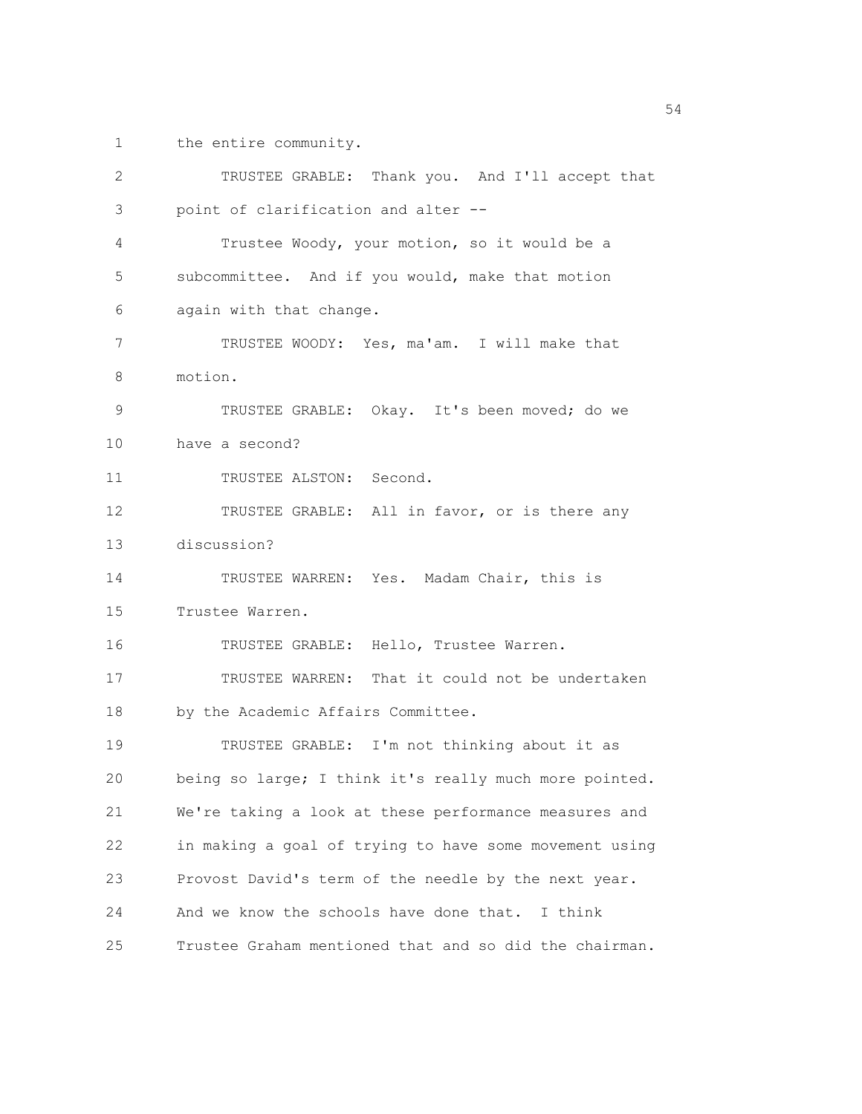1 the entire community.

| 2  | TRUSTEE GRABLE: Thank you. And I'll accept that        |
|----|--------------------------------------------------------|
| 3  | point of clarification and alter --                    |
| 4  | Trustee Woody, your motion, so it would be a           |
| 5  | subcommittee. And if you would, make that motion       |
| 6  | again with that change.                                |
| 7  | TRUSTEE WOODY: Yes, ma'am. I will make that            |
| 8  | motion.                                                |
| 9  | TRUSTEE GRABLE: Okay. It's been moved; do we           |
| 10 | have a second?                                         |
| 11 | TRUSTEE ALSTON: Second.                                |
| 12 | TRUSTEE GRABLE: All in favor, or is there any          |
| 13 | discussion?                                            |
| 14 | TRUSTEE WARREN: Yes. Madam Chair, this is              |
| 15 | Trustee Warren.                                        |
| 16 | TRUSTEE GRABLE: Hello, Trustee Warren.                 |
| 17 | TRUSTEE WARREN: That it could not be undertaken        |
| 18 | by the Academic Affairs Committee.                     |
| 19 | TRUSTEE GRABLE: I'm not thinking about it as           |
| 20 | being so large; I think it's really much more pointed. |
| 21 | We're taking a look at these performance measures and  |
| 22 | in making a goal of trying to have some movement using |
| 23 | Provost David's term of the needle by the next year.   |
| 24 | And we know the schools have done that.<br>I think     |
| 25 | Trustee Graham mentioned that and so did the chairman. |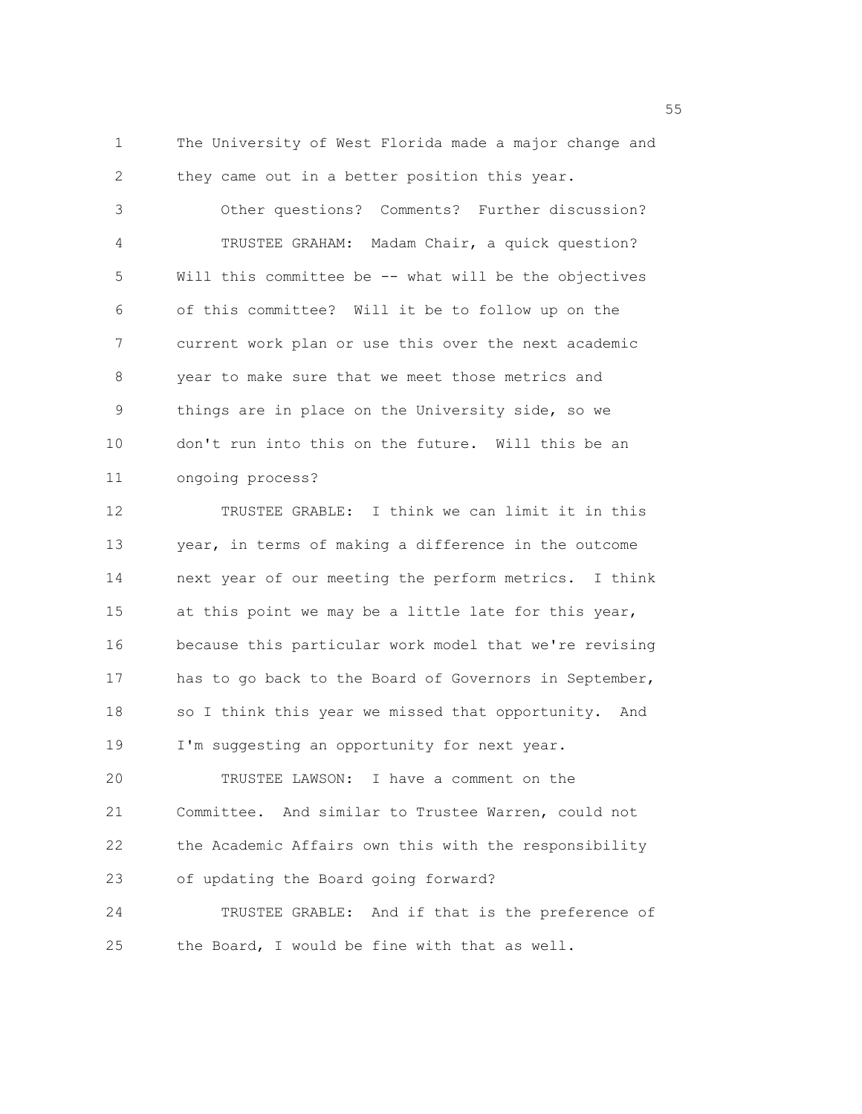1 The University of West Florida made a major change and 2 they came out in a better position this year.

3 Other questions? Comments? Further discussion? 4 TRUSTEE GRAHAM: Madam Chair, a quick question? 5 Will this committee be -- what will be the objectives 6 of this committee? Will it be to follow up on the 7 current work plan or use this over the next academic 8 year to make sure that we meet those metrics and 9 things are in place on the University side, so we 10 don't run into this on the future. Will this be an 11 ongoing process?

12 TRUSTEE GRABLE: I think we can limit it in this 13 year, in terms of making a difference in the outcome 14 next year of our meeting the perform metrics. I think 15 at this point we may be a little late for this year, 16 because this particular work model that we're revising 17 has to go back to the Board of Governors in September, 18 so I think this year we missed that opportunity. And 19 I'm suggesting an opportunity for next year. 20 TRUSTEE LAWSON: I have a comment on the

21 Committee. And similar to Trustee Warren, could not 22 the Academic Affairs own this with the responsibility 23 of updating the Board going forward?

24 TRUSTEE GRABLE: And if that is the preference of 25 the Board, I would be fine with that as well.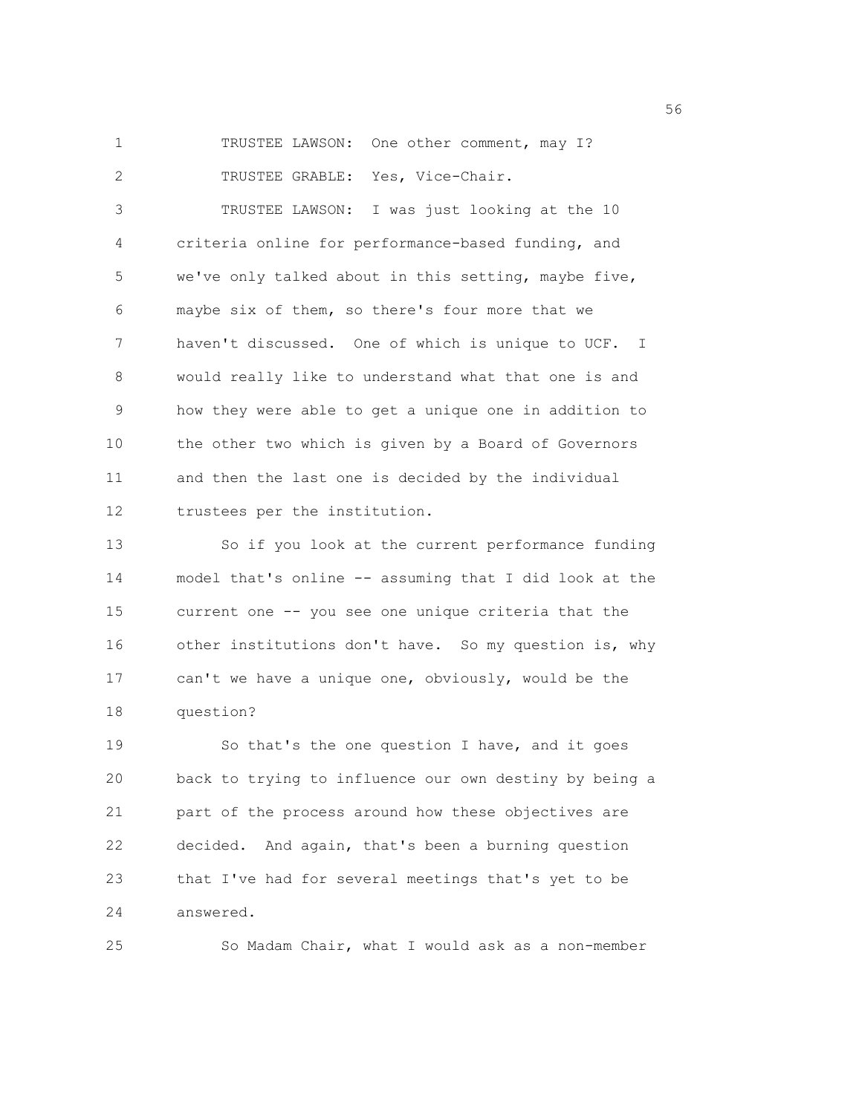1 TRUSTEE LAWSON: One other comment, may I? 2 TRUSTEE GRABLE: Yes, Vice-Chair.

3 TRUSTEE LAWSON: I was just looking at the 10 4 criteria online for performance-based funding, and 5 we've only talked about in this setting, maybe five, 6 maybe six of them, so there's four more that we 7 haven't discussed. One of which is unique to UCF. I 8 would really like to understand what that one is and 9 how they were able to get a unique one in addition to 10 the other two which is given by a Board of Governors 11 and then the last one is decided by the individual 12 trustees per the institution.

13 So if you look at the current performance funding 14 model that's online -- assuming that I did look at the 15 current one -- you see one unique criteria that the 16 other institutions don't have. So my question is, why 17 can't we have a unique one, obviously, would be the 18 question?

19 So that's the one question I have, and it goes 20 back to trying to influence our own destiny by being a 21 part of the process around how these objectives are 22 decided. And again, that's been a burning question 23 that I've had for several meetings that's yet to be 24 answered.

25 So Madam Chair, what I would ask as a non-member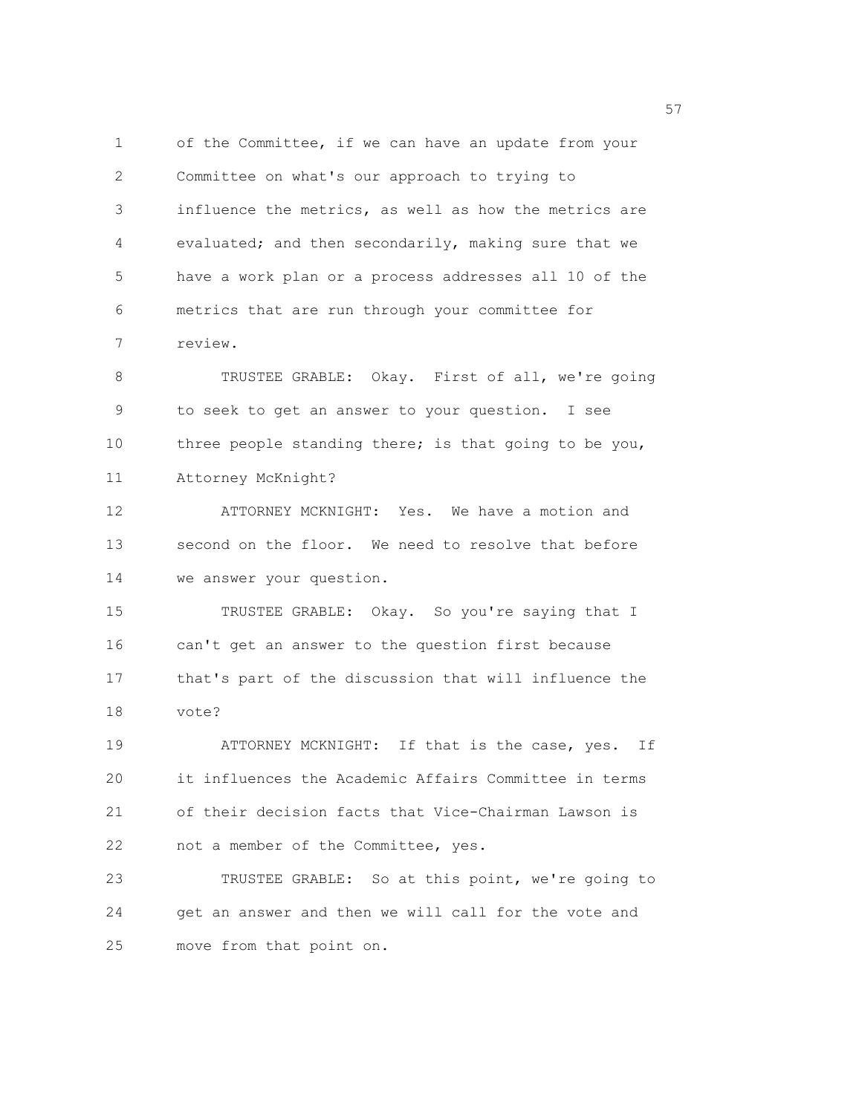1 of the Committee, if we can have an update from your 2 Committee on what's our approach to trying to 3 influence the metrics, as well as how the metrics are 4 evaluated; and then secondarily, making sure that we 5 have a work plan or a process addresses all 10 of the 6 metrics that are run through your committee for 7 review. 8 TRUSTEE GRABLE: Okay. First of all, we're going 9 to seek to get an answer to your question. I see 10 three people standing there; is that going to be you, 11 Attorney McKnight? 12 ATTORNEY MCKNIGHT: Yes. We have a motion and

13 second on the floor. We need to resolve that before 14 we answer your question.

15 TRUSTEE GRABLE: Okay. So you're saying that I 16 can't get an answer to the question first because 17 that's part of the discussion that will influence the 18 vote?

19 ATTORNEY MCKNIGHT: If that is the case, yes. If 20 it influences the Academic Affairs Committee in terms 21 of their decision facts that Vice-Chairman Lawson is 22 not a member of the Committee, yes.

23 TRUSTEE GRABLE: So at this point, we're going to 24 get an answer and then we will call for the vote and 25 move from that point on.

<u>57</u>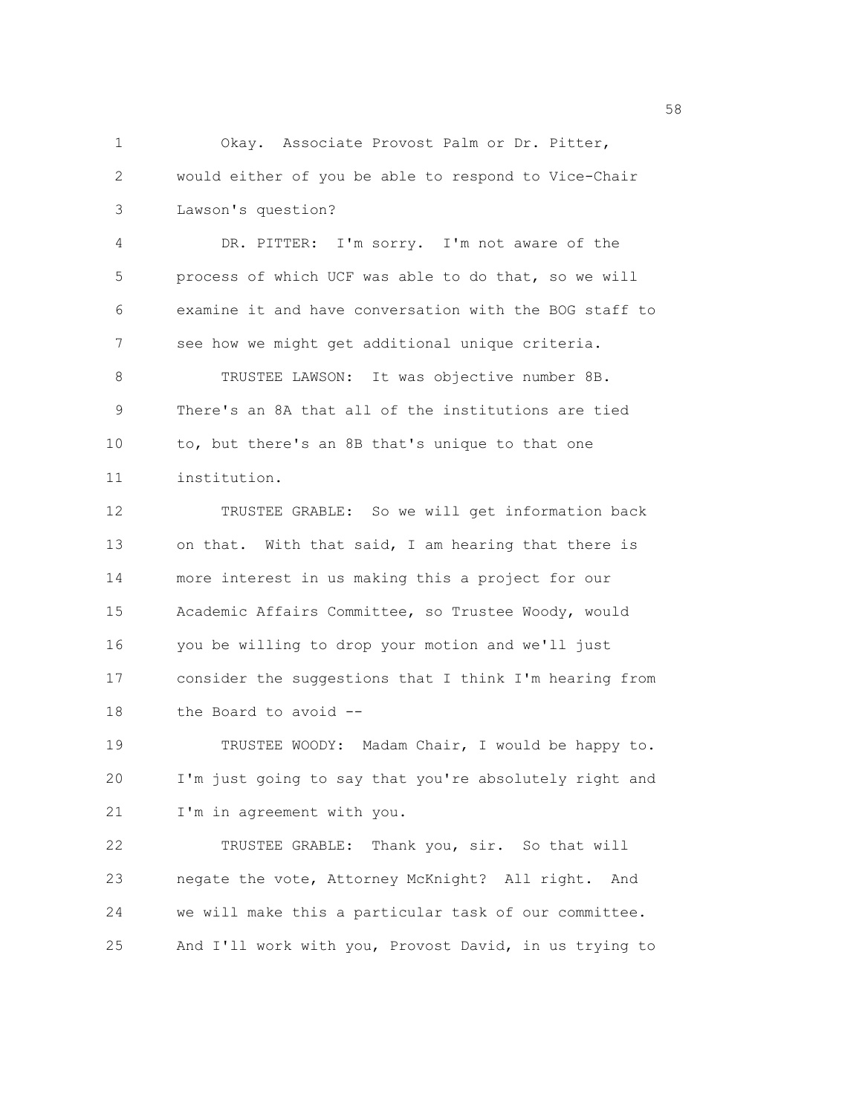1 Okay. Associate Provost Palm or Dr. Pitter, 2 would either of you be able to respond to Vice-Chair 3 Lawson's question? 4 DR. PITTER: I'm sorry. I'm not aware of the 5 process of which UCF was able to do that, so we will 6 examine it and have conversation with the BOG staff to 7 see how we might get additional unique criteria. 8 TRUSTEE LAWSON: It was objective number 8B. 9 There's an 8A that all of the institutions are tied 10 to, but there's an 8B that's unique to that one 11 institution. 12 TRUSTEE GRABLE: So we will get information back 13 on that. With that said, I am hearing that there is 14 more interest in us making this a project for our 15 Academic Affairs Committee, so Trustee Woody, would 16 you be willing to drop your motion and we'll just 17 consider the suggestions that I think I'm hearing from 18 the Board to avoid -- 19 TRUSTEE WOODY: Madam Chair, I would be happy to. 20 I'm just going to say that you're absolutely right and 21 I'm in agreement with you. 22 TRUSTEE GRABLE: Thank you, sir. So that will 23 negate the vote, Attorney McKnight? All right. And

24 we will make this a particular task of our committee.

25 And I'll work with you, Provost David, in us trying to

the state of the state of the state of the state of the state of the state of the state of the state of the state of the state of the state of the state of the state of the state of the state of the state of the state of t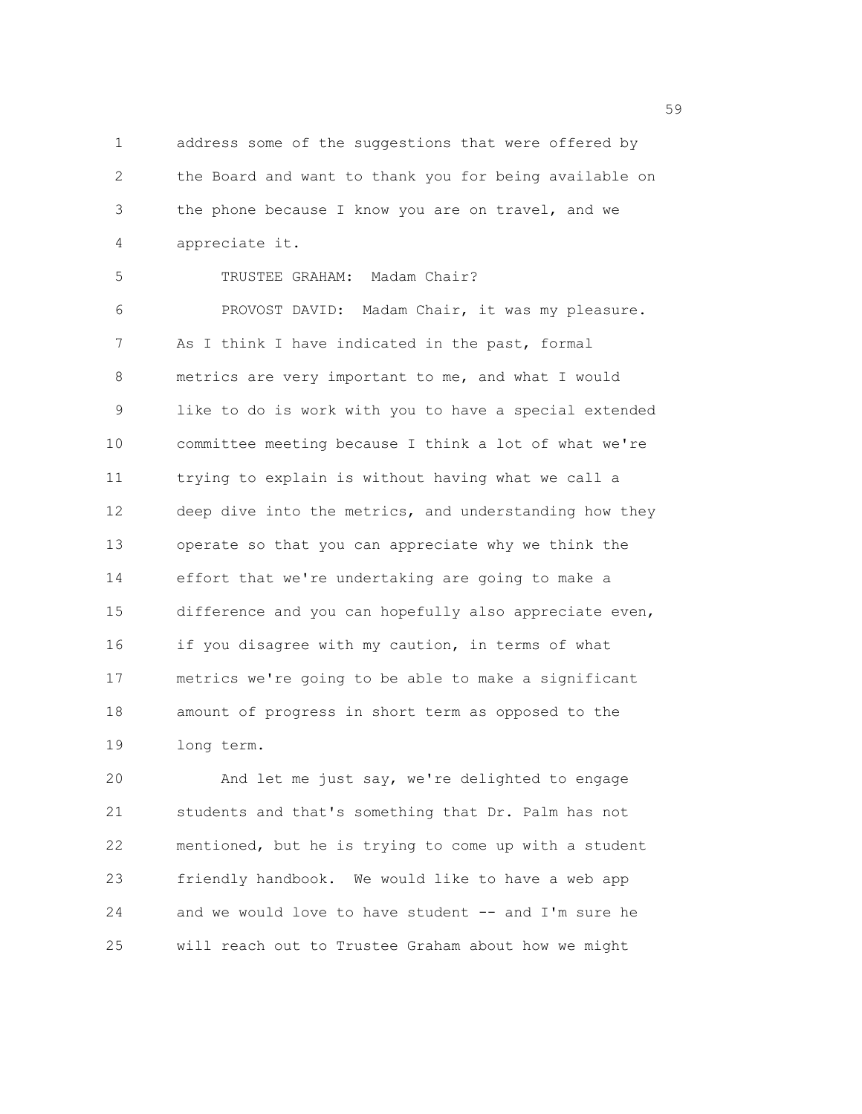1 address some of the suggestions that were offered by 2 the Board and want to thank you for being available on 3 the phone because I know you are on travel, and we 4 appreciate it.

5 TRUSTEE GRAHAM: Madam Chair?

6 PROVOST DAVID: Madam Chair, it was my pleasure. 7 As I think I have indicated in the past, formal 8 metrics are very important to me, and what I would 9 like to do is work with you to have a special extended 10 committee meeting because I think a lot of what we're 11 trying to explain is without having what we call a 12 deep dive into the metrics, and understanding how they 13 operate so that you can appreciate why we think the 14 effort that we're undertaking are going to make a 15 difference and you can hopefully also appreciate even, 16 if you disagree with my caution, in terms of what 17 metrics we're going to be able to make a significant 18 amount of progress in short term as opposed to the 19 long term.

20 And let me just say, we're delighted to engage 21 students and that's something that Dr. Palm has not 22 mentioned, but he is trying to come up with a student 23 friendly handbook. We would like to have a web app 24 and we would love to have student -- and I'm sure he 25 will reach out to Trustee Graham about how we might

 $59<sub>59</sub>$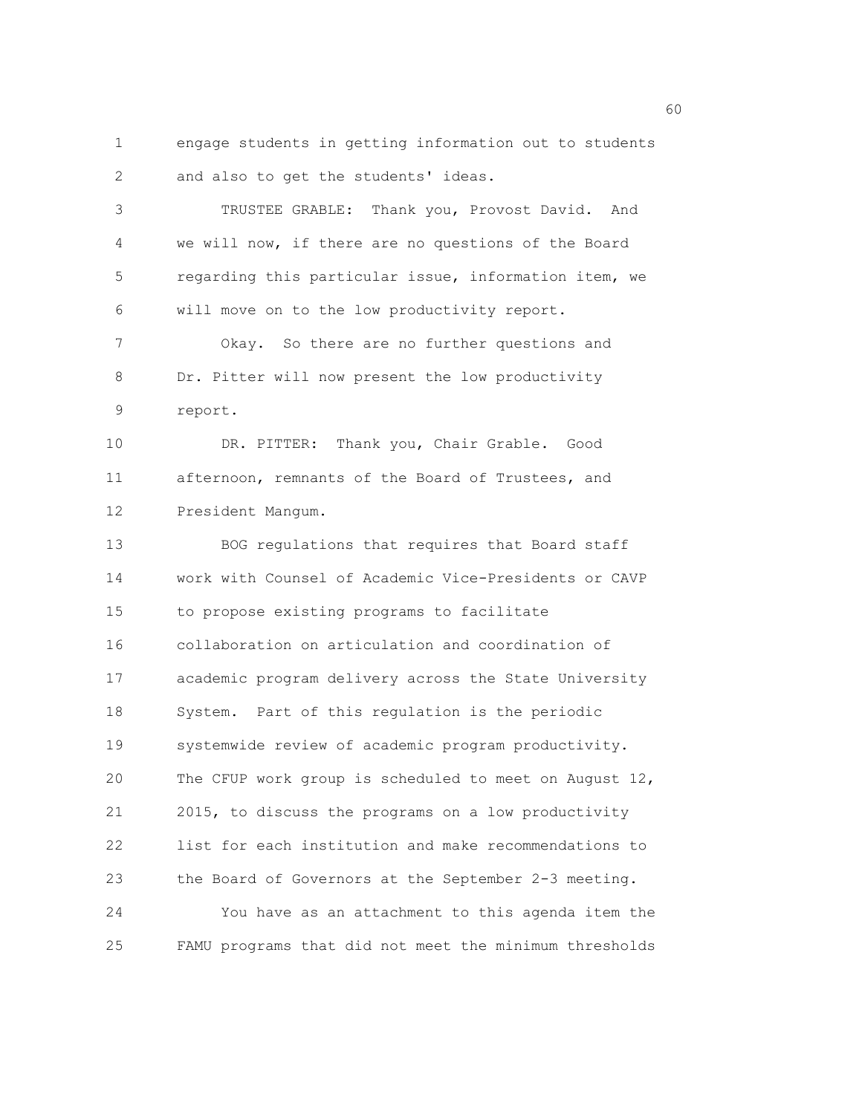1 engage students in getting information out to students 2 and also to get the students' ideas.

3 TRUSTEE GRABLE: Thank you, Provost David. And 4 we will now, if there are no questions of the Board 5 regarding this particular issue, information item, we 6 will move on to the low productivity report. 7 Okay. So there are no further questions and

8 Dr. Pitter will now present the low productivity 9 report.

10 DR. PITTER: Thank you, Chair Grable. Good 11 afternoon, remnants of the Board of Trustees, and 12 President Mangum.

13 BOG regulations that requires that Board staff 14 work with Counsel of Academic Vice-Presidents or CAVP 15 to propose existing programs to facilitate 16 collaboration on articulation and coordination of 17 academic program delivery across the State University 18 System. Part of this regulation is the periodic 19 systemwide review of academic program productivity. 20 The CFUP work group is scheduled to meet on August 12, 21 2015, to discuss the programs on a low productivity 22 list for each institution and make recommendations to 23 the Board of Governors at the September 2-3 meeting. 24 You have as an attachment to this agenda item the 25 FAMU programs that did not meet the minimum thresholds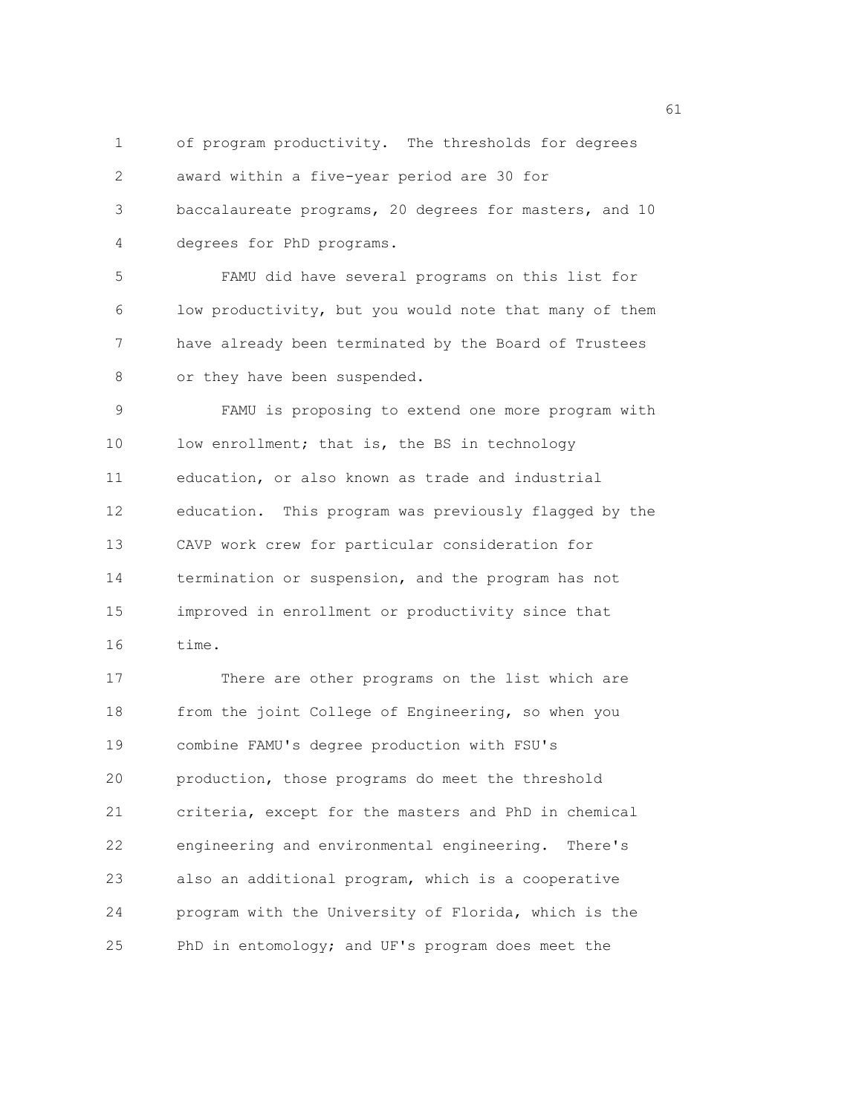1 of program productivity. The thresholds for degrees 2 award within a five-year period are 30 for 3 baccalaureate programs, 20 degrees for masters, and 10 4 degrees for PhD programs. 5 FAMU did have several programs on this list for 6 low productivity, but you would note that many of them 7 have already been terminated by the Board of Trustees 8 or they have been suspended. 9 FAMU is proposing to extend one more program with 10 low enrollment; that is, the BS in technology 11 education, or also known as trade and industrial 12 education. This program was previously flagged by the 13 CAVP work crew for particular consideration for 14 termination or suspension, and the program has not 15 improved in enrollment or productivity since that 16 time.

17 There are other programs on the list which are 18 from the joint College of Engineering, so when you 19 combine FAMU's degree production with FSU's 20 production, those programs do meet the threshold 21 criteria, except for the masters and PhD in chemical 22 engineering and environmental engineering. There's 23 also an additional program, which is a cooperative 24 program with the University of Florida, which is the 25 PhD in entomology; and UF's program does meet the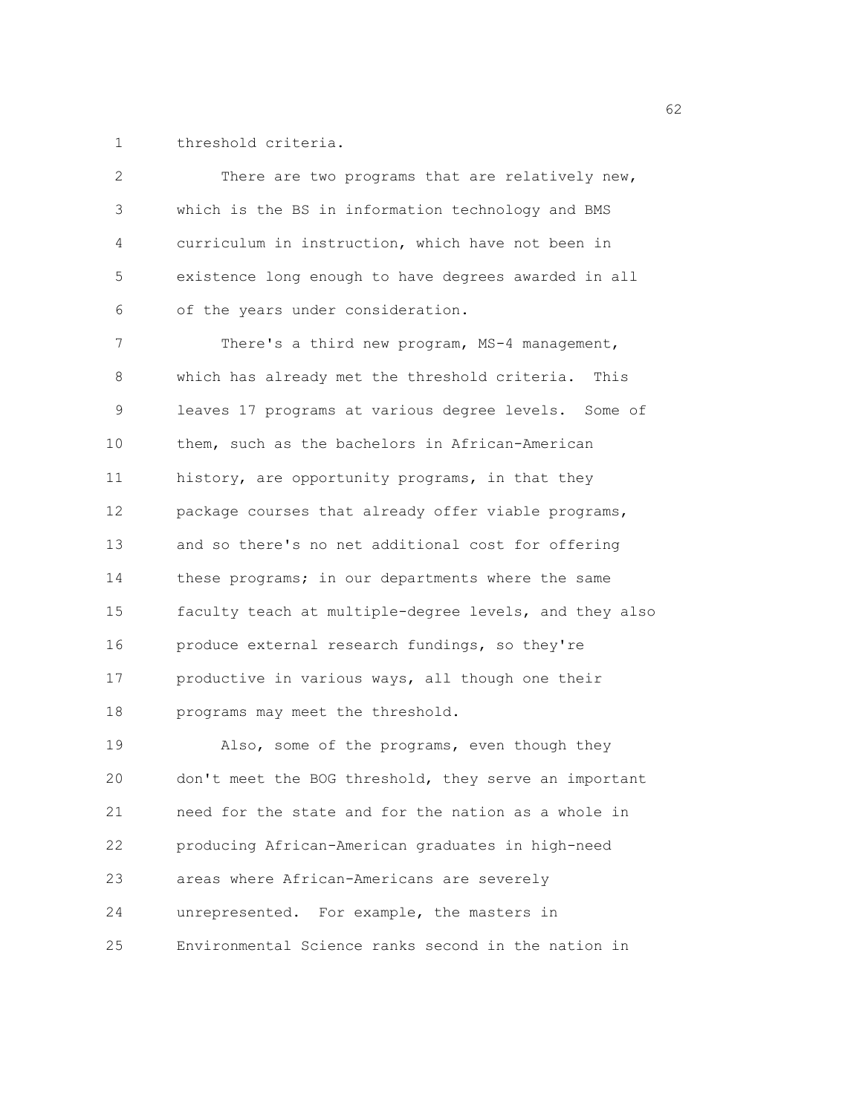1 threshold criteria.

| 2  | There are two programs that are relatively new,        |
|----|--------------------------------------------------------|
| 3  | which is the BS in information technology and BMS      |
| 4  | curriculum in instruction, which have not been in      |
| 5  | existence long enough to have degrees awarded in all   |
| 6  | of the years under consideration.                      |
| 7  | There's a third new program, MS-4 management,          |
| 8  | which has already met the threshold criteria. This     |
| 9  | leaves 17 programs at various degree levels. Some of   |
| 10 | them, such as the bachelors in African-American        |
| 11 | history, are opportunity programs, in that they        |
| 12 | package courses that already offer viable programs,    |
| 13 | and so there's no net additional cost for offering     |
| 14 | these programs; in our departments where the same      |
| 15 | faculty teach at multiple-degree levels, and they also |
| 16 | produce external research fundings, so they're         |
| 17 | productive in various ways, all though one their       |
| 18 | programs may meet the threshold.                       |
| 19 | Also, some of the programs, even though they           |
| 20 | don't meet the BOG threshold, they serve an important  |
| 21 | need for the state and for the nation as a whole in    |
| 22 | producing African-American graduates in high-need      |
| 23 | areas where African-Americans are severely             |
| 24 | unrepresented. For example, the masters in             |
| 25 | Environmental Science ranks second in the nation in    |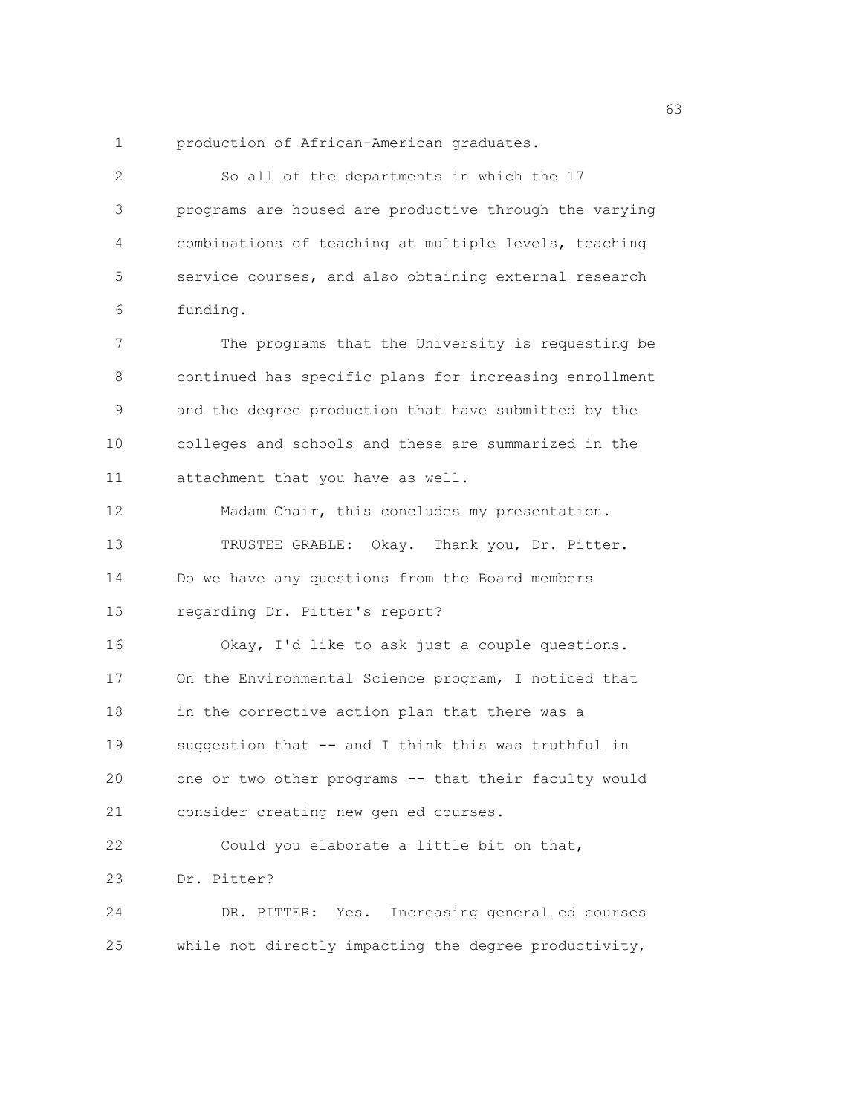1 production of African-American graduates.

2 So all of the departments in which the 17 3 programs are housed are productive through the varying 4 combinations of teaching at multiple levels, teaching 5 service courses, and also obtaining external research 6 funding. 7 The programs that the University is requesting be 8 continued has specific plans for increasing enrollment 9 and the degree production that have submitted by the 10 colleges and schools and these are summarized in the 11 attachment that you have as well. 12 Madam Chair, this concludes my presentation. 13 TRUSTEE GRABLE: Okay. Thank you, Dr. Pitter. 14 Do we have any questions from the Board members 15 regarding Dr. Pitter's report? 16 Okay, I'd like to ask just a couple questions. 17 On the Environmental Science program, I noticed that 18 in the corrective action plan that there was a 19 suggestion that -- and I think this was truthful in 20 one or two other programs -- that their faculty would 21 consider creating new gen ed courses. 22 Could you elaborate a little bit on that, 23 Dr. Pitter? 24 DR. PITTER: Yes. Increasing general ed courses 25 while not directly impacting the degree productivity,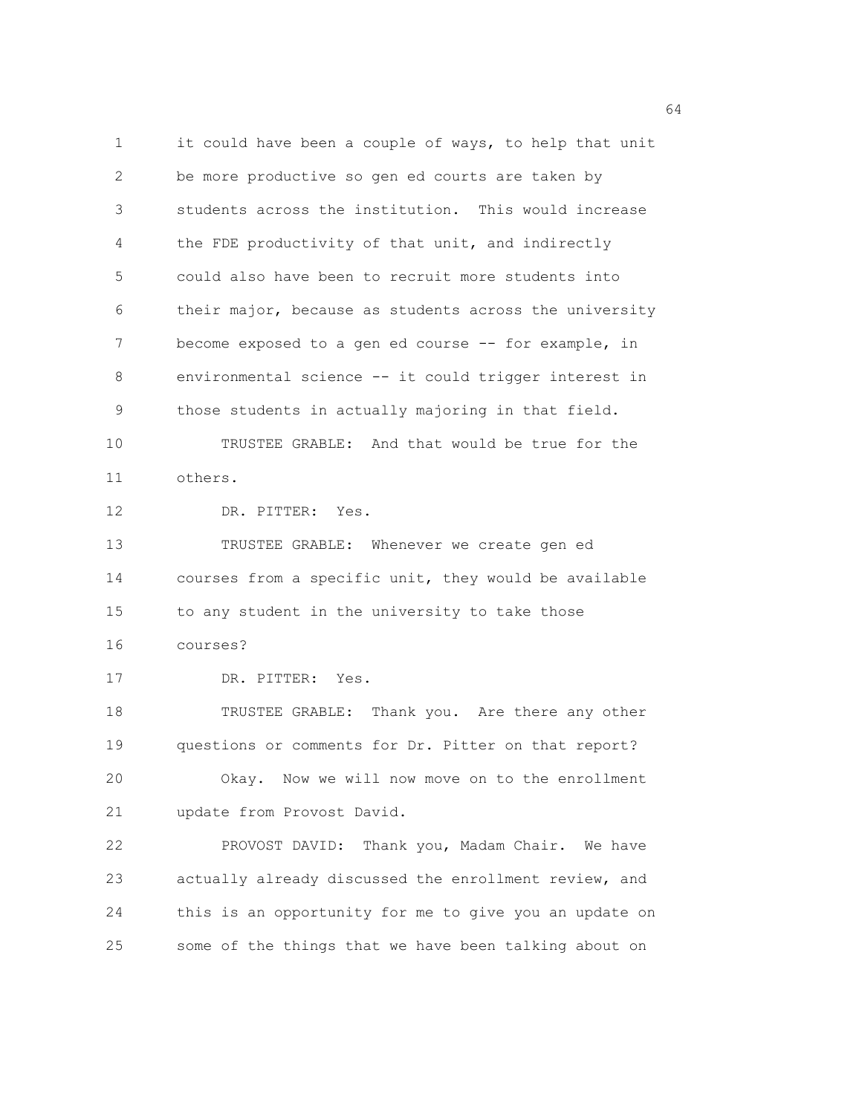1 it could have been a couple of ways, to help that unit 2 be more productive so gen ed courts are taken by 3 students across the institution. This would increase 4 the FDE productivity of that unit, and indirectly 5 could also have been to recruit more students into 6 their major, because as students across the university 7 become exposed to a gen ed course -- for example, in 8 environmental science -- it could trigger interest in 9 those students in actually majoring in that field. 10 TRUSTEE GRABLE: And that would be true for the 11 others. 12 DR. PITTER: Yes. 13 TRUSTEE GRABLE: Whenever we create gen ed 14 courses from a specific unit, they would be available 15 to any student in the university to take those 16 courses? 17 DR. PITTER: Yes. 18 TRUSTEE GRABLE: Thank you. Are there any other 19 questions or comments for Dr. Pitter on that report? 20 Okay. Now we will now move on to the enrollment 21 update from Provost David. 22 PROVOST DAVID: Thank you, Madam Chair. We have 23 actually already discussed the enrollment review, and 24 this is an opportunity for me to give you an update on 25 some of the things that we have been talking about on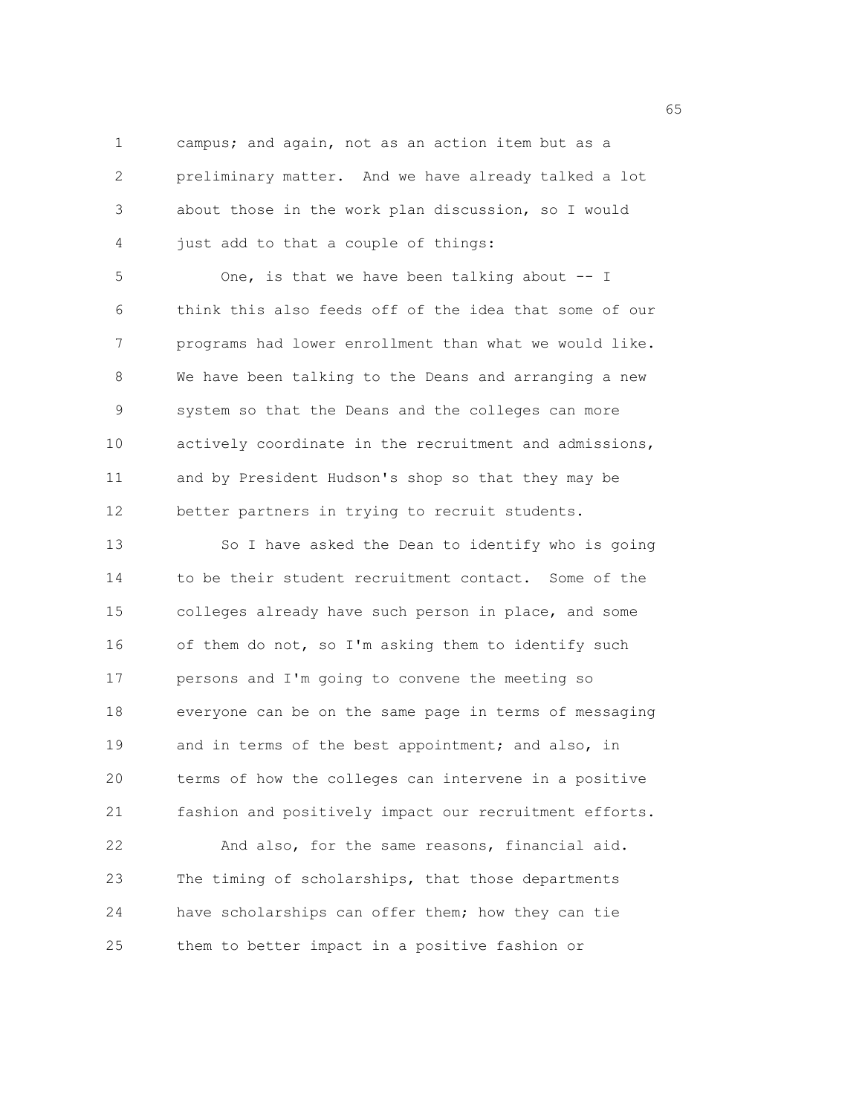1 campus; and again, not as an action item but as a 2 preliminary matter. And we have already talked a lot 3 about those in the work plan discussion, so I would 4 just add to that a couple of things:

5 One, is that we have been talking about -- I 6 think this also feeds off of the idea that some of our 7 programs had lower enrollment than what we would like. 8 We have been talking to the Deans and arranging a new 9 system so that the Deans and the colleges can more 10 actively coordinate in the recruitment and admissions, 11 and by President Hudson's shop so that they may be 12 better partners in trying to recruit students.

13 So I have asked the Dean to identify who is going 14 to be their student recruitment contact. Some of the 15 colleges already have such person in place, and some 16 of them do not, so I'm asking them to identify such 17 persons and I'm going to convene the meeting so 18 everyone can be on the same page in terms of messaging 19 and in terms of the best appointment; and also, in 20 terms of how the colleges can intervene in a positive 21 fashion and positively impact our recruitment efforts. 22 And also, for the same reasons, financial aid.

23 The timing of scholarships, that those departments 24 have scholarships can offer them; how they can tie 25 them to better impact in a positive fashion or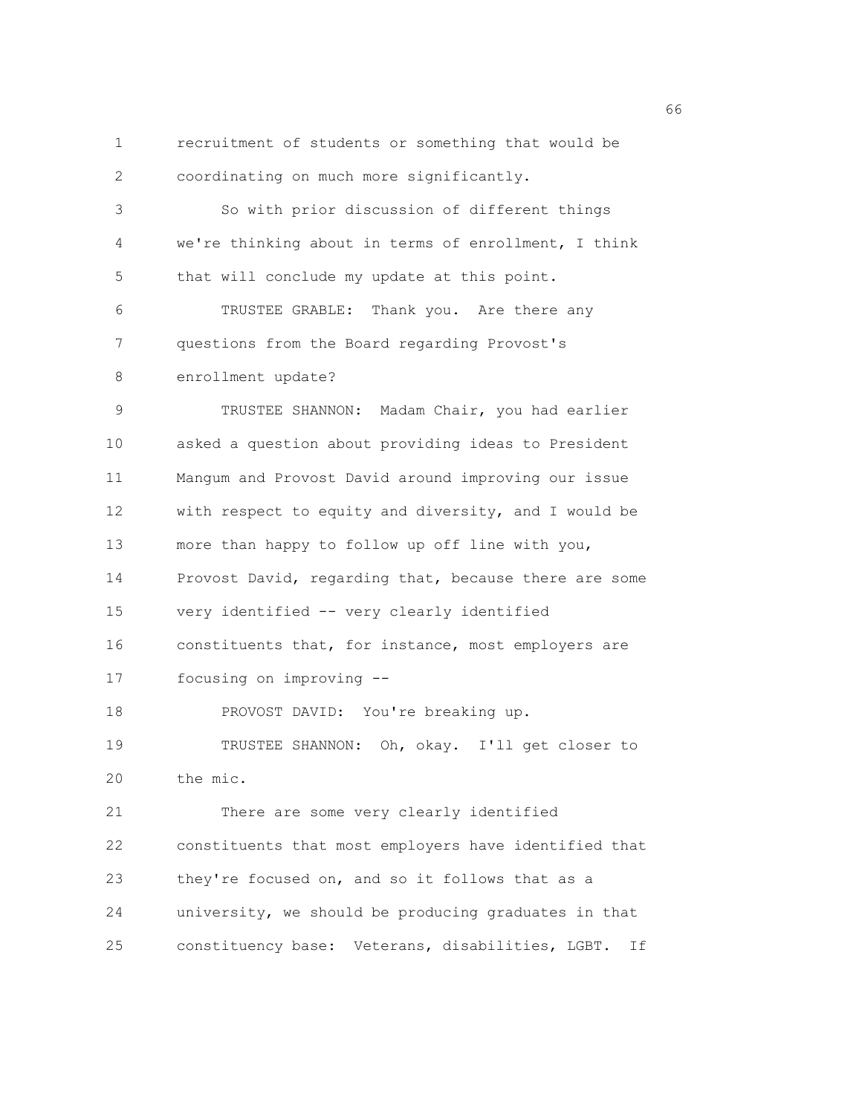1 recruitment of students or something that would be 2 coordinating on much more significantly. 3 So with prior discussion of different things 4 we're thinking about in terms of enrollment, I think 5 that will conclude my update at this point. 6 TRUSTEE GRABLE: Thank you. Are there any 7 questions from the Board regarding Provost's 8 enrollment update? 9 TRUSTEE SHANNON: Madam Chair, you had earlier 10 asked a question about providing ideas to President 11 Mangum and Provost David around improving our issue 12 with respect to equity and diversity, and I would be 13 more than happy to follow up off line with you, 14 Provost David, regarding that, because there are some 15 very identified -- very clearly identified 16 constituents that, for instance, most employers are 17 focusing on improving -- 18 PROVOST DAVID: You're breaking up. 19 TRUSTEE SHANNON: Oh, okay. I'll get closer to 20 the mic. 21 There are some very clearly identified 22 constituents that most employers have identified that 23 they're focused on, and so it follows that as a 24 university, we should be producing graduates in that 25 constituency base: Veterans, disabilities, LGBT. If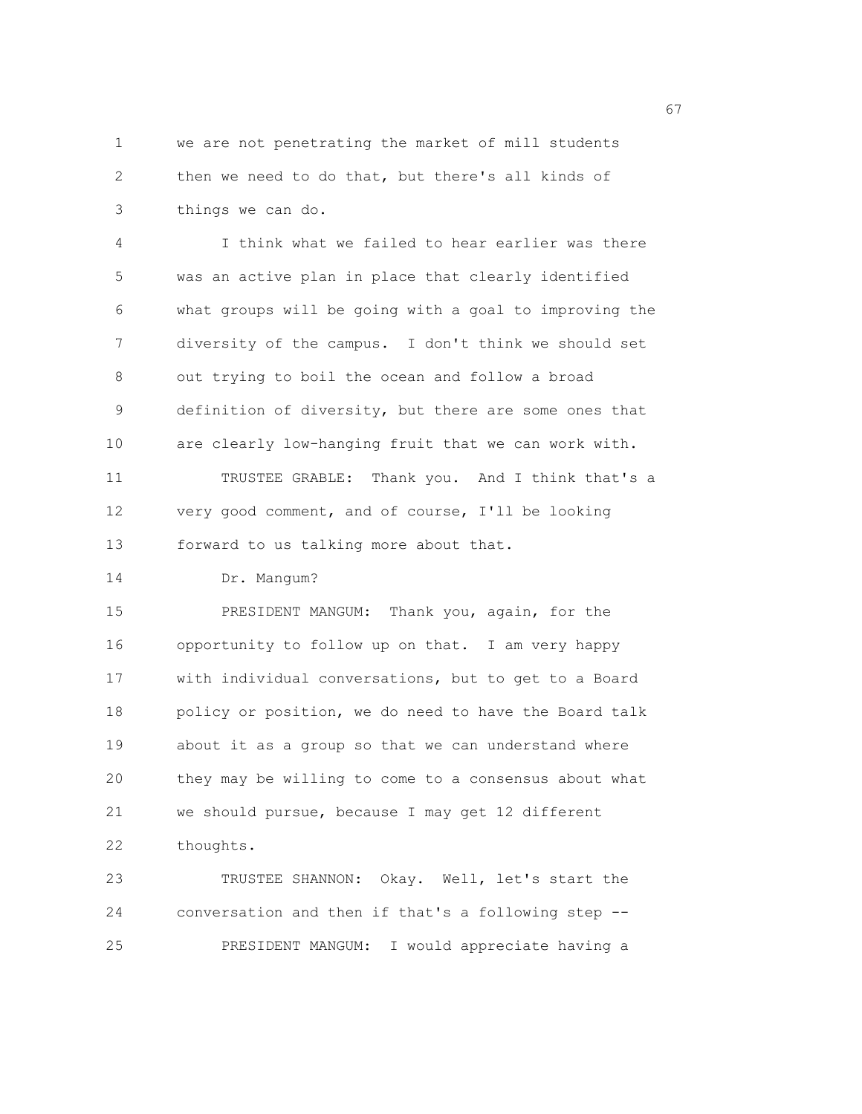1 we are not penetrating the market of mill students 2 then we need to do that, but there's all kinds of 3 things we can do.

4 I think what we failed to hear earlier was there 5 was an active plan in place that clearly identified 6 what groups will be going with a goal to improving the 7 diversity of the campus. I don't think we should set 8 out trying to boil the ocean and follow a broad 9 definition of diversity, but there are some ones that 10 are clearly low-hanging fruit that we can work with. 11 TRUSTEE GRABLE: Thank you. And I think that's a 12 very good comment, and of course, I'll be looking 13 forward to us talking more about that.

14 Dr. Mangum?

15 PRESIDENT MANGUM: Thank you, again, for the 16 opportunity to follow up on that. I am very happy 17 with individual conversations, but to get to a Board 18 policy or position, we do need to have the Board talk 19 about it as a group so that we can understand where 20 they may be willing to come to a consensus about what 21 we should pursue, because I may get 12 different 22 thoughts.

23 TRUSTEE SHANNON: Okay. Well, let's start the 24 conversation and then if that's a following step -- 25 PRESIDENT MANGUM: I would appreciate having a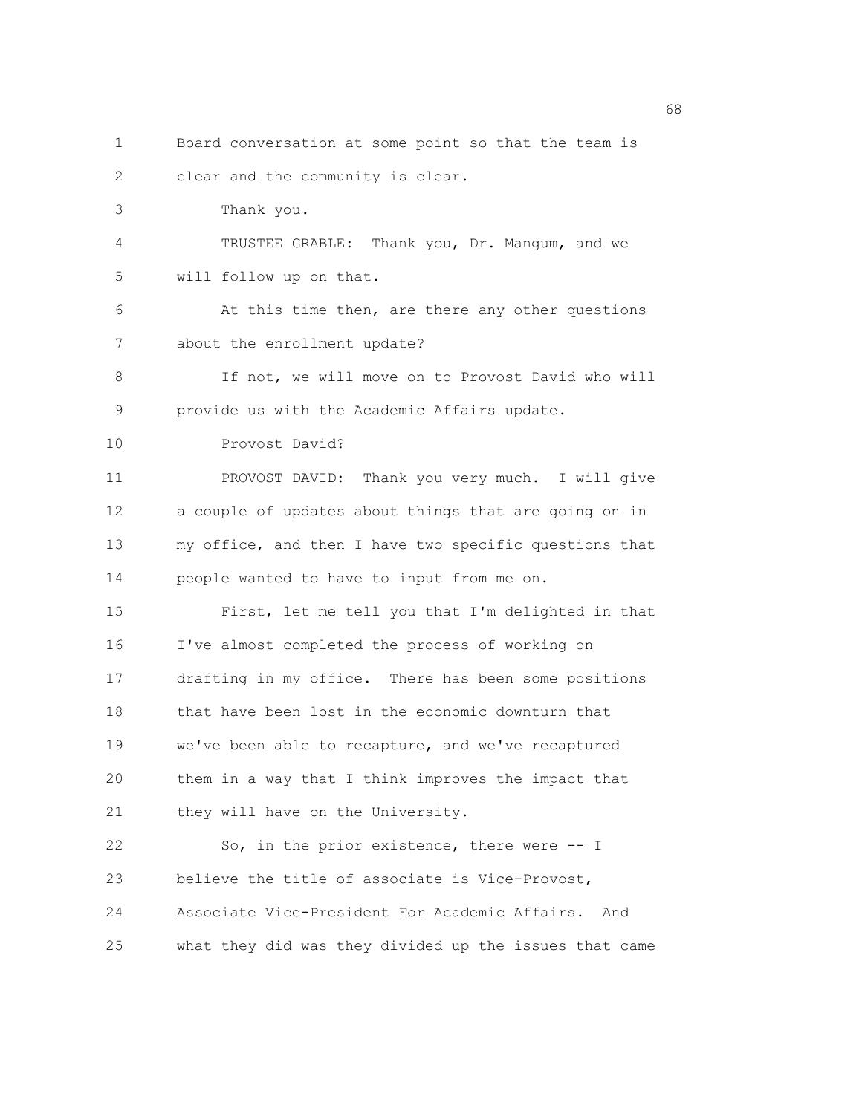- 1 Board conversation at some point so that the team is 2 clear and the community is clear. 3 Thank you. 4 TRUSTEE GRABLE: Thank you, Dr. Mangum, and we 5 will follow up on that. 6 At this time then, are there any other questions 7 about the enrollment update? 8 If not, we will move on to Provost David who will 9 provide us with the Academic Affairs update. 10 Provost David? 11 PROVOST DAVID: Thank you very much. I will give 12 a couple of updates about things that are going on in 13 my office, and then I have two specific questions that 14 people wanted to have to input from me on. 15 First, let me tell you that I'm delighted in that 16 I've almost completed the process of working on 17 drafting in my office. There has been some positions 18 that have been lost in the economic downturn that 19 we've been able to recapture, and we've recaptured 20 them in a way that I think improves the impact that 21 they will have on the University. 22 So, in the prior existence, there were -- I 23 believe the title of associate is Vice-Provost, 24 Associate Vice-President For Academic Affairs. And 25 what they did was they divided up the issues that came
- $\sim$  68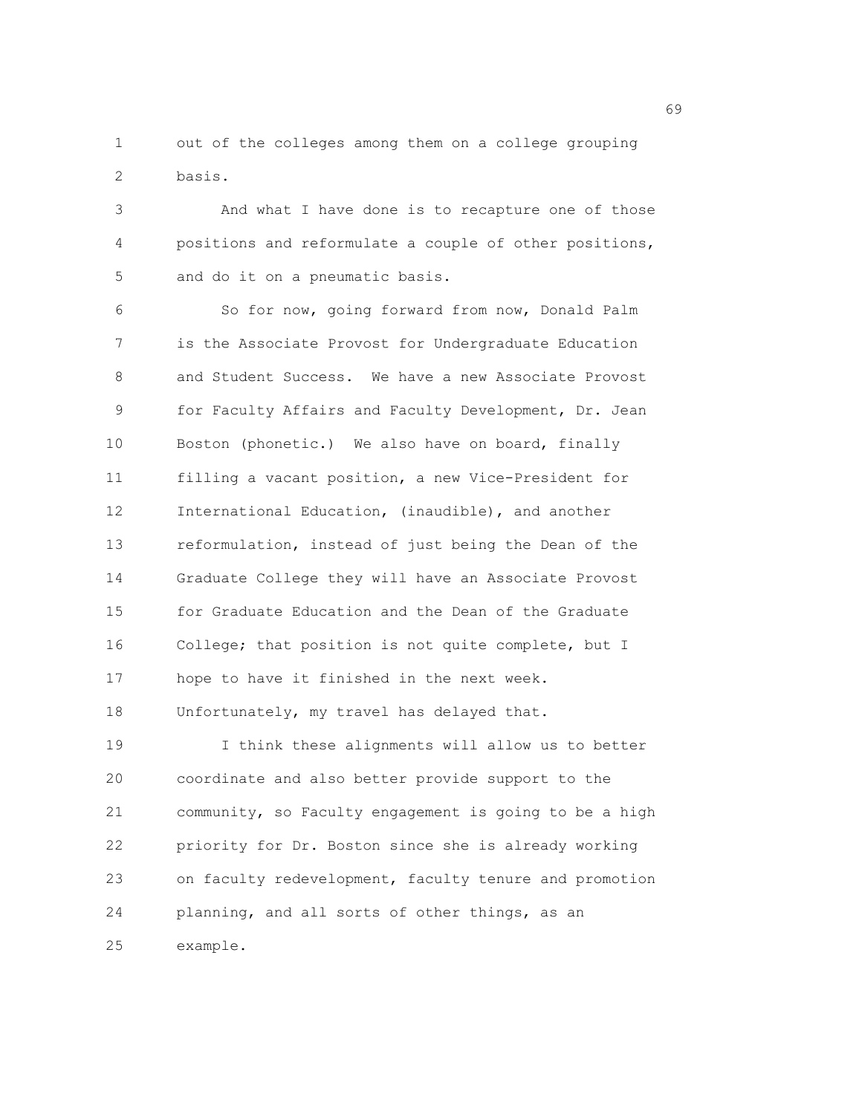1 out of the colleges among them on a college grouping 2 basis.

3 And what I have done is to recapture one of those 4 positions and reformulate a couple of other positions, 5 and do it on a pneumatic basis.

6 So for now, going forward from now, Donald Palm 7 is the Associate Provost for Undergraduate Education 8 and Student Success. We have a new Associate Provost 9 for Faculty Affairs and Faculty Development, Dr. Jean 10 Boston (phonetic.) We also have on board, finally 11 filling a vacant position, a new Vice-President for 12 International Education, (inaudible), and another 13 reformulation, instead of just being the Dean of the 14 Graduate College they will have an Associate Provost 15 for Graduate Education and the Dean of the Graduate 16 College; that position is not quite complete, but I 17 hope to have it finished in the next week. 18 Unfortunately, my travel has delayed that. 19 I think these alignments will allow us to better 20 coordinate and also better provide support to the 21 community, so Faculty engagement is going to be a high 22 priority for Dr. Boston since she is already working

23 on faculty redevelopment, faculty tenure and promotion 24 planning, and all sorts of other things, as an 25 example.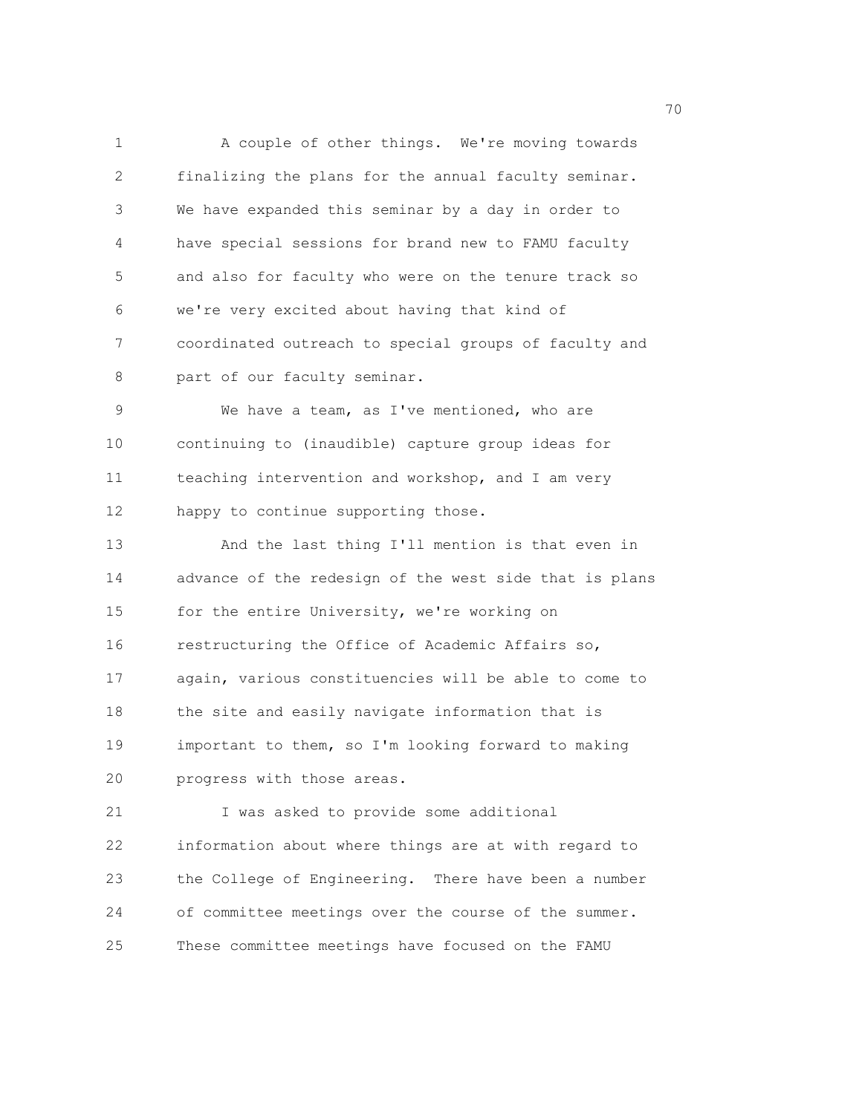1 A couple of other things. We're moving towards 2 finalizing the plans for the annual faculty seminar. 3 We have expanded this seminar by a day in order to 4 have special sessions for brand new to FAMU faculty 5 and also for faculty who were on the tenure track so 6 we're very excited about having that kind of 7 coordinated outreach to special groups of faculty and 8 part of our faculty seminar. 9 We have a team, as I've mentioned, who are 10 continuing to (inaudible) capture group ideas for 11 teaching intervention and workshop, and I am very 12 happy to continue supporting those. 13 And the last thing I'll mention is that even in 14 advance of the redesign of the west side that is plans 15 for the entire University, we're working on 16 restructuring the Office of Academic Affairs so, 17 again, various constituencies will be able to come to 18 the site and easily navigate information that is 19 important to them, so I'm looking forward to making

20 progress with those areas.

21 I was asked to provide some additional 22 information about where things are at with regard to 23 the College of Engineering. There have been a number 24 of committee meetings over the course of the summer. 25 These committee meetings have focused on the FAMU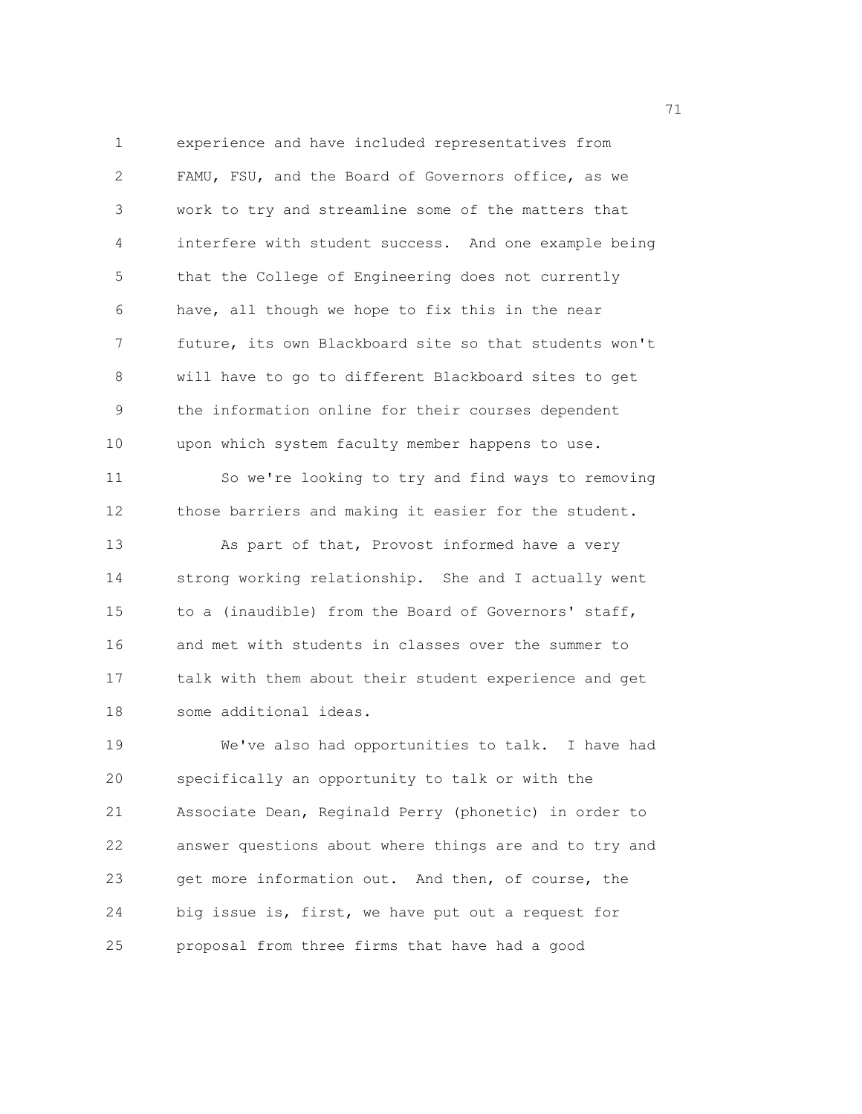1 experience and have included representatives from 2 FAMU, FSU, and the Board of Governors office, as we 3 work to try and streamline some of the matters that 4 interfere with student success. And one example being 5 that the College of Engineering does not currently 6 have, all though we hope to fix this in the near 7 future, its own Blackboard site so that students won't 8 will have to go to different Blackboard sites to get 9 the information online for their courses dependent 10 upon which system faculty member happens to use. 11 So we're looking to try and find ways to removing 12 those barriers and making it easier for the student. 13 As part of that, Provost informed have a very 14 strong working relationship. She and I actually went 15 to a (inaudible) from the Board of Governors' staff, 16 and met with students in classes over the summer to 17 talk with them about their student experience and get 18 some additional ideas. 19 We've also had opportunities to talk. I have had 20 specifically an opportunity to talk or with the 21 Associate Dean, Reginald Perry (phonetic) in order to

22 answer questions about where things are and to try and 23 get more information out. And then, of course, the 24 big issue is, first, we have put out a request for 25 proposal from three firms that have had a good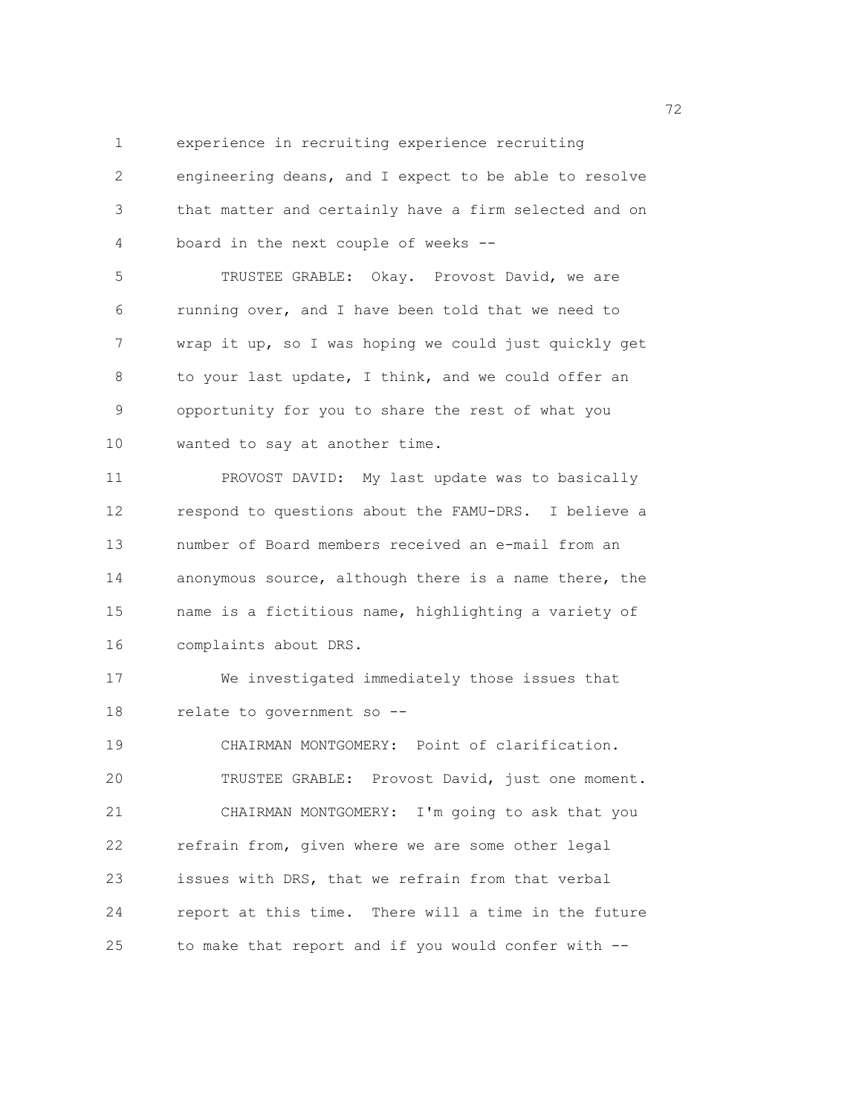1 experience in recruiting experience recruiting

2 engineering deans, and I expect to be able to resolve 3 that matter and certainly have a firm selected and on 4 board in the next couple of weeks -- 5 TRUSTEE GRABLE: Okay. Provost David, we are 6 running over, and I have been told that we need to 7 wrap it up, so I was hoping we could just quickly get 8 to your last update, I think, and we could offer an 9 opportunity for you to share the rest of what you 10 wanted to say at another time. 11 PROVOST DAVID: My last update was to basically 12 respond to questions about the FAMU-DRS. I believe a 13 number of Board members received an e-mail from an 14 anonymous source, although there is a name there, the 15 name is a fictitious name, highlighting a variety of 16 complaints about DRS. 17 We investigated immediately those issues that 18 relate to government so -- 19 CHAIRMAN MONTGOMERY: Point of clarification. 20 TRUSTEE GRABLE: Provost David, just one moment. 21 CHAIRMAN MONTGOMERY: I'm going to ask that you 22 refrain from, given where we are some other legal 23 issues with DRS, that we refrain from that verbal 24 report at this time. There will a time in the future

25 to make that report and if you would confer with --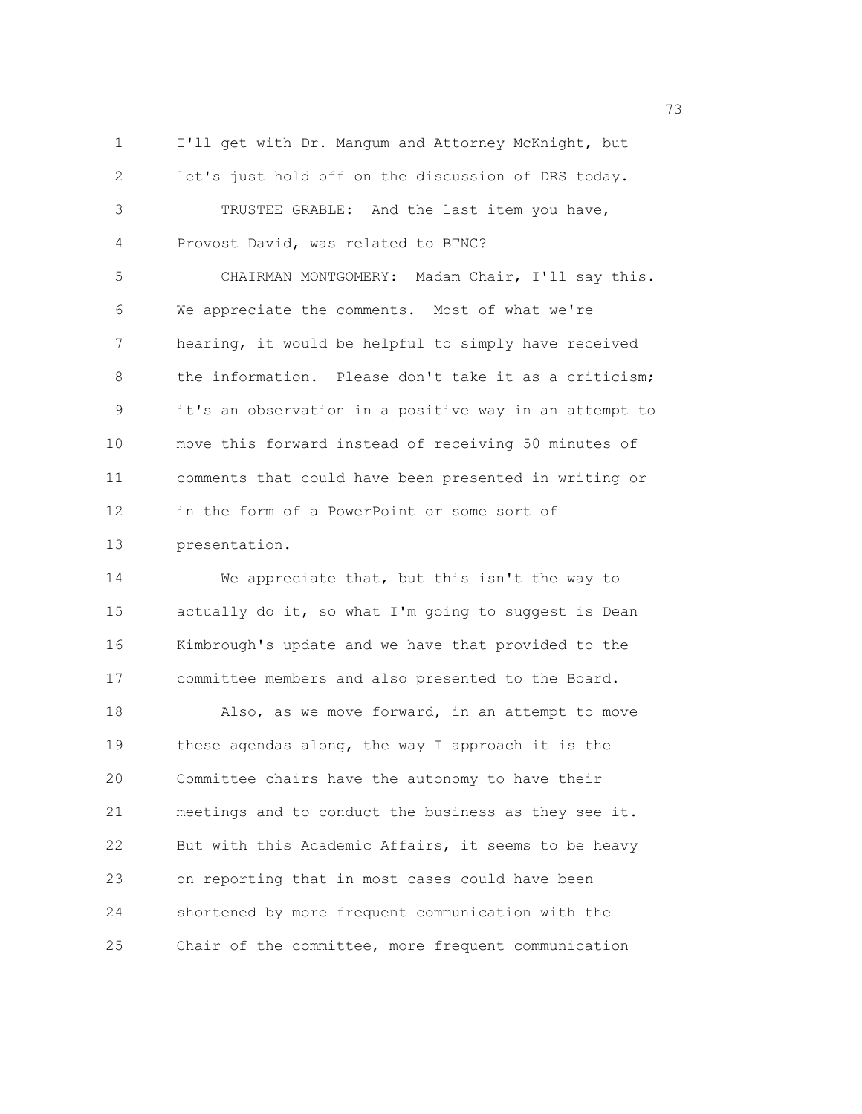1 I'll get with Dr. Mangum and Attorney McKnight, but 2 let's just hold off on the discussion of DRS today. 3 TRUSTEE GRABLE: And the last item you have, 4 Provost David, was related to BTNC?

5 CHAIRMAN MONTGOMERY: Madam Chair, I'll say this. 6 We appreciate the comments. Most of what we're 7 hearing, it would be helpful to simply have received 8 the information. Please don't take it as a criticism; 9 it's an observation in a positive way in an attempt to 10 move this forward instead of receiving 50 minutes of 11 comments that could have been presented in writing or 12 in the form of a PowerPoint or some sort of 13 presentation.

14 We appreciate that, but this isn't the way to 15 actually do it, so what I'm going to suggest is Dean 16 Kimbrough's update and we have that provided to the 17 committee members and also presented to the Board.

18 Also, as we move forward, in an attempt to move 19 these agendas along, the way I approach it is the 20 Committee chairs have the autonomy to have their 21 meetings and to conduct the business as they see it. 22 But with this Academic Affairs, it seems to be heavy 23 on reporting that in most cases could have been 24 shortened by more frequent communication with the 25 Chair of the committee, more frequent communication

73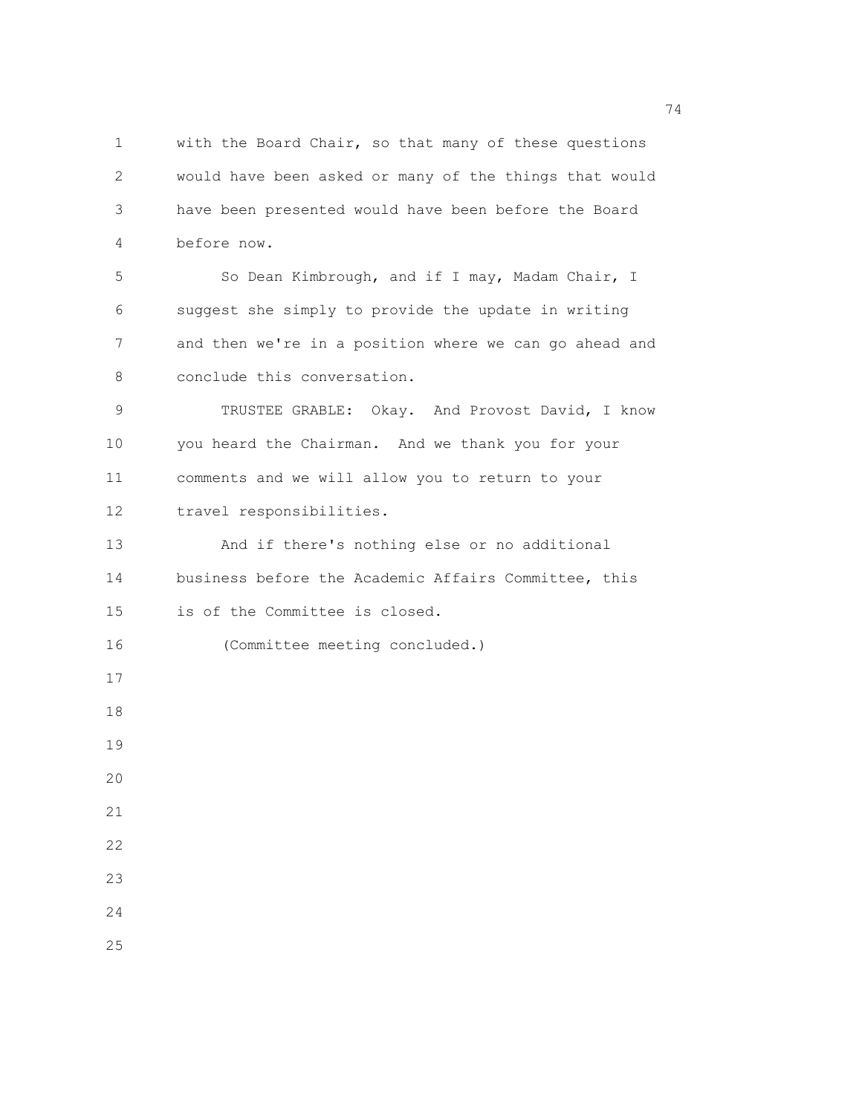1 with the Board Chair, so that many of these questions 2 would have been asked or many of the things that would 3 have been presented would have been before the Board 4 before now. 5 So Dean Kimbrough, and if I may, Madam Chair, I 6 suggest she simply to provide the update in writing 7 and then we're in a position where we can go ahead and 8 conclude this conversation. 9 TRUSTEE GRABLE: Okay. And Provost David, I know 10 you heard the Chairman. And we thank you for your 11 comments and we will allow you to return to your 12 travel responsibilities. 13 And if there's nothing else or no additional 14 business before the Academic Affairs Committee, this 15 is of the Committee is closed. 16 (Committee meeting concluded.) 17 18 19  $20$ 21 22 23

24 25

74